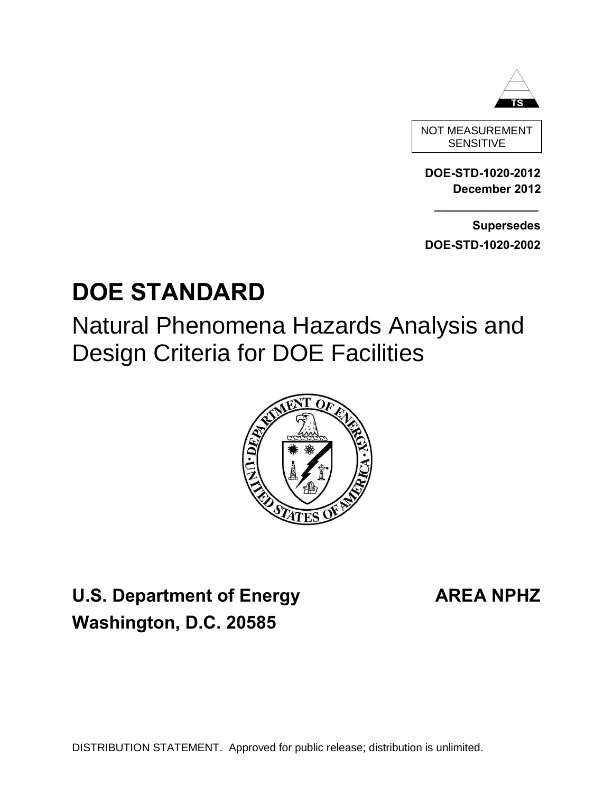

**DOE-STD-1020-2012 December 2012** 

SENSITIVE

 **Supersedes DOE-STD-1020-2002** 

**\_\_\_\_\_\_\_\_\_\_\_\_\_\_\_\_\_**

# **DOE STANDARD**

Natural Phenomena Hazards Analysis and Design Criteria for DOE Facilities



**U.S. Department of Energy AREA NPHZ Washington, D.C. 20585**

DISTRIBUTION STATEMENT. Approved for public release; distribution is unlimited.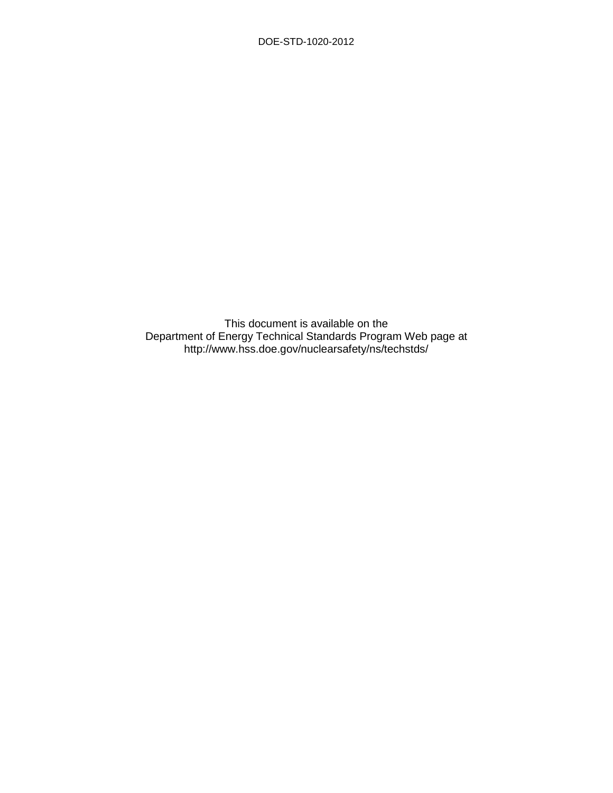This document is available on the Department of Energy Technical Standards Program Web page at http://www.hss.doe.gov/nuclearsafety/ns/techstds/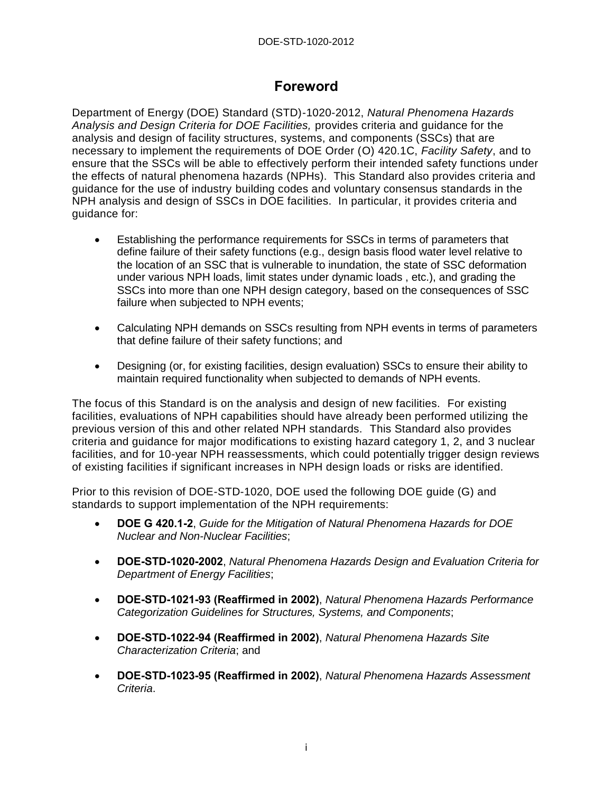## <span id="page-2-0"></span>**Foreword**

Department of Energy (DOE) Standard (STD)-1020-2012, *Natural Phenomena Hazards Analysis and Design Criteria for DOE Facilities,* provides criteria and guidance for the analysis and design of facility structures, systems, and components (SSCs) that are necessary to implement the requirements of DOE Order (O) 420.1C, *Facility Safety*, and to ensure that the SSCs will be able to effectively perform their intended safety functions under the effects of natural phenomena hazards (NPHs). This Standard also provides criteria and guidance for the use of industry building codes and voluntary consensus standards in the NPH analysis and design of SSCs in DOE facilities. In particular, it provides criteria and guidance for:

- Establishing the performance requirements for SSCs in terms of parameters that define failure of their safety functions (e.g., design basis flood water level relative to the location of an SSC that is vulnerable to inundation, the state of SSC deformation under various NPH loads, limit states under dynamic loads , etc.), and grading the SSCs into more than one NPH design category, based on the consequences of SSC failure when subjected to NPH events;
- Calculating NPH demands on SSCs resulting from NPH events in terms of parameters that define failure of their safety functions; and
- Designing (or, for existing facilities, design evaluation) SSCs to ensure their ability to maintain required functionality when subjected to demands of NPH events.

The focus of this Standard is on the analysis and design of new facilities. For existing facilities, evaluations of NPH capabilities should have already been performed utilizing the previous version of this and other related NPH standards. This Standard also provides criteria and guidance for major modifications to existing hazard category 1, 2, and 3 nuclear facilities, and for 10-year NPH reassessments, which could potentially trigger design reviews of existing facilities if significant increases in NPH design loads or risks are identified.

Prior to this revision of DOE-STD-1020, DOE used the following DOE guide (G) and standards to support implementation of the NPH requirements:

- **DOE G 420.1-2**, *Guide for the Mitigation of Natural Phenomena Hazards for DOE Nuclear and Non-Nuclear Facilities*;
- **DOE-STD-1020-2002**, *Natural Phenomena Hazards Design and Evaluation Criteria for Department of Energy Facilities*;
- **DOE-STD-1021-93 (Reaffirmed in 2002)**, *Natural Phenomena Hazards Performance Categorization Guidelines for Structures, Systems, and Components*;
- **DOE-STD-1022-94 (Reaffirmed in 2002)**, *Natural Phenomena Hazards Site Characterization Criteria*; and
- **DOE-STD-1023-95 (Reaffirmed in 2002)**, *Natural Phenomena Hazards Assessment Criteria*.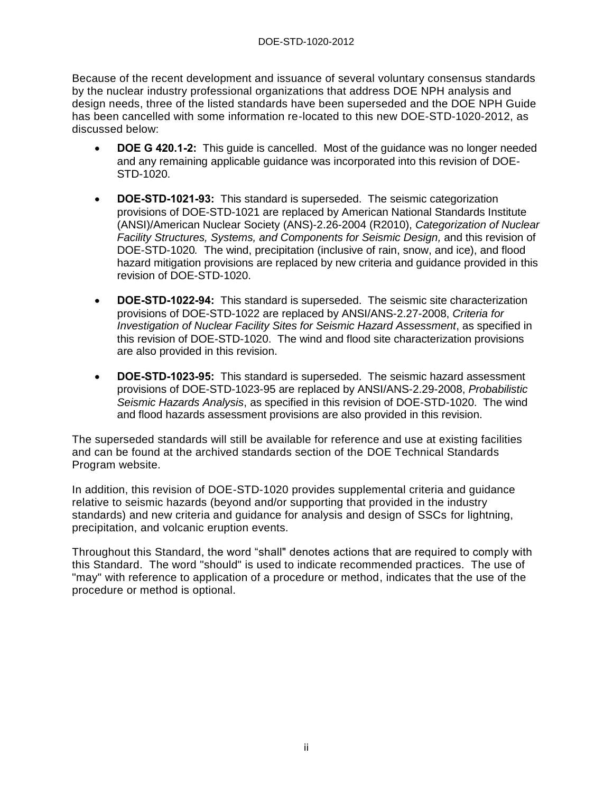Because of the recent development and issuance of several voluntary consensus standards by the nuclear industry professional organizations that address DOE NPH analysis and design needs, three of the listed standards have been superseded and the DOE NPH Guide has been cancelled with some information re-located to this new DOE-STD-1020-2012, as discussed below:

- **DOE G 420.1-2:** This guide is cancelled. Most of the guidance was no longer needed and any remaining applicable guidance was incorporated into this revision of DOE-STD-1020.
- **DOE-STD-1021-93:** This standard is superseded. The seismic categorization provisions of DOE-STD-1021 are replaced by American National Standards Institute (ANSI)/American Nuclear Society (ANS)-2.26-2004 (R2010), *Categorization of Nuclear Facility Structures, Systems, and Components for Seismic Design,* and this revision of DOE-STD-1020*.* The wind, precipitation (inclusive of rain, snow, and ice), and flood hazard mitigation provisions are replaced by new criteria and guidance provided in this revision of DOE-STD-1020.
- **DOE-STD-1022-94:** This standard is superseded. The seismic site characterization provisions of DOE-STD-1022 are replaced by ANSI/ANS-2.27-2008, *Criteria for Investigation of Nuclear Facility Sites for Seismic Hazard Assessment*, as specified in this revision of DOE-STD-1020. The wind and flood site characterization provisions are also provided in this revision.
- **DOE-STD-1023-95:** This standard is superseded. The seismic hazard assessment provisions of DOE-STD-1023-95 are replaced by ANSI/ANS-2.29-2008, *Probabilistic Seismic Hazards Analysis*, as specified in this revision of DOE-STD-1020. The wind and flood hazards assessment provisions are also provided in this revision.

The superseded standards will still be available for reference and use at existing facilities and can be found at the archived standards section of the DOE Technical Standards Program website.

In addition, this revision of DOE-STD-1020 provides supplemental criteria and guidance relative to seismic hazards (beyond and/or supporting that provided in the industry standards) and new criteria and guidance for analysis and design of SSCs for lightning, precipitation, and volcanic eruption events.

Throughout this Standard, the word "shall" denotes actions that are required to comply with this Standard. The word "should" is used to indicate recommended practices. The use of "may" with reference to application of a procedure or method, indicates that the use of the procedure or method is optional.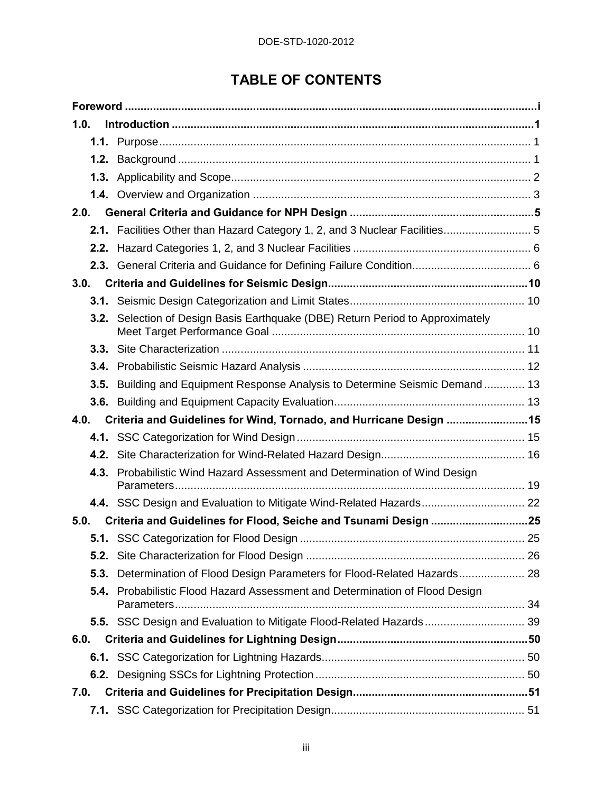## **TABLE OF CONTENTS**

| 1.0. |                                                                                        |  |
|------|----------------------------------------------------------------------------------------|--|
|      |                                                                                        |  |
| 1.2. |                                                                                        |  |
|      |                                                                                        |  |
|      |                                                                                        |  |
| 2.0. |                                                                                        |  |
|      | 2.1. Facilities Other than Hazard Category 1, 2, and 3 Nuclear Facilities 5            |  |
|      |                                                                                        |  |
|      |                                                                                        |  |
| 3.0. |                                                                                        |  |
|      |                                                                                        |  |
|      | 3.2. Selection of Design Basis Earthquake (DBE) Return Period to Approximately         |  |
| 3.3. |                                                                                        |  |
| 3.4. |                                                                                        |  |
| 3.5. | Building and Equipment Response Analysis to Determine Seismic Demand 13                |  |
|      |                                                                                        |  |
|      |                                                                                        |  |
| 4.0. | Criteria and Guidelines for Wind, Tornado, and Hurricane Design 15                     |  |
|      |                                                                                        |  |
| 4.2. |                                                                                        |  |
| 4.3. | Probabilistic Wind Hazard Assessment and Determination of Wind Design                  |  |
|      |                                                                                        |  |
| 5.0. | Criteria and Guidelines for Flood, Seiche and Tsunami Design 25                        |  |
|      |                                                                                        |  |
| 5.2. |                                                                                        |  |
| 5.3. | Determination of Flood Design Parameters for Flood-Related Hazards 28                  |  |
| 5.4. | Probabilistic Flood Hazard Assessment and Determination of Flood Design<br>Parameters. |  |
|      |                                                                                        |  |
| 6.0. |                                                                                        |  |
|      |                                                                                        |  |
|      |                                                                                        |  |
| 7.0. |                                                                                        |  |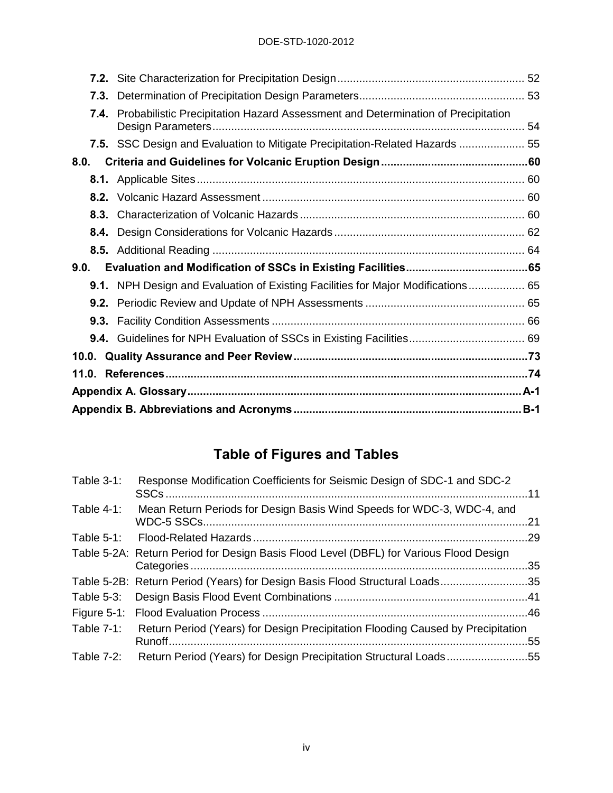#### DOE-STD-1020-2012

| 7.3. |                                                                                  |  |
|------|----------------------------------------------------------------------------------|--|
| 7.4. | Probabilistic Precipitation Hazard Assessment and Determination of Precipitation |  |
|      | 7.5. SSC Design and Evaluation to Mitigate Precipitation-Related Hazards  55     |  |
| 8.0. |                                                                                  |  |
|      |                                                                                  |  |
|      |                                                                                  |  |
| 8.3. |                                                                                  |  |
| 8.4. |                                                                                  |  |
|      |                                                                                  |  |
| 9.0. |                                                                                  |  |
|      | 9.1. NPH Design and Evaluation of Existing Facilities for Major Modifications 65 |  |
|      |                                                                                  |  |
|      |                                                                                  |  |
|      |                                                                                  |  |
|      |                                                                                  |  |
|      |                                                                                  |  |
|      |                                                                                  |  |
|      |                                                                                  |  |

## **Table of Figures and Tables**

| Table 3-1:    | Response Modification Coefficients for Seismic Design of SDC-1 and SDC-2               |     |
|---------------|----------------------------------------------------------------------------------------|-----|
| Table $4-1$ : | Mean Return Periods for Design Basis Wind Speeds for WDC-3, WDC-4, and                 |     |
|               |                                                                                        |     |
|               | Table 5-2A: Return Period for Design Basis Flood Level (DBFL) for Various Flood Design |     |
|               | Table 5-2B: Return Period (Years) for Design Basis Flood Structural Loads35            |     |
|               |                                                                                        |     |
|               |                                                                                        |     |
| Table 7-1:    | Return Period (Years) for Design Precipitation Flooding Caused by Precipitation        | .55 |
| Table $7-2$ : | Return Period (Years) for Design Precipitation Structural Loads55                      |     |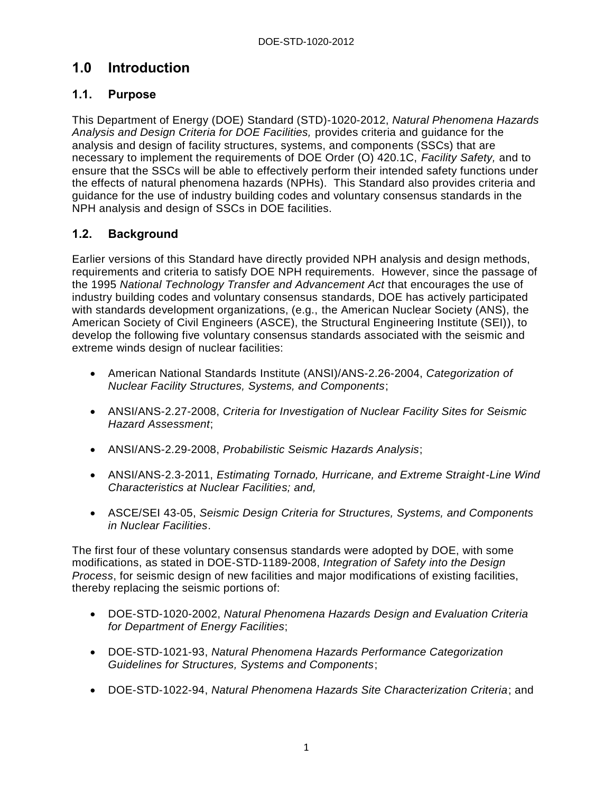## <span id="page-6-0"></span>**1.0 Introduction**

#### <span id="page-6-1"></span>**1.1. Purpose**

This Department of Energy (DOE) Standard (STD)-1020-2012, *Natural Phenomena Hazards Analysis and Design Criteria for DOE Facilities,* provides criteria and guidance for the analysis and design of facility structures, systems, and components (SSCs) that are necessary to implement the requirements of DOE Order (O) 420.1C, *Facility Safety,* and to ensure that the SSCs will be able to effectively perform their intended safety functions under the effects of natural phenomena hazards (NPHs). This Standard also provides criteria and guidance for the use of industry building codes and voluntary consensus standards in the NPH analysis and design of SSCs in DOE facilities.

#### <span id="page-6-2"></span>**1.2. Background**

Earlier versions of this Standard have directly provided NPH analysis and design methods, requirements and criteria to satisfy DOE NPH requirements. However, since the passage of the 1995 *National Technology Transfer and Advancement Act* that encourages the use of industry building codes and voluntary consensus standards, DOE has actively participated with standards development organizations, (e.g., the American Nuclear Society (ANS), the American Society of Civil Engineers (ASCE), the Structural Engineering Institute (SEI)), to develop the following five voluntary consensus standards associated with the seismic and extreme winds design of nuclear facilities:

- American National Standards Institute (ANSI)/ANS-2.26-2004, *Categorization of Nuclear Facility Structures, Systems, and Components*;
- ANSI/ANS-2.27-2008, *Criteria for Investigation of Nuclear Facility Sites for Seismic Hazard Assessment*;
- ANSI/ANS-2.29-2008, *Probabilistic Seismic Hazards Analysis*;
- ANSI/ANS-2.3-2011, *Estimating Tornado, Hurricane, and Extreme Straight-Line Wind Characteristics at Nuclear Facilities; and,*
- ASCE/SEI 43-05, *Seismic Design Criteria for Structures, Systems, and Components in Nuclear Facilities*.

The first four of these voluntary consensus standards were adopted by DOE, with some modifications, as stated in DOE-STD-1189-2008, *Integration of Safety into the Design Process*, for seismic design of new facilities and major modifications of existing facilities, thereby replacing the seismic portions of:

- DOE-STD-1020-2002, *Natural Phenomena Hazards Design and Evaluation Criteria for Department of Energy Facilities*;
- DOE-STD-1021-93, *Natural Phenomena Hazards Performance Categorization Guidelines for Structures, Systems and Components*;
- DOE-STD-1022-94, *Natural Phenomena Hazards Site Characterization Criteria*; and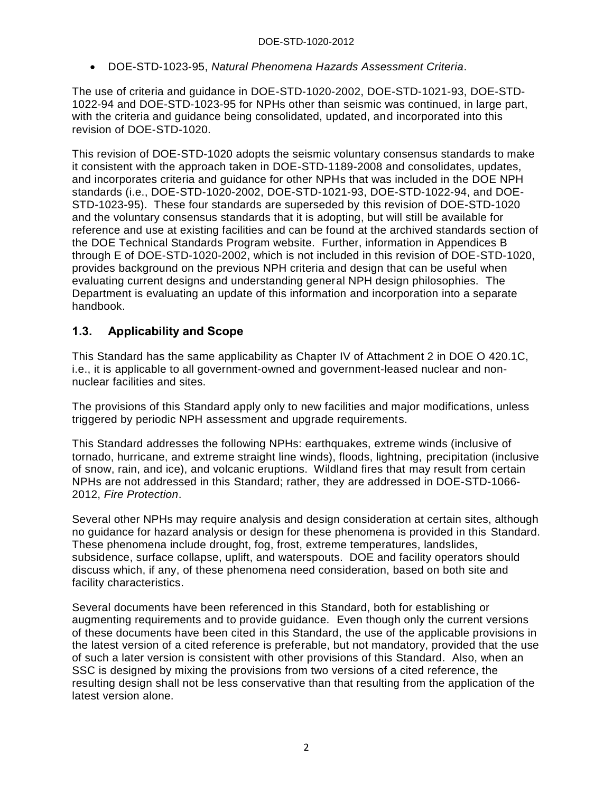DOE-STD-1023-95, *Natural Phenomena Hazards Assessment Criteria*.

The use of criteria and guidance in DOE-STD-1020-2002, DOE-STD-1021-93, DOE-STD-1022-94 and DOE-STD-1023-95 for NPHs other than seismic was continued, in large part, with the criteria and guidance being consolidated, updated, and incorporated into this revision of DOE-STD-1020.

This revision of DOE-STD-1020 adopts the seismic voluntary consensus standards to make it consistent with the approach taken in DOE-STD-1189-2008 and consolidates, updates, and incorporates criteria and guidance for other NPHs that was included in the DOE NPH standards (i.e., DOE-STD-1020-2002, DOE-STD-1021-93, DOE-STD-1022-94, and DOE-STD-1023-95). These four standards are superseded by this revision of DOE-STD-1020 and the voluntary consensus standards that it is adopting, but will still be available for reference and use at existing facilities and can be found at the archived standards section of the DOE Technical Standards Program website. Further, information in Appendices B through E of DOE-STD-1020-2002, which is not included in this revision of DOE-STD-1020, provides background on the previous NPH criteria and design that can be useful when evaluating current designs and understanding general NPH design philosophies. The Department is evaluating an update of this information and incorporation into a separate handbook.

#### <span id="page-7-0"></span>**1.3. Applicability and Scope**

This Standard has the same applicability as Chapter IV of Attachment 2 in DOE O 420.1C, i.e., it is applicable to all government-owned and government-leased nuclear and nonnuclear facilities and sites.

The provisions of this Standard apply only to new facilities and major modifications, unless triggered by periodic NPH assessment and upgrade requirements.

This Standard addresses the following NPHs: earthquakes, extreme winds (inclusive of tornado, hurricane, and extreme straight line winds), floods, lightning, precipitation (inclusive of snow, rain, and ice), and volcanic eruptions. Wildland fires that may result from certain NPHs are not addressed in this Standard; rather, they are addressed in DOE-STD-1066- 2012, *Fire Protection*.

Several other NPHs may require analysis and design consideration at certain sites, although no guidance for hazard analysis or design for these phenomena is provided in this Standard. These phenomena include drought, fog, frost, extreme temperatures, landslides, subsidence, surface collapse, uplift, and waterspouts. DOE and facility operators should discuss which, if any, of these phenomena need consideration, based on both site and facility characteristics.

Several documents have been referenced in this Standard, both for establishing or augmenting requirements and to provide guidance. Even though only the current versions of these documents have been cited in this Standard, the use of the applicable provisions in the latest version of a cited reference is preferable, but not mandatory, provided that the use of such a later version is consistent with other provisions of this Standard. Also, when an SSC is designed by mixing the provisions from two versions of a cited reference, the resulting design shall not be less conservative than that resulting from the application of the latest version alone.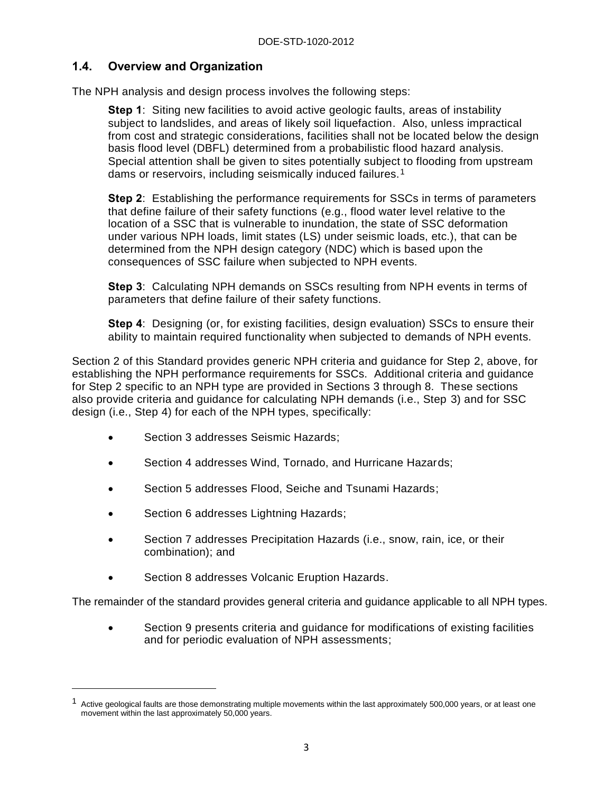#### <span id="page-8-0"></span>**1.4. Overview and Organization**

The NPH analysis and design process involves the following steps:

**Step 1**: Siting new facilities to avoid active geologic faults, areas of instability subject to landslides, and areas of likely soil liquefaction. Also, unless impractical from cost and strategic considerations, facilities shall not be located below the design basis flood level (DBFL) determined from a probabilistic flood hazard analysis. Special attention shall be given to sites potentially subject to flooding from upstream dams or reservoirs, including seismically induced failures.<sup>1</sup>

**Step 2**: Establishing the performance requirements for SSCs in terms of parameters that define failure of their safety functions (e.g., flood water level relative to the location of a SSC that is vulnerable to inundation, the state of SSC deformation under various NPH loads, limit states (LS) under seismic loads, etc.), that can be determined from the NPH design category (NDC) which is based upon the consequences of SSC failure when subjected to NPH events.

**Step 3**: Calculating NPH demands on SSCs resulting from NPH events in terms of parameters that define failure of their safety functions.

**Step 4**: Designing (or, for existing facilities, design evaluation) SSCs to ensure their ability to maintain required functionality when subjected to demands of NPH events.

Section 2 of this Standard provides generic NPH criteria and guidance for Step 2, above, for establishing the NPH performance requirements for SSCs. Additional criteria and guidance for Step 2 specific to an NPH type are provided in Sections 3 through 8. These sections also provide criteria and guidance for calculating NPH demands (i.e., Step 3) and for SSC design (i.e., Step 4) for each of the NPH types, specifically:

- Section 3 addresses Seismic Hazards;
- Section 4 addresses Wind, Tornado, and Hurricane Hazards;
- Section 5 addresses Flood, Seiche and Tsunami Hazards;
- Section 6 addresses Lightning Hazards;

 $\overline{a}$ 

- Section 7 addresses Precipitation Hazards (i.e., snow, rain, ice, or their combination); and
- Section 8 addresses Volcanic Eruption Hazards.

The remainder of the standard provides general criteria and guidance applicable to all NPH types.

 Section 9 presents criteria and guidance for modifications of existing facilities and for periodic evaluation of NPH assessments;

 $1$  Active geological faults are those demonstrating multiple movements within the last approximately 500,000 years, or at least one movement within the last approximately 50,000 years.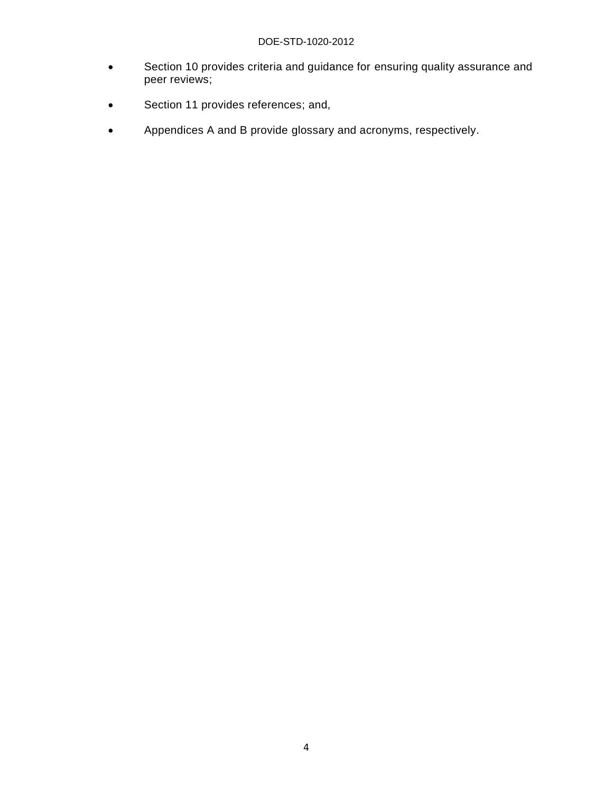- Section 10 provides criteria and guidance for ensuring quality assurance and peer reviews;
- **Section 11 provides references; and,**
- Appendices A and B provide glossary and acronyms, respectively.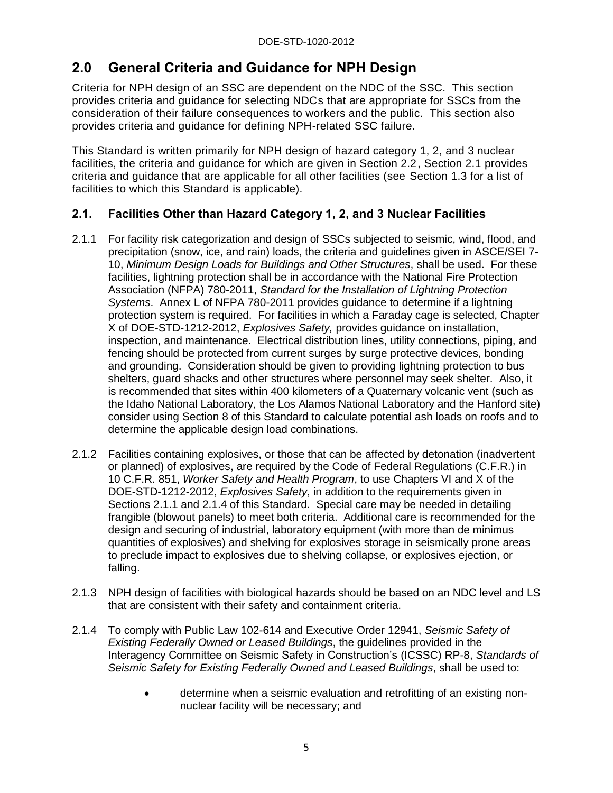## <span id="page-10-0"></span>**2.0 General Criteria and Guidance for NPH Design**

Criteria for NPH design of an SSC are dependent on the NDC of the SSC. This section provides criteria and guidance for selecting NDCs that are appropriate for SSCs from the consideration of their failure consequences to workers and the public. This section also provides criteria and guidance for defining NPH-related SSC failure.

This Standard is written primarily for NPH design of hazard category 1, 2, and 3 nuclear facilities, the criteria and guidance for which are given in Section 2.2, Section 2.1 provides criteria and guidance that are applicable for all other facilities (see Section 1.3 for a list of facilities to which this Standard is applicable).

#### <span id="page-10-1"></span>**2.1. Facilities Other than Hazard Category 1, 2, and 3 Nuclear Facilities**

- 2.1.1 For facility risk categorization and design of SSCs subjected to seismic, wind, flood, and precipitation (snow, ice, and rain) loads, the criteria and guidelines given in ASCE/SEI 7- 10, *Minimum Design Loads for Buildings and Other Structures*, shall be used. For these facilities, lightning protection shall be in accordance with the National Fire Protection Association (NFPA) 780-2011, *Standard for the Installation of Lightning Protection Systems*. Annex L of NFPA 780-2011 provides guidance to determine if a lightning protection system is required. For facilities in which a Faraday cage is selected, Chapter X of DOE-STD-1212-2012, *Explosives Safety,* provides guidance on installation, inspection, and maintenance. Electrical distribution lines, utility connections, piping, and fencing should be protected from current surges by surge protective devices, bonding and grounding. Consideration should be given to providing lightning protection to bus shelters, guard shacks and other structures where personnel may seek shelter. Also, it is recommended that sites within 400 kilometers of a Quaternary volcanic vent (such as the Idaho National Laboratory, the Los Alamos National Laboratory and the Hanford site) consider using Section 8 of this Standard to calculate potential ash loads on roofs and to determine the applicable design load combinations.
- 2.1.2 Facilities containing explosives, or those that can be affected by detonation (inadvertent or planned) of explosives, are required by the Code of Federal Regulations (C.F.R.) in 10 C.F.R. 851, *Worker Safety and Health Program*, to use Chapters VI and X of the DOE-STD-1212-2012, *Explosives Safety*, in addition to the requirements given in Sections 2.1.1 and 2.1.4 of this Standard. Special care may be needed in detailing frangible (blowout panels) to meet both criteria. Additional care is recommended for the design and securing of industrial, laboratory equipment (with more than de minimus quantities of explosives) and shelving for explosives storage in seismically prone areas to preclude impact to explosives due to shelving collapse, or explosives ejection, or falling.
- 2.1.3 NPH design of facilities with biological hazards should be based on an NDC level and LS that are consistent with their safety and containment criteria.
- 2.1.4 To comply with Public Law 102-614 and Executive Order 12941, *Seismic Safety of Existing Federally Owned or Leased Buildings*, the guidelines provided in the Interagency Committee on Seismic Safety in Construction's (ICSSC) RP-8, *Standards of Seismic Safety for Existing Federally Owned and Leased Buildings*, shall be used to:
	- determine when a seismic evaluation and retrofitting of an existing nonnuclear facility will be necessary; and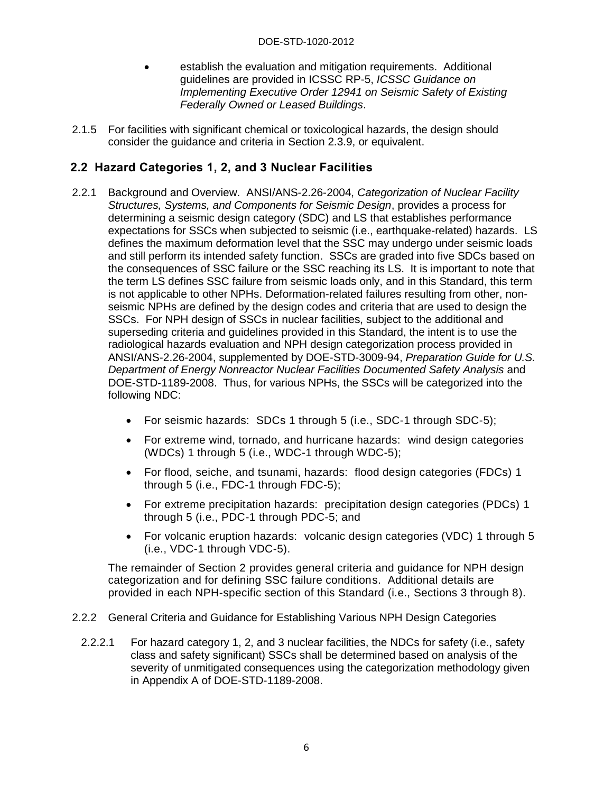- establish the evaluation and mitigation requirements. Additional guidelines are provided in ICSSC RP-5, *ICSSC Guidance on Implementing Executive Order 12941 on Seismic Safety of Existing Federally Owned or Leased Buildings*.
- 2.1.5 For facilities with significant chemical or toxicological hazards, the design should consider the guidance and criteria in Section 2.3.9, or equivalent.

#### <span id="page-11-0"></span>**2.2 Hazard Categories 1, 2, and 3 Nuclear Facilities**

- 2.2.1 Background and Overview. ANSI/ANS-2.26-2004, *Categorization of Nuclear Facility Structures, Systems, and Components for Seismic Design*, provides a process for determining a seismic design category (SDC) and LS that establishes performance expectations for SSCs when subjected to seismic (i.e., earthquake-related) hazards. LS defines the maximum deformation level that the SSC may undergo under seismic loads and still perform its intended safety function. SSCs are graded into five SDCs based on the consequences of SSC failure or the SSC reaching its LS. It is important to note that the term LS defines SSC failure from seismic loads only, and in this Standard, this term is not applicable to other NPHs. Deformation-related failures resulting from other, nonseismic NPHs are defined by the design codes and criteria that are used to design the SSCs. For NPH design of SSCs in nuclear facilities, subject to the additional and superseding criteria and guidelines provided in this Standard, the intent is to use the radiological hazards evaluation and NPH design categorization process provided in ANSI/ANS-2.26-2004, supplemented by DOE-STD-3009-94, *Preparation Guide for U.S. Department of Energy Nonreactor Nuclear Facilities Documented Safety Analysis* and DOE-STD-1189-2008. Thus, for various NPHs, the SSCs will be categorized into the following NDC:
	- For seismic hazards: SDCs 1 through 5 (i.e., SDC-1 through SDC-5);
	- For extreme wind, tornado, and hurricane hazards: wind design categories (WDCs) 1 through 5 (i.e., WDC-1 through WDC-5);
	- For flood, seiche, and tsunami, hazards: flood design categories (FDCs) 1 through 5 (i.e., FDC-1 through FDC-5);
	- For extreme precipitation hazards: precipitation design categories (PDCs) 1 through 5 (i.e., PDC-1 through PDC-5; and
	- For volcanic eruption hazards: volcanic design categories (VDC) 1 through 5 (i.e., VDC-1 through VDC-5).

The remainder of Section 2 provides general criteria and guidance for NPH design categorization and for defining SSC failure conditions. Additional details are provided in each NPH-specific section of this Standard (i.e., Sections 3 through 8).

- <span id="page-11-1"></span>2.2.2 General Criteria and Guidance for Establishing Various NPH Design Categories
	- 2.2.2.1 For hazard category 1, 2, and 3 nuclear facilities, the NDCs for safety (i.e., safety class and safety significant) SSCs shall be determined based on analysis of the severity of unmitigated consequences using the categorization methodology given in Appendix A of DOE-STD-1189-2008.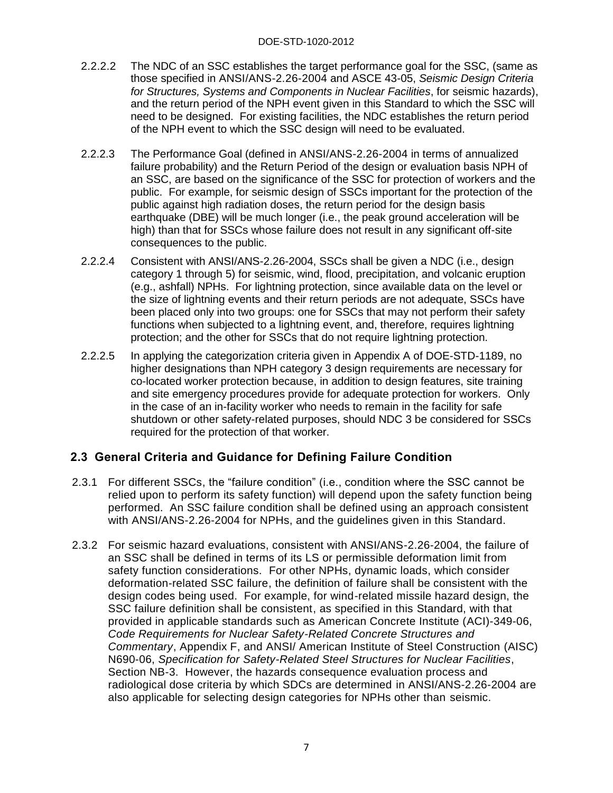- 2.2.2.2 The NDC of an SSC establishes the target performance goal for the SSC, (same as those specified in ANSI/ANS-2.26-2004 and ASCE 43-05, *Seismic Design Criteria for Structures, Systems and Components in Nuclear Facilities*, for seismic hazards), and the return period of the NPH event given in this Standard to which the SSC will need to be designed. For existing facilities, the NDC establishes the return period of the NPH event to which the SSC design will need to be evaluated.
- 2.2.2.3 The Performance Goal (defined in ANSI/ANS-2.26-2004 in terms of annualized failure probability) and the Return Period of the design or evaluation basis NPH of an SSC, are based on the significance of the SSC for protection of workers and the public. For example, for seismic design of SSCs important for the protection of the public against high radiation doses, the return period for the design basis earthquake (DBE) will be much longer (i.e., the peak ground acceleration will be high) than that for SSCs whose failure does not result in any significant off-site consequences to the public.
- 2.2.2.4 Consistent with ANSI/ANS-2.26-2004, SSCs shall be given a NDC (i.e., design category 1 through 5) for seismic, wind, flood, precipitation, and volcanic eruption (e.g., ashfall) NPHs. For lightning protection, since available data on the level or the size of lightning events and their return periods are not adequate, SSCs have been placed only into two groups: one for SSCs that may not perform their safety functions when subjected to a lightning event, and, therefore, requires lightning protection; and the other for SSCs that do not require lightning protection.
- 2.2.2.5 In applying the categorization criteria given in Appendix A of DOE-STD-1189, no higher designations than NPH category 3 design requirements are necessary for co-located worker protection because, in addition to design features, site training and site emergency procedures provide for adequate protection for workers. Only in the case of an in-facility worker who needs to remain in the facility for safe shutdown or other safety-related purposes, should NDC 3 be considered for SSCs required for the protection of that worker.

#### **2.3 General Criteria and Guidance for Defining Failure Condition**

- 2.3.1 For different SSCs, the "failure condition" (i.e., condition where the SSC cannot be relied upon to perform its safety function) will depend upon the safety function being performed. An SSC failure condition shall be defined using an approach consistent with ANSI/ANS-2.26-2004 for NPHs, and the guidelines given in this Standard.
- 2.3.2 For seismic hazard evaluations, consistent with ANSI/ANS-2.26-2004, the failure of an SSC shall be defined in terms of its LS or permissible deformation limit from safety function considerations. For other NPHs, dynamic loads, which consider deformation-related SSC failure, the definition of failure shall be consistent with the design codes being used. For example, for wind-related missile hazard design, the SSC failure definition shall be consistent, as specified in this Standard, with that provided in applicable standards such as American Concrete Institute (ACI)-349-06, *Code Requirements for Nuclear Safety-Related Concrete Structures and Commentary*, Appendix F, and ANSI/ American Institute of Steel Construction (AISC) N690-06, *Specification for Safety-Related Steel Structures for Nuclear Facilities*, Section NB-3. However, the hazards consequence evaluation process and radiological dose criteria by which SDCs are determined in ANSI/ANS-2.26-2004 are also applicable for selecting design categories for NPHs other than seismic.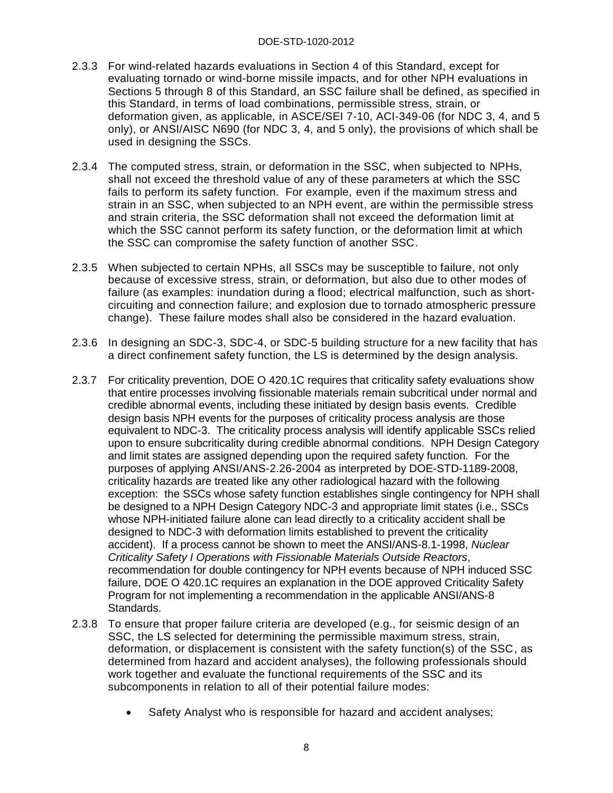- 2.3.3 For wind-related hazards evaluations in Section 4 of this Standard, except for evaluating tornado or wind-borne missile impacts, and for other NPH evaluations in Sections 5 through 8 of this Standard, an SSC failure shall be defined, as specified in this Standard, in terms of load combinations, permissible stress, strain, or deformation given, as applicable, in ASCE/SEI 7-10, ACI-349-06 (for NDC 3, 4, and 5 only), or ANSI/AISC N690 (for NDC 3, 4, and 5 only), the provisions of which shall be used in designing the SSCs.
- 2.3.4 The computed stress, strain, or deformation in the SSC, when subjected to NPHs, shall not exceed the threshold value of any of these parameters at which the SSC fails to perform its safety function. For example, even if the maximum stress and strain in an SSC, when subjected to an NPH event, are within the permissible stress and strain criteria, the SSC deformation shall not exceed the deformation limit at which the SSC cannot perform its safety function, or the deformation limit at which the SSC can compromise the safety function of another SSC.
- 2.3.5 When subjected to certain NPHs, all SSCs may be susceptible to failure, not only because of excessive stress, strain, or deformation, but also due to other modes of failure (as examples: inundation during a flood; electrical malfunction, such as shortcircuiting and connection failure; and explosion due to tornado atmospheric pressure change). These failure modes shall also be considered in the hazard evaluation.
- 2.3.6 In designing an SDC-3, SDC-4, or SDC-5 building structure for a new facility that has a direct confinement safety function, the LS is determined by the design analysis.
- 2.3.7 For criticality prevention, DOE O 420.1C requires that criticality safety evaluations show that entire processes involving fissionable materials remain subcritical under normal and credible abnormal events, including these initiated by design basis events. Credible design basis NPH events for the purposes of criticality process analysis are those equivalent to NDC-3. The criticality process analysis will identify applicable SSCs relied upon to ensure subcriticality during credible abnormal conditions. NPH Design Category and limit states are assigned depending upon the required safety function. For the purposes of applying ANSI/ANS-2.26-2004 as interpreted by DOE-STD-1189-2008, criticality hazards are treated like any other radiological hazard with the following exception: the SSCs whose safety function establishes single contingency for NPH shall be designed to a NPH Design Category NDC-3 and appropriate limit states (i.e., SSCs whose NPH-initiated failure alone can lead directly to a criticality accident shall be designed to NDC-3 with deformation limits established to prevent the criticality accident). If a process cannot be shown to meet the ANSI/ANS-8.1-1998, *Nuclear Criticality Safety I Operations with Fissionable Materials Outside Reactors*, recommendation for double contingency for NPH events because of NPH induced SSC failure, DOE O 420.1C requires an explanation in the DOE approved Criticality Safety Program for not implementing a recommendation in the applicable ANSI/ANS-8 Standards.
- 2.3.8 To ensure that proper failure criteria are developed (e.g., for seismic design of an SSC, the LS selected for determining the permissible maximum stress, strain, deformation, or displacement is consistent with the safety function(s) of the SSC, as determined from hazard and accident analyses), the following professionals should work together and evaluate the functional requirements of the SSC and its subcomponents in relation to all of their potential failure modes:
	- Safety Analyst who is responsible for hazard and accident analyses;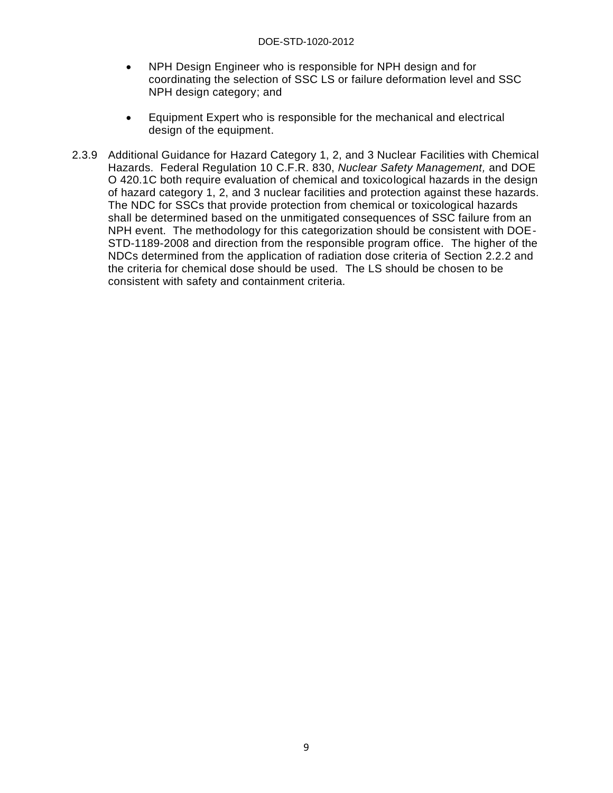#### DOE-STD-1020-2012

- NPH Design Engineer who is responsible for NPH design and for coordinating the selection of SSC LS or failure deformation level and SSC NPH design category; and
- Equipment Expert who is responsible for the mechanical and electrical design of the equipment.
- 2.3.9 Additional Guidance for Hazard Category 1, 2, and 3 Nuclear Facilities with Chemical Hazards. Federal Regulation 10 C.F.R. 830, *Nuclear Safety Management,* and DOE O 420.1C both require evaluation of chemical and toxicological hazards in the design of hazard category 1, 2, and 3 nuclear facilities and protection against these hazards. The NDC for SSCs that provide protection from chemical or toxicological hazards shall be determined based on the unmitigated consequences of SSC failure from an NPH event. The methodology for this categorization should be consistent with DOE-STD-1189-2008 and direction from the responsible program office. The higher of the NDCs determined from the application of radiation dose criteria of Section 2.2.2 and the criteria for chemical dose should be used. The LS should be chosen to be consistent with safety and containment criteria.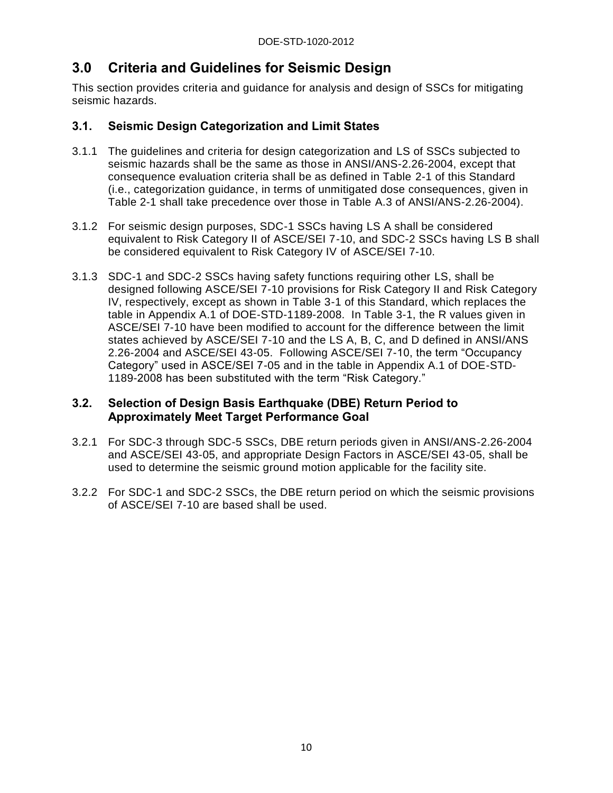## <span id="page-15-0"></span>**3.0 Criteria and Guidelines for Seismic Design**

This section provides criteria and guidance for analysis and design of SSCs for mitigating seismic hazards.

#### <span id="page-15-1"></span>**3.1. Seismic Design Categorization and Limit States**

- 3.1.1 The guidelines and criteria for design categorization and LS of SSCs subjected to seismic hazards shall be the same as those in ANSI/ANS-2.26-2004, except that consequence evaluation criteria shall be as defined in Table 2-1 of this Standard (i.e., categorization guidance, in terms of unmitigated dose consequences, given in Table 2-1 shall take precedence over those in Table A.3 of ANSI/ANS-2.26-2004).
- 3.1.2 For seismic design purposes, SDC-1 SSCs having LS A shall be considered equivalent to Risk Category II of ASCE/SEI 7-10, and SDC-2 SSCs having LS B shall be considered equivalent to Risk Category IV of ASCE/SEI 7-10.
- 3.1.3 SDC-1 and SDC-2 SSCs having safety functions requiring other LS, shall be designed following ASCE/SEI 7-10 provisions for Risk Category II and Risk Category IV, respectively, except as shown in Table 3-1 of this Standard, which replaces the table in Appendix A.1 of DOE-STD-1189-2008. In Table 3-1, the R values given in ASCE/SEI 7-10 have been modified to account for the difference between the limit states achieved by ASCE/SEI 7-10 and the LS A, B, C, and D defined in ANSI/ANS 2.26-2004 and ASCE/SEI 43-05. Following ASCE/SEI 7-10, the term "Occupancy Category" used in ASCE/SEI 7-05 and in the table in Appendix A.1 of DOE-STD-1189-2008 has been substituted with the term "Risk Category."

#### <span id="page-15-2"></span>**3.2. Selection of Design Basis Earthquake (DBE) Return Period to Approximately Meet Target Performance Goal**

- 3.2.1 For SDC-3 through SDC-5 SSCs, DBE return periods given in ANSI/ANS-2.26-2004 and ASCE/SEI 43-05, and appropriate Design Factors in ASCE/SEI 43-05, shall be used to determine the seismic ground motion applicable for the facility site.
- 3.2.2 For SDC-1 and SDC-2 SSCs, the DBE return period on which the seismic provisions of ASCE/SEI 7-10 are based shall be used.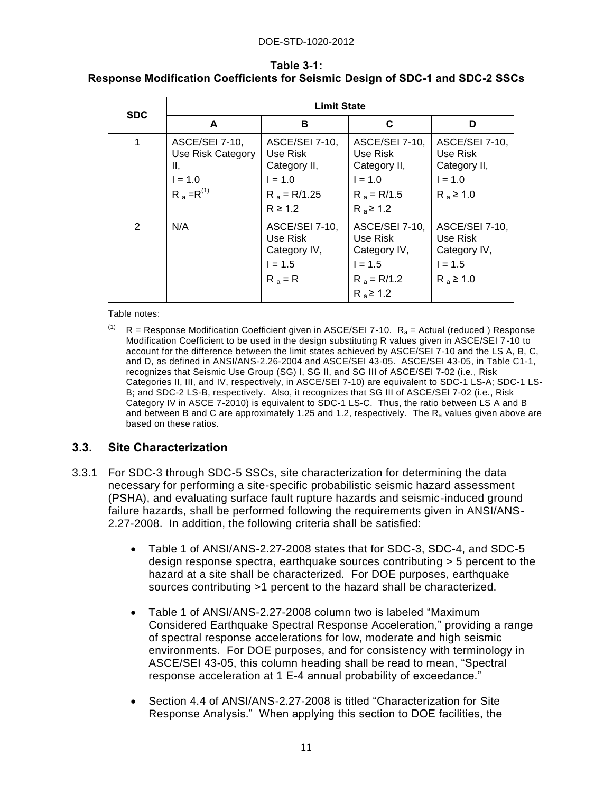| <b>SDC</b> | <b>Limit State</b>                                                         |                                                                                           |                                                                                            |                                                                           |
|------------|----------------------------------------------------------------------------|-------------------------------------------------------------------------------------------|--------------------------------------------------------------------------------------------|---------------------------------------------------------------------------|
|            | A                                                                          | в                                                                                         | C                                                                                          | D                                                                         |
| 1          | ASCE/SEI 7-10,<br>Use Risk Category<br>II,<br>$I = 1.0$<br>$R_a = R^{(1)}$ | ASCE/SEI 7-10,<br>Use Risk<br>Category II,<br>$I = 1.0$<br>$R_a = R/1.25$<br>$R \geq 1.2$ | ASCE/SEI 7-10,<br>Use Risk<br>Category II,<br>$I = 1.0$<br>$R_a = R/1.5$<br>$R_a \geq 1.2$ | ASCE/SEI 7-10,<br>Use Risk<br>Category II,<br>$I = 1.0$<br>$R_a \geq 1.0$ |
| 2          | N/A                                                                        | ASCE/SEI 7-10,<br>Use Risk<br>Category IV,<br>$I = 1.5$<br>$R_a = R$                      | ASCE/SEI 7-10,<br>Use Risk<br>Category IV,<br>$I = 1.5$<br>$R_a = R/1.2$<br>$R_a \ge 1.2$  | ASCE/SEI 7-10,<br>Use Risk<br>Category IV,<br>$I = 1.5$<br>$R_a \geq 1.0$ |

#### <span id="page-16-1"></span>**Table 3-1: Response Modification Coefficients for Seismic Design of SDC-1 and SDC-2 SSCs**

Table notes:

<sup>(1)</sup>  $R =$  Response Modification Coefficient given in ASCE/SEI 7-10.  $R<sub>a</sub>$  = Actual (reduced ) Response Modification Coefficient to be used in the design substituting R values given in ASCE/SEI 7-10 to account for the difference between the limit states achieved by ASCE/SEI 7-10 and the LS A, B, C, and D, as defined in ANSI/ANS-2.26-2004 and ASCE/SEI 43-05. ASCE/SEI 43-05, in Table C1-1, recognizes that Seismic Use Group (SG) I, SG II, and SG III of ASCE/SEI 7-02 (i.e., Risk Categories II, III, and IV, respectively, in ASCE/SEI 7-10) are equivalent to SDC-1 LS-A; SDC-1 LS-B; and SDC-2 LS-B, respectively. Also, it recognizes that SG III of ASCE/SEI 7-02 (i.e., Risk Category IV in ASCE 7-2010) is equivalent to SDC-1 LS-C. Thus, the ratio between LS A and B and between B and C are approximately 1.25 and 1.2, respectively. The  $R_a$  values given above are based on these ratios.

#### <span id="page-16-0"></span>**3.3. Site Characterization**

- 3.3.1 For SDC-3 through SDC-5 SSCs, site characterization for determining the data necessary for performing a site-specific probabilistic seismic hazard assessment (PSHA), and evaluating surface fault rupture hazards and seismic-induced ground failure hazards, shall be performed following the requirements given in ANSI/ANS-2.27-2008. In addition, the following criteria shall be satisfied:
	- Table 1 of ANSI/ANS-2.27-2008 states that for SDC-3, SDC-4, and SDC-5 design response spectra, earthquake sources contributing > 5 percent to the hazard at a site shall be characterized. For DOE purposes, earthquake sources contributing >1 percent to the hazard shall be characterized.
	- Table 1 of ANSI/ANS-2.27-2008 column two is labeled "Maximum Considered Earthquake Spectral Response Acceleration," providing a range of spectral response accelerations for low, moderate and high seismic environments. For DOE purposes, and for consistency with terminology in ASCE/SEI 43-05, this column heading shall be read to mean, "Spectral response acceleration at 1 E-4 annual probability of exceedance."
	- Section 4.4 of ANSI/ANS-2.27-2008 is titled "Characterization for Site Response Analysis." When applying this section to DOE facilities, the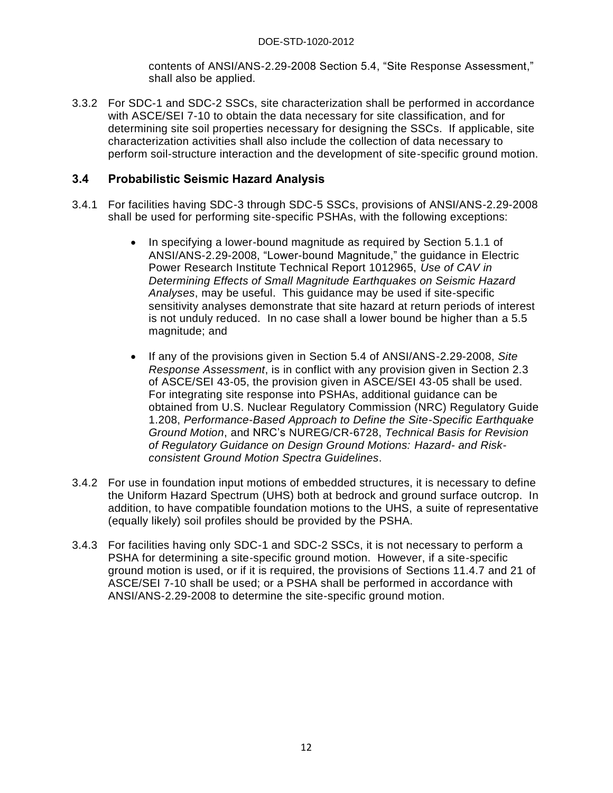contents of ANSI/ANS-2.29-2008 Section 5.4, "Site Response Assessment," shall also be applied.

3.3.2 For SDC-1 and SDC-2 SSCs, site characterization shall be performed in accordance with ASCE/SEI 7-10 to obtain the data necessary for site classification, and for determining site soil properties necessary for designing the SSCs. If applicable, site characterization activities shall also include the collection of data necessary to perform soil-structure interaction and the development of site-specific ground motion.

#### <span id="page-17-0"></span>**3.4 Probabilistic Seismic Hazard Analysis**

- 3.4.1 For facilities having SDC-3 through SDC-5 SSCs, provisions of ANSI/ANS-2.29-2008 shall be used for performing site-specific PSHAs, with the following exceptions:
	- In specifying a lower-bound magnitude as required by Section 5.1.1 of ANSI/ANS-2.29-2008, "Lower-bound Magnitude," the guidance in Electric Power Research Institute Technical Report 1012965, *Use of CAV in Determining Effects of Small Magnitude Earthquakes on Seismic Hazard Analyses*, may be useful. This guidance may be used if site-specific sensitivity analyses demonstrate that site hazard at return periods of interest is not unduly reduced. In no case shall a lower bound be higher than a 5.5 magnitude; and
	- If any of the provisions given in Section 5.4 of ANSI/ANS-2.29-2008, *Site Response Assessment*, is in conflict with any provision given in Section 2.3 of ASCE/SEI 43-05, the provision given in ASCE/SEI 43-05 shall be used. For integrating site response into PSHAs, additional guidance can be obtained from U.S. Nuclear Regulatory Commission (NRC) Regulatory Guide 1.208, *Performance-Based Approach to Define the Site-Specific Earthquake Ground Motion*, and NRC's NUREG/CR-6728, *Technical Basis for Revision of Regulatory Guidance on Design Ground Motions: Hazard- and Riskconsistent Ground Motion Spectra Guidelines*.
- 3.4.2 For use in foundation input motions of embedded structures, it is necessary to define the Uniform Hazard Spectrum (UHS) both at bedrock and ground surface outcrop. In addition, to have compatible foundation motions to the UHS, a suite of representative (equally likely) soil profiles should be provided by the PSHA.
- 3.4.3 For facilities having only SDC-1 and SDC-2 SSCs, it is not necessary to perform a PSHA for determining a site-specific ground motion. However, if a site-specific ground motion is used, or if it is required, the provisions of Sections 11.4.7 and 21 of ASCE/SEI 7-10 shall be used; or a PSHA shall be performed in accordance with ANSI/ANS-2.29-2008 to determine the site-specific ground motion.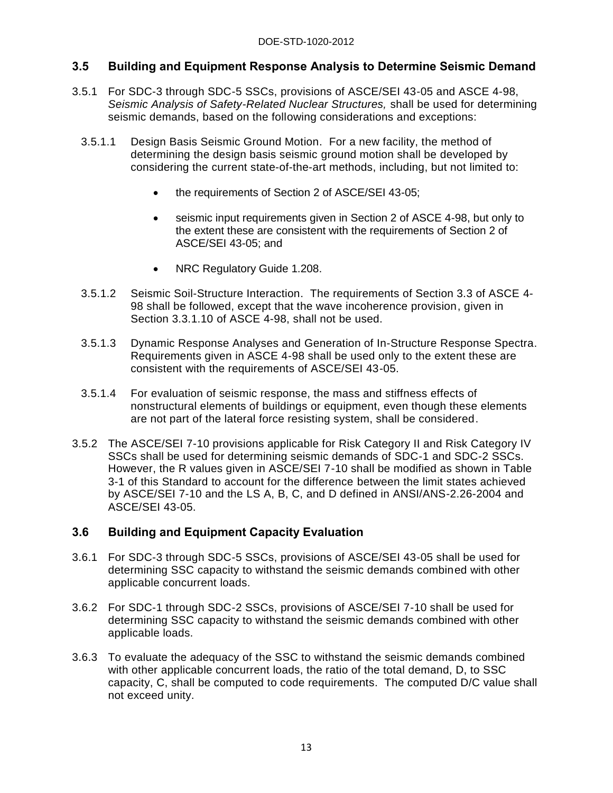#### <span id="page-18-0"></span>**3.5 Building and Equipment Response Analysis to Determine Seismic Demand**

- 3.5.1 For SDC-3 through SDC-5 SSCs, provisions of ASCE/SEI 43-05 and ASCE 4-98, *Seismic Analysis of Safety-Related Nuclear Structures,* shall be used for determining seismic demands, based on the following considerations and exceptions:
	- 3.5.1.1 Design Basis Seismic Ground Motion. For a new facility, the method of determining the design basis seismic ground motion shall be developed by considering the current state-of-the-art methods, including, but not limited to:
		- the requirements of Section 2 of ASCE/SEI 43-05;
		- seismic input requirements given in Section 2 of ASCE 4-98, but only to the extent these are consistent with the requirements of Section 2 of ASCE/SEI 43-05; and
		- NRC Regulatory Guide 1.208.
	- 3.5.1.2 Seismic Soil-Structure Interaction. The requirements of Section 3.3 of ASCE 4- 98 shall be followed, except that the wave incoherence provision, given in Section 3.3.1.10 of ASCE 4-98, shall not be used.
	- 3.5.1.3 Dynamic Response Analyses and Generation of In-Structure Response Spectra. Requirements given in ASCE 4-98 shall be used only to the extent these are consistent with the requirements of ASCE/SEI 43-05.
	- 3.5.1.4 For evaluation of seismic response, the mass and stiffness effects of nonstructural elements of buildings or equipment, even though these elements are not part of the lateral force resisting system, shall be considered.
- 3.5.2 The ASCE/SEI 7-10 provisions applicable for Risk Category II and Risk Category IV SSCs shall be used for determining seismic demands of SDC-1 and SDC-2 SSCs. However, the R values given in ASCE/SEI 7-10 shall be modified as shown in Table 3-1 of this Standard to account for the difference between the limit states achieved by ASCE/SEI 7-10 and the LS A, B, C, and D defined in ANSI/ANS-2.26-2004 and ASCE/SEI 43-05.

#### <span id="page-18-1"></span>**3.6 Building and Equipment Capacity Evaluation**

- 3.6.1 For SDC-3 through SDC-5 SSCs, provisions of ASCE/SEI 43-05 shall be used for determining SSC capacity to withstand the seismic demands combined with other applicable concurrent loads.
- 3.6.2 For SDC-1 through SDC-2 SSCs, provisions of ASCE/SEI 7-10 shall be used for determining SSC capacity to withstand the seismic demands combined with other applicable loads.
- 3.6.3 To evaluate the adequacy of the SSC to withstand the seismic demands combined with other applicable concurrent loads, the ratio of the total demand, D, to SSC capacity, C, shall be computed to code requirements. The computed D/C value shall not exceed unity.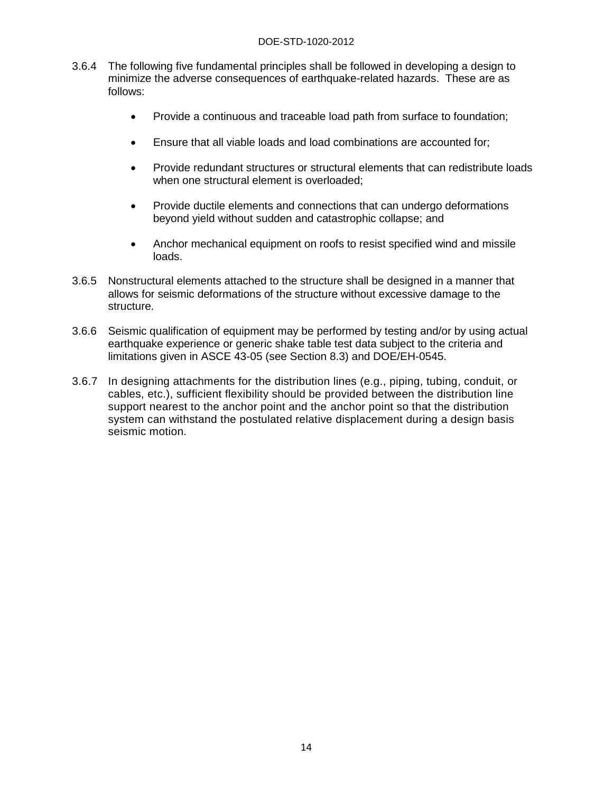- 3.6.4 The following five fundamental principles shall be followed in developing a design to minimize the adverse consequences of earthquake-related hazards. These are as follows:
	- Provide a continuous and traceable load path from surface to foundation;
	- Ensure that all viable loads and load combinations are accounted for;
	- Provide redundant structures or structural elements that can redistribute loads when one structural element is overloaded;
	- Provide ductile elements and connections that can undergo deformations beyond yield without sudden and catastrophic collapse; and
	- Anchor mechanical equipment on roofs to resist specified wind and missile loads.
- 3.6.5 Nonstructural elements attached to the structure shall be designed in a manner that allows for seismic deformations of the structure without excessive damage to the structure.
- 3.6.6 Seismic qualification of equipment may be performed by testing and/or by using actual earthquake experience or generic shake table test data subject to the criteria and limitations given in ASCE 43-05 (see Section 8.3) and DOE/EH-0545.
- 3.6.7 In designing attachments for the distribution lines (e.g., piping, tubing, conduit, or cables, etc.), sufficient flexibility should be provided between the distribution line support nearest to the anchor point and the anchor point so that the distribution system can withstand the postulated relative displacement during a design basis seismic motion.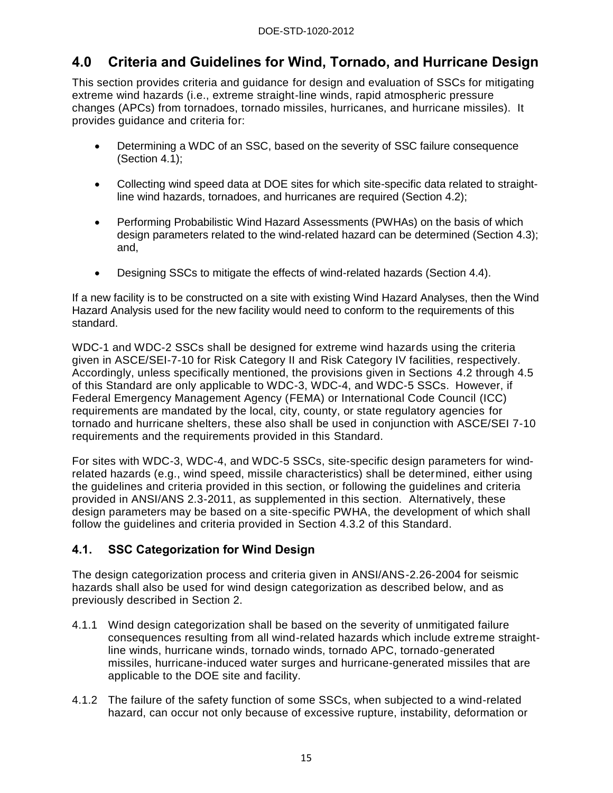## <span id="page-20-0"></span>**4.0 Criteria and Guidelines for Wind, Tornado, and Hurricane Design**

This section provides criteria and guidance for design and evaluation of SSCs for mitigating extreme wind hazards (i.e., extreme straight-line winds, rapid atmospheric pressure changes (APCs) from tornadoes, tornado missiles, hurricanes, and hurricane missiles). It provides guidance and criteria for:

- Determining a WDC of an SSC, based on the severity of SSC failure consequence (Section 4.1);
- Collecting wind speed data at DOE sites for which site-specific data related to straightline wind hazards, tornadoes, and hurricanes are required (Section 4.2);
- Performing Probabilistic Wind Hazard Assessments (PWHAs) on the basis of which design parameters related to the wind-related hazard can be determined (Section 4.3); and,
- Designing SSCs to mitigate the effects of wind-related hazards (Section 4.4).

If a new facility is to be constructed on a site with existing Wind Hazard Analyses, then the Wind Hazard Analysis used for the new facility would need to conform to the requirements of this standard.

WDC-1 and WDC-2 SSCs shall be designed for extreme wind hazards using the criteria given in ASCE/SEI-7-10 for Risk Category II and Risk Category IV facilities, respectively. Accordingly, unless specifically mentioned, the provisions given in Sections 4.2 through 4.5 of this Standard are only applicable to WDC-3, WDC-4, and WDC-5 SSCs. However, if Federal Emergency Management Agency (FEMA) or International Code Council (ICC) requirements are mandated by the local, city, county, or state regulatory agencies for tornado and hurricane shelters, these also shall be used in conjunction with ASCE/SEI 7-10 requirements and the requirements provided in this Standard.

For sites with WDC-3, WDC-4, and WDC-5 SSCs, site-specific design parameters for windrelated hazards (e.g., wind speed, missile characteristics) shall be determined, either using the guidelines and criteria provided in this section, or following the guidelines and criteria provided in ANSI/ANS 2.3-2011, as supplemented in this section. Alternatively, these design parameters may be based on a site-specific PWHA, the development of which shall follow the guidelines and criteria provided in Section 4.3.2 of this Standard.

#### <span id="page-20-1"></span>**4.1. SSC Categorization for Wind Design**

The design categorization process and criteria given in ANSI/ANS-2.26-2004 for seismic hazards shall also be used for wind design categorization as described below, and as previously described in Section 2.

- 4.1.1 Wind design categorization shall be based on the severity of unmitigated failure consequences resulting from all wind-related hazards which include extreme straightline winds, hurricane winds, tornado winds, tornado APC, tornado-generated missiles, hurricane-induced water surges and hurricane-generated missiles that are applicable to the DOE site and facility.
- 4.1.2 The failure of the safety function of some SSCs, when subjected to a wind-related hazard, can occur not only because of excessive rupture, instability, deformation or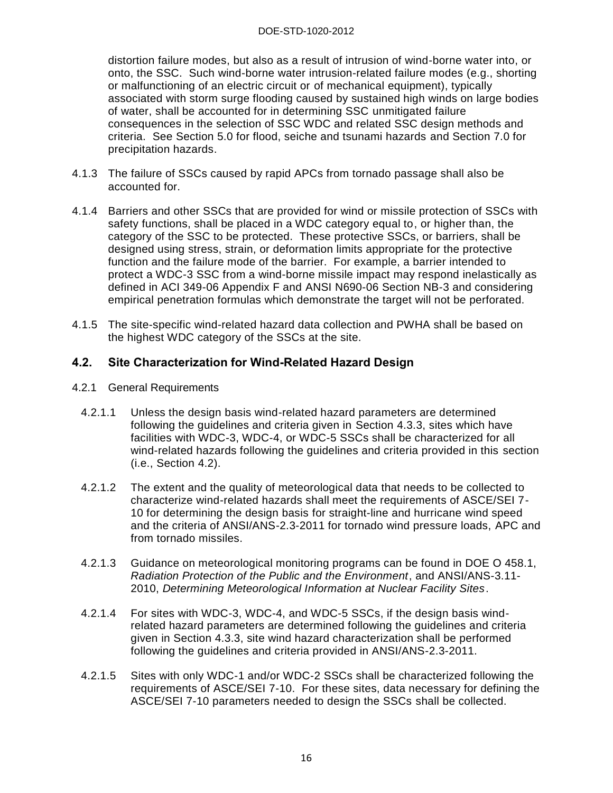#### DOE-STD-1020-2012

distortion failure modes, but also as a result of intrusion of wind-borne water into, or onto, the SSC. Such wind-borne water intrusion-related failure modes (e.g., shorting or malfunctioning of an electric circuit or of mechanical equipment), typically associated with storm surge flooding caused by sustained high winds on large bodies of water, shall be accounted for in determining SSC unmitigated failure consequences in the selection of SSC WDC and related SSC design methods and criteria. See Section 5.0 for flood, seiche and tsunami hazards and Section 7.0 for precipitation hazards.

- 4.1.3 The failure of SSCs caused by rapid APCs from tornado passage shall also be accounted for.
- 4.1.4 Barriers and other SSCs that are provided for wind or missile protection of SSCs with safety functions, shall be placed in a WDC category equal to, or higher than, the category of the SSC to be protected. These protective SSCs, or barriers, shall be designed using stress, strain, or deformation limits appropriate for the protective function and the failure mode of the barrier. For example, a barrier intended to protect a WDC-3 SSC from a wind-borne missile impact may respond inelastically as defined in ACI 349-06 Appendix F and ANSI N690-06 Section NB-3 and considering empirical penetration formulas which demonstrate the target will not be perforated.
- 4.1.5 The site-specific wind-related hazard data collection and PWHA shall be based on the highest WDC category of the SSCs at the site.

#### <span id="page-21-0"></span>**4.2. Site Characterization for Wind-Related Hazard Design**

- 4.2.1 General Requirements
	- 4.2.1.1 Unless the design basis wind-related hazard parameters are determined following the guidelines and criteria given in Section 4.3.3, sites which have facilities with WDC-3, WDC-4, or WDC-5 SSCs shall be characterized for all wind-related hazards following the guidelines and criteria provided in this section (i.e., Section 4.2).
	- 4.2.1.2 The extent and the quality of meteorological data that needs to be collected to characterize wind-related hazards shall meet the requirements of ASCE/SEI 7- 10 for determining the design basis for straight-line and hurricane wind speed and the criteria of ANSI/ANS-2.3-2011 for tornado wind pressure loads, APC and from tornado missiles.
	- 4.2.1.3 Guidance on meteorological monitoring programs can be found in DOE O 458.1, *Radiation Protection of the Public and the Environment*, and ANSI/ANS-3.11- 2010, *Determining Meteorological Information at Nuclear Facility Sites*.
	- 4.2.1.4 For sites with WDC-3, WDC-4, and WDC-5 SSCs, if the design basis windrelated hazard parameters are determined following the guidelines and criteria given in Section 4.3.3, site wind hazard characterization shall be performed following the guidelines and criteria provided in ANSI/ANS-2.3-2011.
	- 4.2.1.5 Sites with only WDC-1 and/or WDC-2 SSCs shall be characterized following the requirements of ASCE/SEI 7-10. For these sites, data necessary for defining the ASCE/SEI 7-10 parameters needed to design the SSCs shall be collected.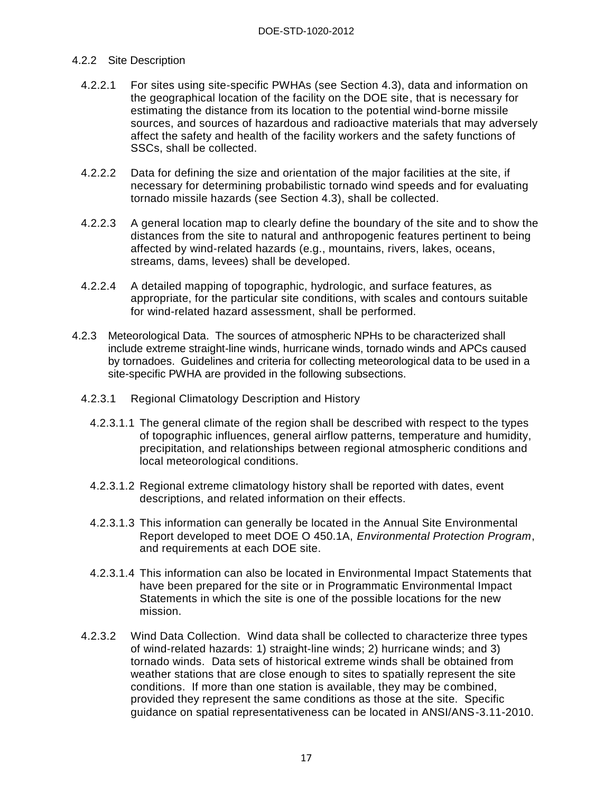#### 4.2.2 Site Description

- 4.2.2.1 For sites using site-specific PWHAs (see Section 4.3), data and information on the geographical location of the facility on the DOE site, that is necessary for estimating the distance from its location to the potential wind-borne missile sources, and sources of hazardous and radioactive materials that may adversely affect the safety and health of the facility workers and the safety functions of SSCs, shall be collected.
- 4.2.2.2 Data for defining the size and orientation of the major facilities at the site, if necessary for determining probabilistic tornado wind speeds and for evaluating tornado missile hazards (see Section 4.3), shall be collected.
- 4.2.2.3 A general location map to clearly define the boundary of the site and to show the distances from the site to natural and anthropogenic features pertinent to being affected by wind-related hazards (e.g., mountains, rivers, lakes, oceans, streams, dams, levees) shall be developed.
- 4.2.2.4 A detailed mapping of topographic, hydrologic, and surface features, as appropriate, for the particular site conditions, with scales and contours suitable for wind-related hazard assessment, shall be performed.
- 4.2.3 Meteorological Data. The sources of atmospheric NPHs to be characterized shall include extreme straight-line winds, hurricane winds, tornado winds and APCs caused by tornadoes. Guidelines and criteria for collecting meteorological data to be used in a site-specific PWHA are provided in the following subsections.
	- 4.2.3.1 Regional Climatology Description and History
		- 4.2.3.1.1 The general climate of the region shall be described with respect to the types of topographic influences, general airflow patterns, temperature and humidity, precipitation, and relationships between regional atmospheric conditions and local meteorological conditions.
		- 4.2.3.1.2 Regional extreme climatology history shall be reported with dates, event descriptions, and related information on their effects.
		- 4.2.3.1.3 This information can generally be located in the Annual Site Environmental Report developed to meet DOE O 450.1A, *Environmental Protection Program*, and requirements at each DOE site.
		- 4.2.3.1.4 This information can also be located in Environmental Impact Statements that have been prepared for the site or in Programmatic Environmental Impact Statements in which the site is one of the possible locations for the new mission.
	- 4.2.3.2 Wind Data Collection. Wind data shall be collected to characterize three types of wind-related hazards: 1) straight-line winds; 2) hurricane winds; and 3) tornado winds. Data sets of historical extreme winds shall be obtained from weather stations that are close enough to sites to spatially represent the site conditions. If more than one station is available, they may be combined, provided they represent the same conditions as those at the site. Specific guidance on spatial representativeness can be located in ANSI/ANS-3.11-2010.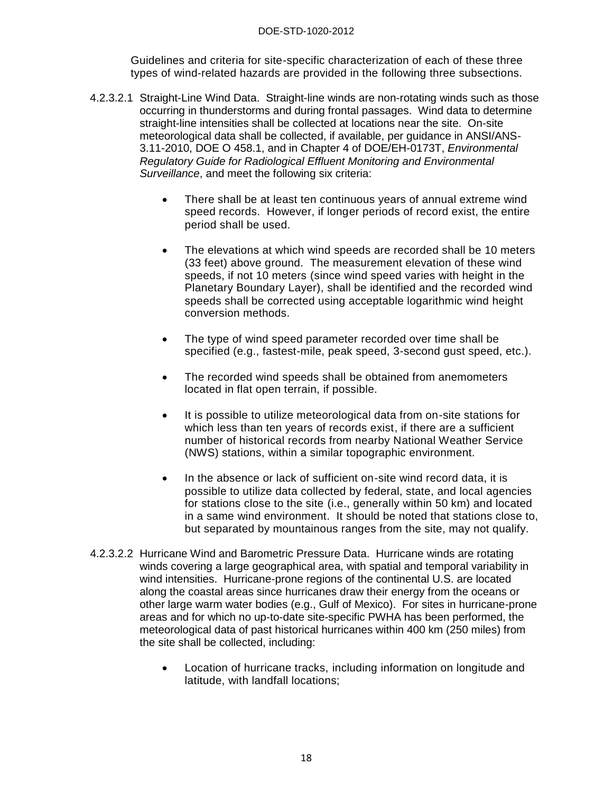Guidelines and criteria for site-specific characterization of each of these three types of wind-related hazards are provided in the following three subsections.

- 4.2.3.2.1 Straight-Line Wind Data. Straight-line winds are non-rotating winds such as those occurring in thunderstorms and during frontal passages. Wind data to determine straight-line intensities shall be collected at locations near the site. On-site meteorological data shall be collected, if available, per guidance in ANSI/ANS-3.11-2010, DOE O 458.1, and in Chapter 4 of DOE/EH-0173T, *Environmental Regulatory Guide for Radiological Effluent Monitoring and Environmental Surveillance*, and meet the following six criteria:
	- There shall be at least ten continuous years of annual extreme wind speed records. However, if longer periods of record exist, the entire period shall be used.
	- The elevations at which wind speeds are recorded shall be 10 meters (33 feet) above ground. The measurement elevation of these wind speeds, if not 10 meters (since wind speed varies with height in the Planetary Boundary Layer), shall be identified and the recorded wind speeds shall be corrected using acceptable logarithmic wind height conversion methods.
	- The type of wind speed parameter recorded over time shall be specified (e.g., fastest-mile, peak speed, 3-second gust speed, etc.).
	- The recorded wind speeds shall be obtained from anemometers located in flat open terrain, if possible.
	- It is possible to utilize meteorological data from on-site stations for which less than ten years of records exist, if there are a sufficient number of historical records from nearby National Weather Service (NWS) stations, within a similar topographic environment.
	- In the absence or lack of sufficient on-site wind record data, it is possible to utilize data collected by federal, state, and local agencies for stations close to the site (i.e., generally within 50 km) and located in a same wind environment. It should be noted that stations close to, but separated by mountainous ranges from the site, may not qualify.
- 4.2.3.2.2 Hurricane Wind and Barometric Pressure Data. Hurricane winds are rotating winds covering a large geographical area, with spatial and temporal variability in wind intensities. Hurricane-prone regions of the continental U.S. are located along the coastal areas since hurricanes draw their energy from the oceans or other large warm water bodies (e.g., Gulf of Mexico). For sites in hurricane-prone areas and for which no up-to-date site-specific PWHA has been performed, the meteorological data of past historical hurricanes within 400 km (250 miles) from the site shall be collected, including:
	- Location of hurricane tracks, including information on longitude and latitude, with landfall locations;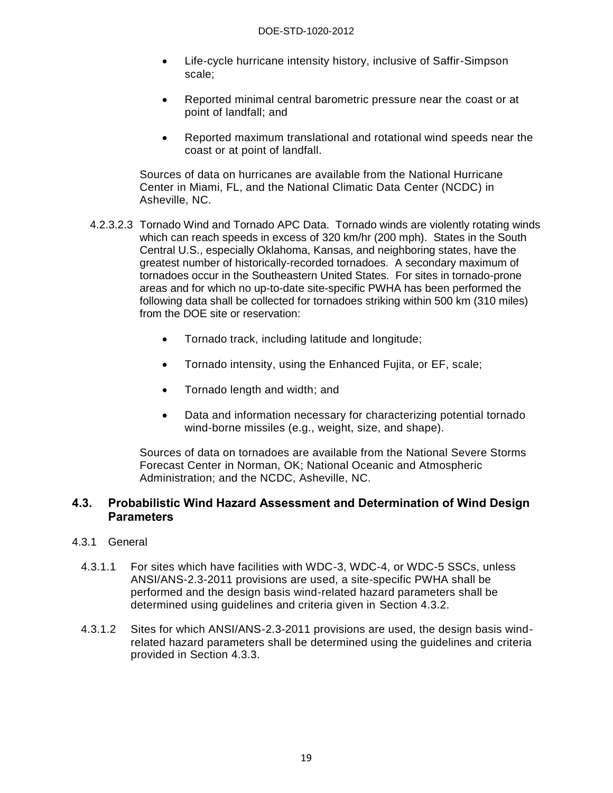- Life-cycle hurricane intensity history, inclusive of Saffir-Simpson scale;
- Reported minimal central barometric pressure near the coast or at point of landfall; and
- Reported maximum translational and rotational wind speeds near the coast or at point of landfall.

Sources of data on hurricanes are available from the National Hurricane Center in Miami, FL, and the National Climatic Data Center (NCDC) in Asheville, NC.

- 4.2.3.2.3 Tornado Wind and Tornado APC Data. Tornado winds are violently rotating winds which can reach speeds in excess of 320 km/hr (200 mph). States in the South Central U.S., especially Oklahoma, Kansas, and neighboring states, have the greatest number of historically-recorded tornadoes. A secondary maximum of tornadoes occur in the Southeastern United States. For sites in tornado-prone areas and for which no up-to-date site-specific PWHA has been performed the following data shall be collected for tornadoes striking within 500 km (310 miles) from the DOE site or reservation:
	- Tornado track, including latitude and longitude;
	- Tornado intensity, using the Enhanced Fujita, or EF, scale;
	- Tornado length and width; and
	- Data and information necessary for characterizing potential tornado wind-borne missiles (e.g., weight, size, and shape).

Sources of data on tornadoes are available from the National Severe Storms Forecast Center in Norman, OK; National Oceanic and Atmospheric Administration; and the NCDC, Asheville, NC.

#### <span id="page-24-0"></span>**4.3. Probabilistic Wind Hazard Assessment and Determination of Wind Design Parameters**

#### 4.3.1 General

- 4.3.1.1 For sites which have facilities with WDC-3, WDC-4, or WDC-5 SSCs, unless ANSI/ANS-2.3-2011 provisions are used, a site-specific PWHA shall be performed and the design basis wind-related hazard parameters shall be determined using guidelines and criteria given in Section 4.3.2.
- 4.3.1.2 Sites for which ANSI/ANS-2.3-2011 provisions are used, the design basis windrelated hazard parameters shall be determined using the guidelines and criteria provided in Section 4.3.3.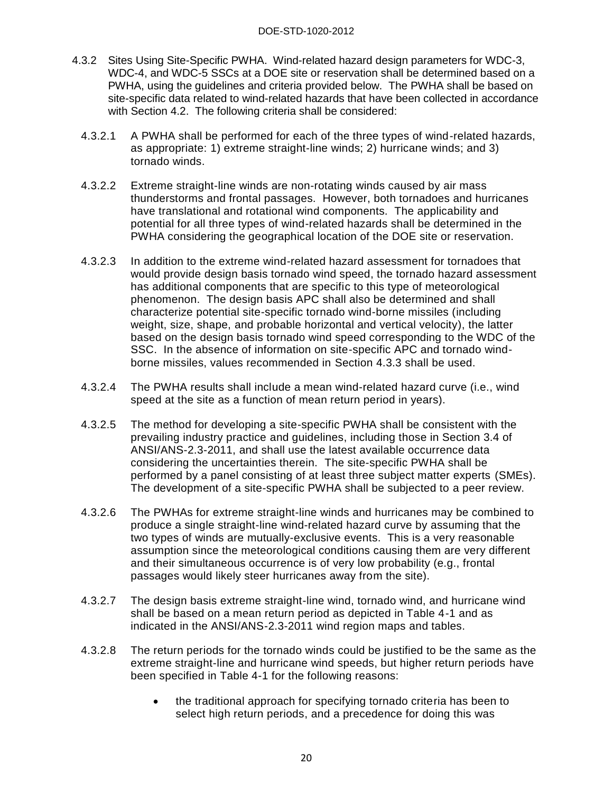- 4.3.2 Sites Using Site-Specific PWHA. Wind-related hazard design parameters for WDC-3, WDC-4, and WDC-5 SSCs at a DOE site or reservation shall be determined based on a PWHA, using the guidelines and criteria provided below. The PWHA shall be based on site-specific data related to wind-related hazards that have been collected in accordance with Section 4.2. The following criteria shall be considered:
	- 4.3.2.1 A PWHA shall be performed for each of the three types of wind-related hazards, as appropriate: 1) extreme straight-line winds; 2) hurricane winds; and 3) tornado winds.
	- 4.3.2.2 Extreme straight-line winds are non-rotating winds caused by air mass thunderstorms and frontal passages. However, both tornadoes and hurricanes have translational and rotational wind components. The applicability and potential for all three types of wind-related hazards shall be determined in the PWHA considering the geographical location of the DOE site or reservation.
	- 4.3.2.3 In addition to the extreme wind-related hazard assessment for tornadoes that would provide design basis tornado wind speed, the tornado hazard assessment has additional components that are specific to this type of meteorological phenomenon. The design basis APC shall also be determined and shall characterize potential site-specific tornado wind-borne missiles (including weight, size, shape, and probable horizontal and vertical velocity), the latter based on the design basis tornado wind speed corresponding to the WDC of the SSC. In the absence of information on site-specific APC and tornado windborne missiles, values recommended in Section 4.3.3 shall be used.
	- 4.3.2.4 The PWHA results shall include a mean wind-related hazard curve (i.e., wind speed at the site as a function of mean return period in years).
	- 4.3.2.5 The method for developing a site-specific PWHA shall be consistent with the prevailing industry practice and guidelines, including those in Section 3.4 of ANSI/ANS-2.3-2011, and shall use the latest available occurrence data considering the uncertainties therein. The site-specific PWHA shall be performed by a panel consisting of at least three subject matter experts (SMEs). The development of a site-specific PWHA shall be subjected to a peer review.
	- 4.3.2.6 The PWHAs for extreme straight-line winds and hurricanes may be combined to produce a single straight-line wind-related hazard curve by assuming that the two types of winds are mutually-exclusive events. This is a very reasonable assumption since the meteorological conditions causing them are very different and their simultaneous occurrence is of very low probability (e.g., frontal passages would likely steer hurricanes away from the site).
	- 4.3.2.7 The design basis extreme straight-line wind, tornado wind, and hurricane wind shall be based on a mean return period as depicted in Table 4-1 and as indicated in the ANSI/ANS-2.3-2011 wind region maps and tables.
	- 4.3.2.8 The return periods for the tornado winds could be justified to be the same as the extreme straight-line and hurricane wind speeds, but higher return periods have been specified in Table 4-1 for the following reasons:
		- the traditional approach for specifying tornado criteria has been to select high return periods, and a precedence for doing this was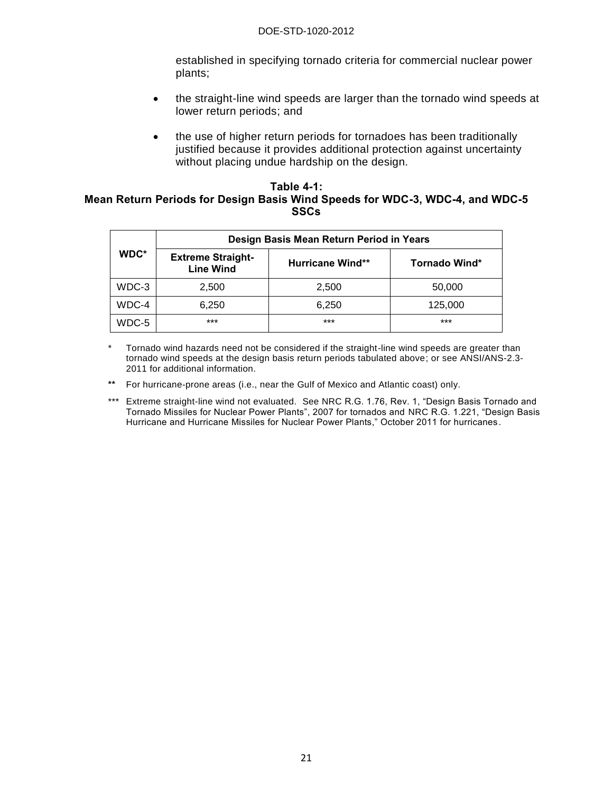established in specifying tornado criteria for commercial nuclear power plants;

- the straight-line wind speeds are larger than the tornado wind speeds at lower return periods; and
- the use of higher return periods for tornadoes has been traditionally justified because it provides additional protection against uncertainty without placing undue hardship on the design.

#### <span id="page-26-0"></span>**Table 4-1: Mean Return Periods for Design Basis Wind Speeds for WDC-3, WDC-4, and WDC-5 SSCs**

|       |                                              | Design Basis Mean Return Period in Years |               |
|-------|----------------------------------------------|------------------------------------------|---------------|
| WDC*  | <b>Extreme Straight-</b><br><b>Line Wind</b> | <b>Hurricane Wind**</b>                  | Tornado Wind* |
| WDC-3 | 2,500                                        | 2,500                                    | 50,000        |
| WDC-4 | 6,250                                        | 6,250                                    | 125,000       |
| WDC-5 | $***$                                        | ***                                      | ***           |

\* Tornado wind hazards need not be considered if the straight-line wind speeds are greater than tornado wind speeds at the design basis return periods tabulated above; or see ANSI/ANS-2.3- 2011 for additional information.

**\*\*** For hurricane-prone areas (i.e., near the Gulf of Mexico and Atlantic coast) only.

\*\*\* Extreme straight-line wind not evaluated. See NRC R.G. 1.76, Rev. 1, "Design Basis Tornado and Tornado Missiles for Nuclear Power Plants", 2007 for tornados and NRC R.G. 1.221, "Design Basis Hurricane and Hurricane Missiles for Nuclear Power Plants," October 2011 for hurricanes.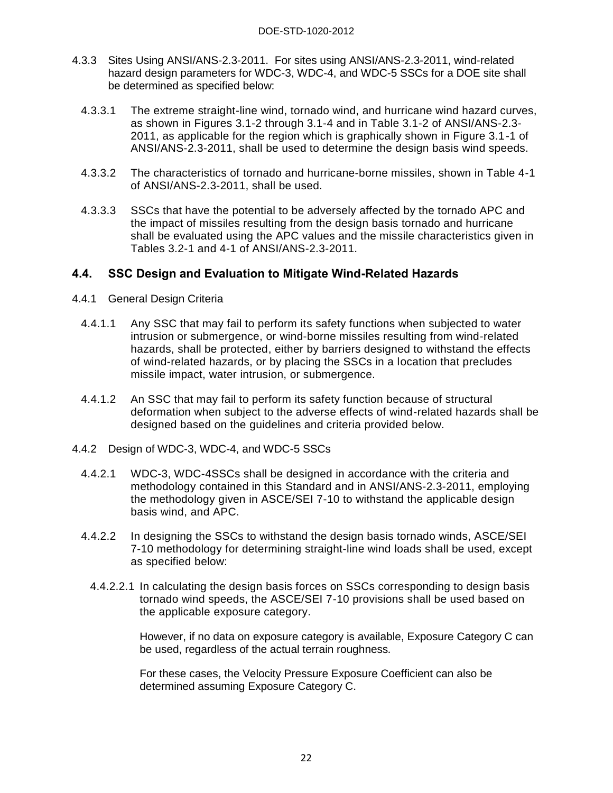- 4.3.3 Sites Using ANSI/ANS-2.3-2011. For sites using ANSI/ANS-2.3-2011, wind-related hazard design parameters for WDC-3, WDC-4, and WDC-5 SSCs for a DOE site shall be determined as specified below:
	- 4.3.3.1 The extreme straight-line wind, tornado wind, and hurricane wind hazard curves, as shown in Figures 3.1-2 through 3.1-4 and in Table 3.1-2 of ANSI/ANS-2.3- 2011, as applicable for the region which is graphically shown in Figure 3.1-1 of ANSI/ANS-2.3-2011, shall be used to determine the design basis wind speeds.
	- 4.3.3.2 The characteristics of tornado and hurricane-borne missiles, shown in Table 4-1 of ANSI/ANS-2.3-2011, shall be used.
	- 4.3.3.3 SSCs that have the potential to be adversely affected by the tornado APC and the impact of missiles resulting from the design basis tornado and hurricane shall be evaluated using the APC values and the missile characteristics given in Tables 3.2-1 and 4-1 of ANSI/ANS-2.3-2011.

#### <span id="page-27-0"></span>**4.4. SSC Design and Evaluation to Mitigate Wind-Related Hazards**

- 4.4.1 General Design Criteria
	- 4.4.1.1 Any SSC that may fail to perform its safety functions when subjected to water intrusion or submergence, or wind-borne missiles resulting from wind-related hazards, shall be protected, either by barriers designed to withstand the effects of wind-related hazards, or by placing the SSCs in a location that precludes missile impact, water intrusion, or submergence.
	- 4.4.1.2 An SSC that may fail to perform its safety function because of structural deformation when subject to the adverse effects of wind-related hazards shall be designed based on the guidelines and criteria provided below.
- 4.4.2 Design of WDC-3, WDC-4, and WDC-5 SSCs
	- 4.4.2.1 WDC-3, WDC-4SSCs shall be designed in accordance with the criteria and methodology contained in this Standard and in ANSI/ANS-2.3-2011, employing the methodology given in ASCE/SEI 7-10 to withstand the applicable design basis wind, and APC.
	- 4.4.2.2 In designing the SSCs to withstand the design basis tornado winds, ASCE/SEI 7-10 methodology for determining straight-line wind loads shall be used, except as specified below:
		- 4.4.2.2.1 In calculating the design basis forces on SSCs corresponding to design basis tornado wind speeds, the ASCE/SEI 7-10 provisions shall be used based on the applicable exposure category.

However, if no data on exposure category is available, Exposure Category C can be used, regardless of the actual terrain roughness*.* 

For these cases, the Velocity Pressure Exposure Coefficient can also be determined assuming Exposure Category C.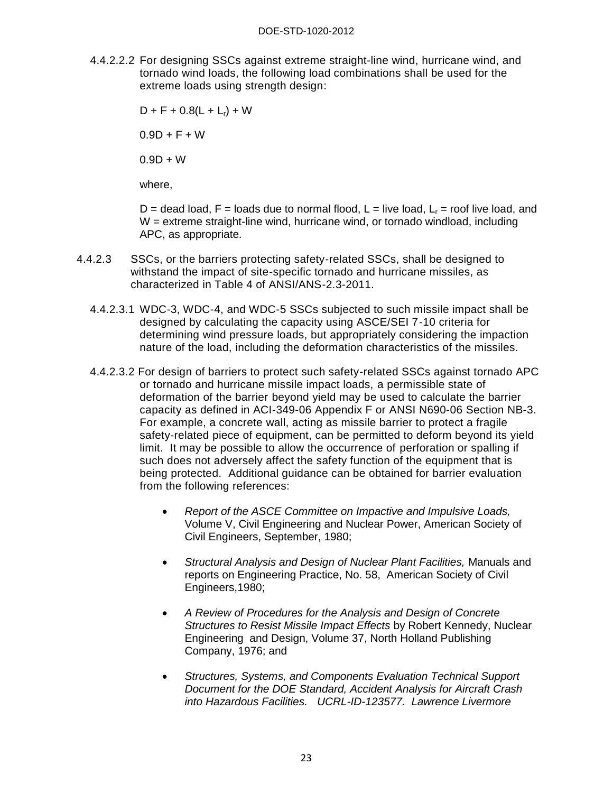4.4.2.2.2 For designing SSCs against extreme straight-line wind, hurricane wind, and tornado wind loads, the following load combinations shall be used for the extreme loads using strength design:

> $D + F + 0.8(L + L_r) + W$  $0.9D + F + W$  $0.9D + W$

where,

D = dead load, F = loads due to normal flood, L = live load,  $L_r$  = roof live load, and W = extreme straight-line wind, hurricane wind, or tornado windload, including APC, as appropriate.

- 4.4.2.3 SSCs, or the barriers protecting safety-related SSCs, shall be designed to withstand the impact of site-specific tornado and hurricane missiles, as characterized in Table 4 of ANSI/ANS-2.3-2011.
	- 4.4.2.3.1 WDC-3, WDC-4, and WDC-5 SSCs subjected to such missile impact shall be designed by calculating the capacity using ASCE/SEI 7-10 criteria for determining wind pressure loads, but appropriately considering the impaction nature of the load, including the deformation characteristics of the missiles.
	- 4.4.2.3.2 For design of barriers to protect such safety-related SSCs against tornado APC or tornado and hurricane missile impact loads, a permissible state of deformation of the barrier beyond yield may be used to calculate the barrier capacity as defined in ACI-349-06 Appendix F or ANSI N690-06 Section NB-3. For example, a concrete wall, acting as missile barrier to protect a fragile safety-related piece of equipment, can be permitted to deform beyond its yield limit. It may be possible to allow the occurrence of perforation or spalling if such does not adversely affect the safety function of the equipment that is being protected. Additional guidance can be obtained for barrier evaluation from the following references:
		- *Report of the ASCE Committee on Impactive and Impulsive Loads,* Volume V, Civil Engineering and Nuclear Power, American Society of Civil Engineers, September, 1980;
		- *Structural Analysis and Design of Nuclear Plant Facilities,* Manuals and reports on Engineering Practice, No. 58, American Society of Civil Engineers,1980;
		- *A Review of Procedures for the Analysis and Design of Concrete Structures to Resist Missile Impact Effects* by Robert Kennedy, Nuclear Engineering and Design, Volume 37, North Holland Publishing Company, 1976; and
		- *Structures, Systems, and Components Evaluation Technical Support Document for the DOE Standard, Accident Analysis for Aircraft Crash into Hazardous Facilities. UCRL-ID-123577. Lawrence Livermore*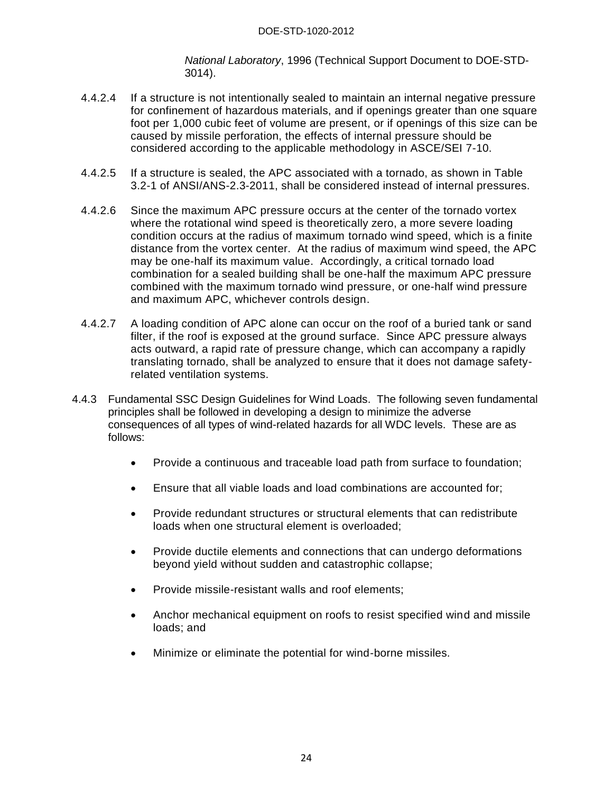*National Laboratory*, 1996 (Technical Support Document to DOE-STD-3014).

- 4.4.2.4 If a structure is not intentionally sealed to maintain an internal negative pressure for confinement of hazardous materials, and if openings greater than one square foot per 1,000 cubic feet of volume are present, or if openings of this size can be caused by missile perforation, the effects of internal pressure should be considered according to the applicable methodology in ASCE/SEI 7-10.
- 4.4.2.5 If a structure is sealed, the APC associated with a tornado, as shown in Table 3.2-1 of ANSI/ANS-2.3-2011, shall be considered instead of internal pressures.
- 4.4.2.6 Since the maximum APC pressure occurs at the center of the tornado vortex where the rotational wind speed is theoretically zero, a more severe loading condition occurs at the radius of maximum tornado wind speed, which is a finite distance from the vortex center. At the radius of maximum wind speed, the APC may be one-half its maximum value. Accordingly, a critical tornado load combination for a sealed building shall be one-half the maximum APC pressure combined with the maximum tornado wind pressure, or one-half wind pressure and maximum APC, whichever controls design.
- 4.4.2.7 A loading condition of APC alone can occur on the roof of a buried tank or sand filter, if the roof is exposed at the ground surface. Since APC pressure always acts outward, a rapid rate of pressure change, which can accompany a rapidly translating tornado, shall be analyzed to ensure that it does not damage safetyrelated ventilation systems.
- 4.4.3 Fundamental SSC Design Guidelines for Wind Loads. The following seven fundamental principles shall be followed in developing a design to minimize the adverse consequences of all types of wind-related hazards for all WDC levels. These are as follows:
	- Provide a continuous and traceable load path from surface to foundation;
	- Ensure that all viable loads and load combinations are accounted for;
	- Provide redundant structures or structural elements that can redistribute loads when one structural element is overloaded;
	- Provide ductile elements and connections that can undergo deformations beyond yield without sudden and catastrophic collapse;
	- Provide missile-resistant walls and roof elements:
	- Anchor mechanical equipment on roofs to resist specified wind and missile loads; and
	- Minimize or eliminate the potential for wind-borne missiles.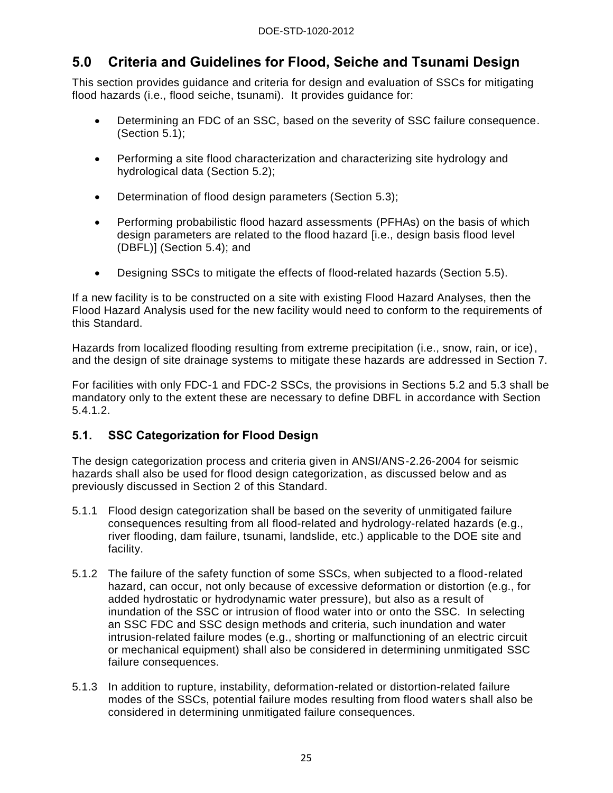## <span id="page-30-0"></span>**5.0 Criteria and Guidelines for Flood, Seiche and Tsunami Design**

This section provides guidance and criteria for design and evaluation of SSCs for mitigating flood hazards (i.e., flood seiche, tsunami). It provides guidance for:

- Determining an FDC of an SSC, based on the severity of SSC failure consequence. (Section 5.1);
- Performing a site flood characterization and characterizing site hydrology and hydrological data (Section 5.2);
- Determination of flood design parameters (Section 5.3);
- Performing probabilistic flood hazard assessments (PFHAs) on the basis of which design parameters are related to the flood hazard [i.e., design basis flood level (DBFL)] (Section 5.4); and
- Designing SSCs to mitigate the effects of flood-related hazards (Section 5.5).

If a new facility is to be constructed on a site with existing Flood Hazard Analyses, then the Flood Hazard Analysis used for the new facility would need to conform to the requirements of this Standard.

Hazards from localized flooding resulting from extreme precipitation (i.e., snow, rain, or ice), and the design of site drainage systems to mitigate these hazards are addressed in Section 7.

For facilities with only FDC-1 and FDC-2 SSCs, the provisions in Sections 5.2 and 5.3 shall be mandatory only to the extent these are necessary to define DBFL in accordance with Section 5.4.1.2.

#### <span id="page-30-1"></span>**5.1. SSC Categorization for Flood Design**

The design categorization process and criteria given in ANSI/ANS-2.26-2004 for seismic hazards shall also be used for flood design categorization, as discussed below and as previously discussed in Section 2 of this Standard.

- 5.1.1 Flood design categorization shall be based on the severity of unmitigated failure consequences resulting from all flood-related and hydrology-related hazards (e.g., river flooding, dam failure, tsunami, landslide, etc.) applicable to the DOE site and facility.
- 5.1.2 The failure of the safety function of some SSCs, when subjected to a flood-related hazard, can occur, not only because of excessive deformation or distortion (e.g., for added hydrostatic or hydrodynamic water pressure), but also as a result of inundation of the SSC or intrusion of flood water into or onto the SSC. In selecting an SSC FDC and SSC design methods and criteria, such inundation and water intrusion-related failure modes (e.g., shorting or malfunctioning of an electric circuit or mechanical equipment) shall also be considered in determining unmitigated SSC failure consequences.
- 5.1.3 In addition to rupture, instability, deformation-related or distortion-related failure modes of the SSCs, potential failure modes resulting from flood waters shall also be considered in determining unmitigated failure consequences.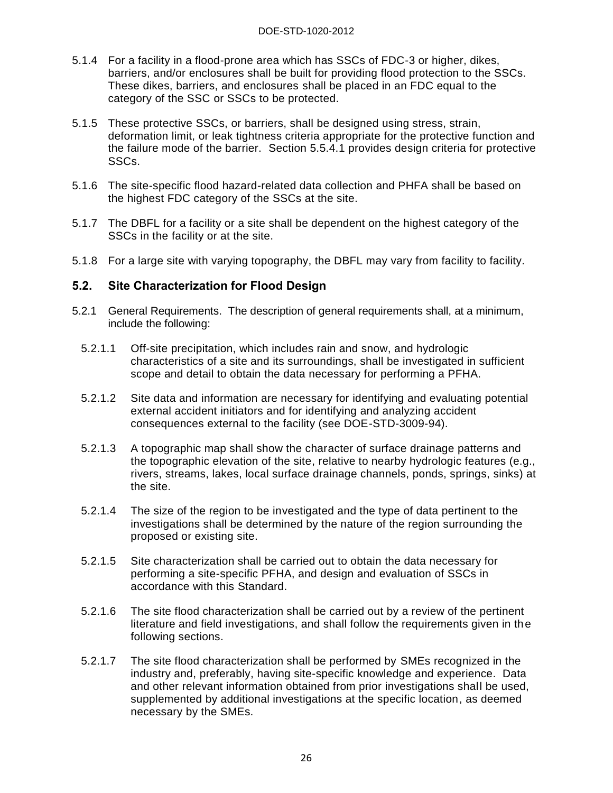- 5.1.4 For a facility in a flood-prone area which has SSCs of FDC-3 or higher, dikes, barriers, and/or enclosures shall be built for providing flood protection to the SSCs. These dikes, barriers, and enclosures shall be placed in an FDC equal to the category of the SSC or SSCs to be protected.
- 5.1.5 These protective SSCs, or barriers, shall be designed using stress, strain, deformation limit, or leak tightness criteria appropriate for the protective function and the failure mode of the barrier. Section 5.5.4.1 provides design criteria for protective SSCs.
- 5.1.6 The site-specific flood hazard-related data collection and PHFA shall be based on the highest FDC category of the SSCs at the site.
- 5.1.7 The DBFL for a facility or a site shall be dependent on the highest category of the SSCs in the facility or at the site.
- 5.1.8 For a large site with varying topography, the DBFL may vary from facility to facility.

#### <span id="page-31-0"></span>**5.2. Site Characterization for Flood Design**

- 5.2.1 General Requirements. The description of general requirements shall, at a minimum, include the following:
	- 5.2.1.1 Off-site precipitation, which includes rain and snow, and hydrologic characteristics of a site and its surroundings, shall be investigated in sufficient scope and detail to obtain the data necessary for performing a PFHA.
	- 5.2.1.2 Site data and information are necessary for identifying and evaluating potential external accident initiators and for identifying and analyzing accident consequences external to the facility (see DOE-STD-3009-94).
	- 5.2.1.3 A topographic map shall show the character of surface drainage patterns and the topographic elevation of the site, relative to nearby hydrologic features (e.g., rivers, streams, lakes, local surface drainage channels, ponds, springs, sinks) at the site.
	- 5.2.1.4 The size of the region to be investigated and the type of data pertinent to the investigations shall be determined by the nature of the region surrounding the proposed or existing site.
	- 5.2.1.5 Site characterization shall be carried out to obtain the data necessary for performing a site-specific PFHA, and design and evaluation of SSCs in accordance with this Standard.
	- 5.2.1.6 The site flood characterization shall be carried out by a review of the pertinent literature and field investigations, and shall follow the requirements given in the following sections.
	- 5.2.1.7 The site flood characterization shall be performed by SMEs recognized in the industry and, preferably, having site-specific knowledge and experience. Data and other relevant information obtained from prior investigations shall be used, supplemented by additional investigations at the specific location, as deemed necessary by the SMEs.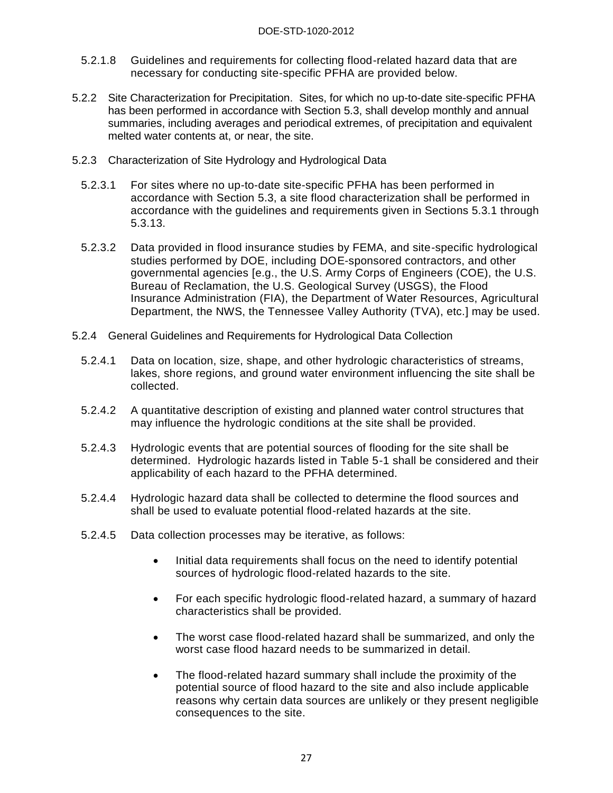- 5.2.1.8 Guidelines and requirements for collecting flood-related hazard data that are necessary for conducting site-specific PFHA are provided below.
- 5.2.2 Site Characterization for Precipitation. Sites, for which no up-to-date site-specific PFHA has been performed in accordance with Section 5.3, shall develop monthly and annual summaries, including averages and periodical extremes, of precipitation and equivalent melted water contents at, or near, the site.
- 5.2.3 Characterization of Site Hydrology and Hydrological Data
	- 5.2.3.1 For sites where no up-to-date site-specific PFHA has been performed in accordance with Section 5.3, a site flood characterization shall be performed in accordance with the guidelines and requirements given in Sections 5.3.1 through 5.3.13.
	- 5.2.3.2 Data provided in flood insurance studies by FEMA, and site-specific hydrological studies performed by DOE, including DOE-sponsored contractors, and other governmental agencies [e.g., the U.S. Army Corps of Engineers (COE), the U.S. Bureau of Reclamation, the U.S. Geological Survey (USGS), the Flood Insurance Administration (FIA), the Department of Water Resources, Agricultural Department, the NWS, the Tennessee Valley Authority (TVA), etc.] may be used.
- 5.2.4 General Guidelines and Requirements for Hydrological Data Collection
	- 5.2.4.1 Data on location, size, shape, and other hydrologic characteristics of streams, lakes, shore regions, and ground water environment influencing the site shall be collected.
	- 5.2.4.2 A quantitative description of existing and planned water control structures that may influence the hydrologic conditions at the site shall be provided.
	- 5.2.4.3 Hydrologic events that are potential sources of flooding for the site shall be determined. Hydrologic hazards listed in Table 5-1 shall be considered and their applicability of each hazard to the PFHA determined.
	- 5.2.4.4 Hydrologic hazard data shall be collected to determine the flood sources and shall be used to evaluate potential flood-related hazards at the site.
	- 5.2.4.5 Data collection processes may be iterative, as follows:
		- Initial data requirements shall focus on the need to identify potential sources of hydrologic flood-related hazards to the site.
		- For each specific hydrologic flood-related hazard, a summary of hazard characteristics shall be provided.
		- The worst case flood-related hazard shall be summarized, and only the worst case flood hazard needs to be summarized in detail.
		- The flood-related hazard summary shall include the proximity of the potential source of flood hazard to the site and also include applicable reasons why certain data sources are unlikely or they present negligible consequences to the site.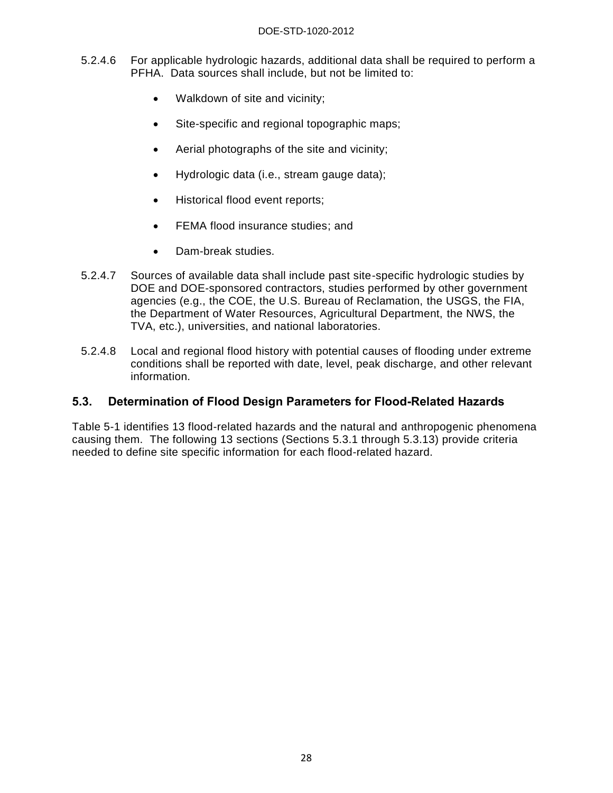- 5.2.4.6 For applicable hydrologic hazards, additional data shall be required to perform a PFHA. Data sources shall include, but not be limited to:
	- Walkdown of site and vicinity;
	- Site-specific and regional topographic maps;
	- Aerial photographs of the site and vicinity;
	- Hydrologic data (i.e., stream gauge data);
	- Historical flood event reports;
	- **•** FEMA flood insurance studies; and
	- Dam-break studies.
- 5.2.4.7 Sources of available data shall include past site-specific hydrologic studies by DOE and DOE-sponsored contractors, studies performed by other government agencies (e.g., the COE, the U.S. Bureau of Reclamation, the USGS, the FIA, the Department of Water Resources, Agricultural Department, the NWS, the TVA, etc.), universities, and national laboratories.
- 5.2.4.8 Local and regional flood history with potential causes of flooding under extreme conditions shall be reported with date, level, peak discharge, and other relevant information.

#### <span id="page-33-0"></span>**5.3. Determination of Flood Design Parameters for Flood-Related Hazards**

Table 5-1 identifies 13 flood-related hazards and the natural and anthropogenic phenomena causing them. The following 13 sections (Sections 5.3.1 through 5.3.13) provide criteria needed to define site specific information for each flood-related hazard.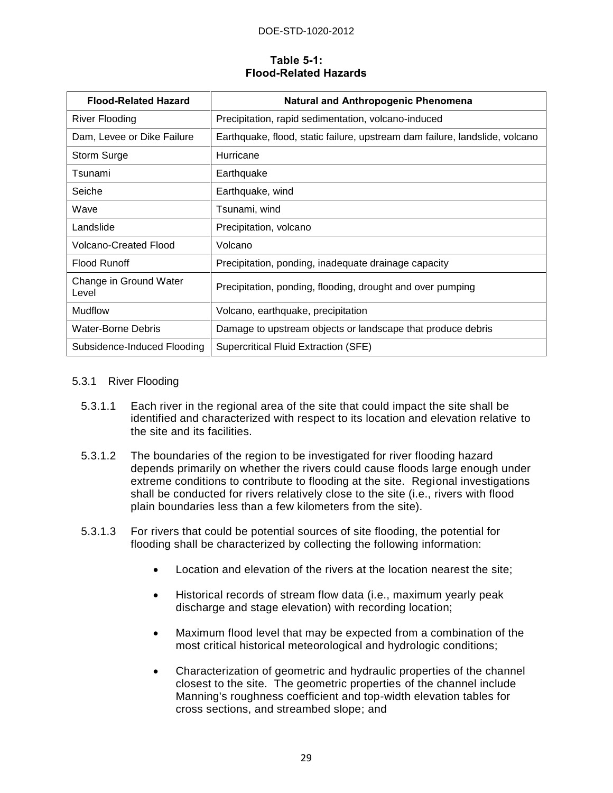#### DOE-STD-1020-2012

#### **Table 5-1: Flood-Related Hazards**

<span id="page-34-0"></span>

| <b>Flood-Related Hazard</b>     | <b>Natural and Anthropogenic Phenomena</b>                                  |
|---------------------------------|-----------------------------------------------------------------------------|
| River Flooding                  | Precipitation, rapid sedimentation, volcano-induced                         |
| Dam, Levee or Dike Failure      | Earthquake, flood, static failure, upstream dam failure, landslide, volcano |
| Storm Surge                     | Hurricane                                                                   |
| Tsunami                         | Earthquake                                                                  |
| Seiche                          | Earthquake, wind                                                            |
| Wave                            | Tsunami, wind                                                               |
| Landslide                       | Precipitation, volcano                                                      |
| <b>Volcano-Created Flood</b>    | Volcano                                                                     |
| <b>Flood Runoff</b>             | Precipitation, ponding, inadequate drainage capacity                        |
| Change in Ground Water<br>Level | Precipitation, ponding, flooding, drought and over pumping                  |
| <b>Mudflow</b>                  | Volcano, earthquake, precipitation                                          |
| <b>Water-Borne Debris</b>       | Damage to upstream objects or landscape that produce debris                 |
| Subsidence-Induced Flooding     | <b>Supercritical Fluid Extraction (SFE)</b>                                 |

#### 5.3.1 River Flooding

- 5.3.1.1 Each river in the regional area of the site that could impact the site shall be identified and characterized with respect to its location and elevation relative to the site and its facilities.
- 5.3.1.2 The boundaries of the region to be investigated for river flooding hazard depends primarily on whether the rivers could cause floods large enough under extreme conditions to contribute to flooding at the site. Regional investigations shall be conducted for rivers relatively close to the site (i.e., rivers with flood plain boundaries less than a few kilometers from the site).
- 5.3.1.3 For rivers that could be potential sources of site flooding, the potential for flooding shall be characterized by collecting the following information:
	- Location and elevation of the rivers at the location nearest the site;
	- Historical records of stream flow data (i.e., maximum yearly peak discharge and stage elevation) with recording location;
	- Maximum flood level that may be expected from a combination of the most critical historical meteorological and hydrologic conditions;
	- Characterization of geometric and hydraulic properties of the channel closest to the site. The geometric properties of the channel include Manning's roughness coefficient and top-width elevation tables for cross sections, and streambed slope; and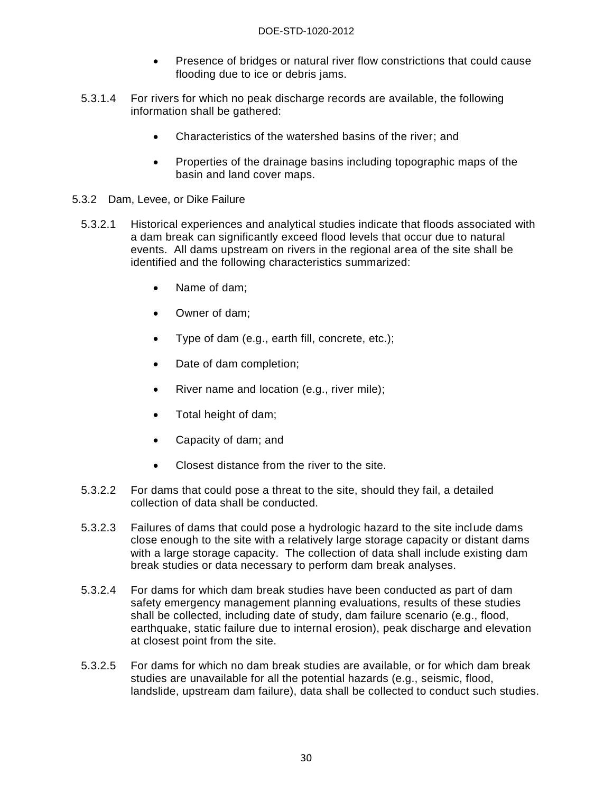- Presence of bridges or natural river flow constrictions that could cause flooding due to ice or debris jams.
- 5.3.1.4 For rivers for which no peak discharge records are available, the following information shall be gathered:
	- Characteristics of the watershed basins of the river; and
	- Properties of the drainage basins including topographic maps of the basin and land cover maps.
- 5.3.2 Dam, Levee, or Dike Failure
	- 5.3.2.1 Historical experiences and analytical studies indicate that floods associated with a dam break can significantly exceed flood levels that occur due to natural events. All dams upstream on rivers in the regional area of the site shall be identified and the following characteristics summarized:
		- Name of dam:
		- Owner of dam;
		- Type of dam (e.g., earth fill, concrete, etc.);
		- Date of dam completion;
		- River name and location (e.g., river mile);
		- Total height of dam;
		- Capacity of dam; and
		- Closest distance from the river to the site.
	- 5.3.2.2 For dams that could pose a threat to the site, should they fail, a detailed collection of data shall be conducted.
	- 5.3.2.3 Failures of dams that could pose a hydrologic hazard to the site include dams close enough to the site with a relatively large storage capacity or distant dams with a large storage capacity. The collection of data shall include existing dam break studies or data necessary to perform dam break analyses.
	- 5.3.2.4 For dams for which dam break studies have been conducted as part of dam safety emergency management planning evaluations, results of these studies shall be collected, including date of study, dam failure scenario (e.g., flood, earthquake, static failure due to internal erosion), peak discharge and elevation at closest point from the site.
	- 5.3.2.5 For dams for which no dam break studies are available, or for which dam break studies are unavailable for all the potential hazards (e.g., seismic, flood, landslide, upstream dam failure), data shall be collected to conduct such studies.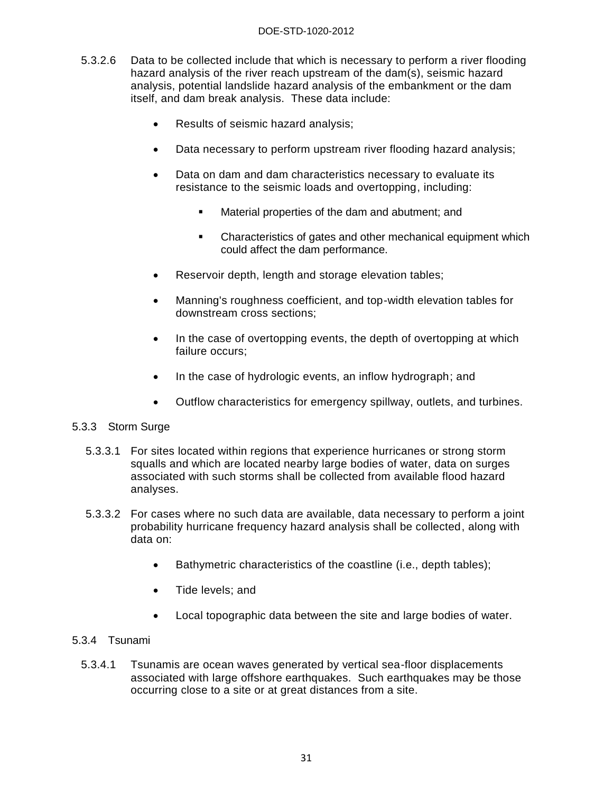#### DOE-STD-1020-2012

- 5.3.2.6 Data to be collected include that which is necessary to perform a river flooding hazard analysis of the river reach upstream of the dam(s), seismic hazard analysis, potential landslide hazard analysis of the embankment or the dam itself, and dam break analysis. These data include:
	- Results of seismic hazard analysis;
	- Data necessary to perform upstream river flooding hazard analysis;
	- Data on dam and dam characteristics necessary to evaluate its resistance to the seismic loads and overtopping, including:
		- **Material properties of the dam and abutment; and**
		- Characteristics of gates and other mechanical equipment which could affect the dam performance.
	- Reservoir depth, length and storage elevation tables;
	- Manning's roughness coefficient, and top-width elevation tables for downstream cross sections;
	- In the case of overtopping events, the depth of overtopping at which failure occurs;
	- In the case of hydrologic events, an inflow hydrograph; and
	- Outflow characteristics for emergency spillway, outlets, and turbines.

#### 5.3.3 Storm Surge

- 5.3.3.1 For sites located within regions that experience hurricanes or strong storm squalls and which are located nearby large bodies of water, data on surges associated with such storms shall be collected from available flood hazard analyses.
- 5.3.3.2 For cases where no such data are available, data necessary to perform a joint probability hurricane frequency hazard analysis shall be collected, along with data on:
	- Bathymetric characteristics of the coastline (i.e., depth tables);
	- Tide levels: and
	- Local topographic data between the site and large bodies of water.

#### 5.3.4 Tsunami

5.3.4.1 Tsunamis are ocean waves generated by vertical sea-floor displacements associated with large offshore earthquakes. Such earthquakes may be those occurring close to a site or at great distances from a site.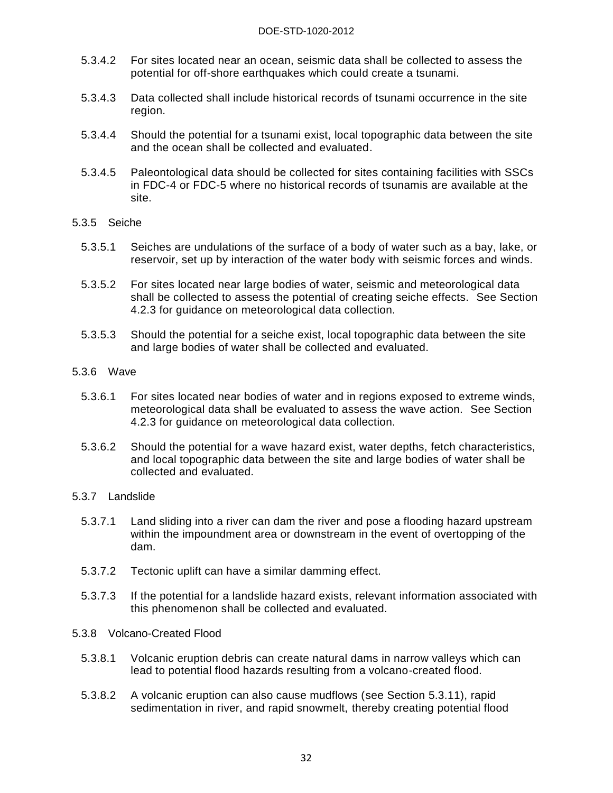- 5.3.4.2 For sites located near an ocean, seismic data shall be collected to assess the potential for off-shore earthquakes which could create a tsunami.
- 5.3.4.3 Data collected shall include historical records of tsunami occurrence in the site region.
- 5.3.4.4 Should the potential for a tsunami exist, local topographic data between the site and the ocean shall be collected and evaluated.
- 5.3.4.5 Paleontological data should be collected for sites containing facilities with SSCs in FDC-4 or FDC-5 where no historical records of tsunamis are available at the site.
- 5.3.5 Seiche
	- 5.3.5.1 Seiches are undulations of the surface of a body of water such as a bay, lake, or reservoir, set up by interaction of the water body with seismic forces and winds.
	- 5.3.5.2 For sites located near large bodies of water, seismic and meteorological data shall be collected to assess the potential of creating seiche effects. See Section 4.2.3 for guidance on meteorological data collection.
	- 5.3.5.3 Should the potential for a seiche exist, local topographic data between the site and large bodies of water shall be collected and evaluated.
- 5.3.6 Wave
	- 5.3.6.1 For sites located near bodies of water and in regions exposed to extreme winds, meteorological data shall be evaluated to assess the wave action. See Section 4.2.3 for guidance on meteorological data collection.
	- 5.3.6.2 Should the potential for a wave hazard exist, water depths, fetch characteristics, and local topographic data between the site and large bodies of water shall be collected and evaluated.
- 5.3.7 Landslide
	- 5.3.7.1 Land sliding into a river can dam the river and pose a flooding hazard upstream within the impoundment area or downstream in the event of overtopping of the dam.
	- 5.3.7.2 Tectonic uplift can have a similar damming effect.
	- 5.3.7.3 If the potential for a landslide hazard exists, relevant information associated with this phenomenon shall be collected and evaluated.
- 5.3.8 Volcano-Created Flood
	- 5.3.8.1 Volcanic eruption debris can create natural dams in narrow valleys which can lead to potential flood hazards resulting from a volcano-created flood.
	- 5.3.8.2 A volcanic eruption can also cause mudflows (see Section 5.3.11), rapid sedimentation in river, and rapid snowmelt, thereby creating potential flood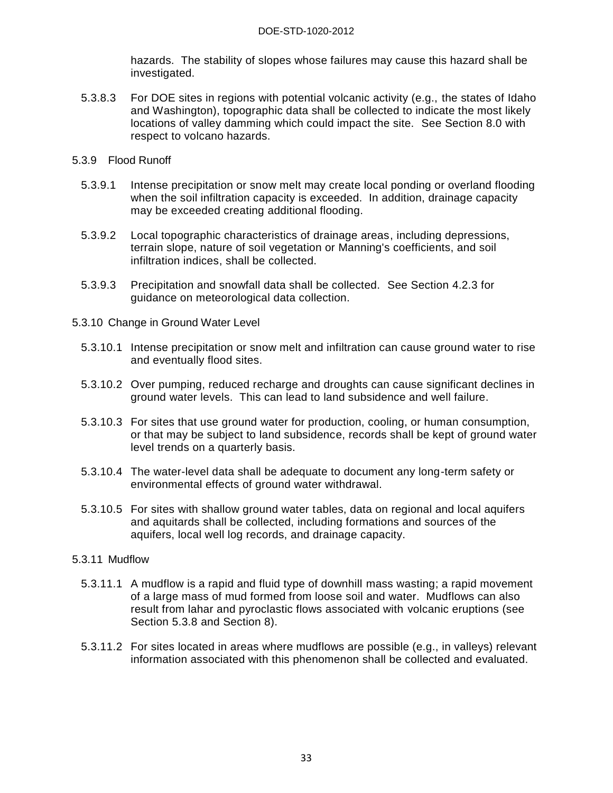hazards. The stability of slopes whose failures may cause this hazard shall be investigated.

- 5.3.8.3 For DOE sites in regions with potential volcanic activity (e.g., the states of Idaho and Washington), topographic data shall be collected to indicate the most likely locations of valley damming which could impact the site. See Section 8.0 with respect to volcano hazards.
- 5.3.9 Flood Runoff
	- 5.3.9.1 Intense precipitation or snow melt may create local ponding or overland flooding when the soil infiltration capacity is exceeded. In addition, drainage capacity may be exceeded creating additional flooding.
	- 5.3.9.2 Local topographic characteristics of drainage areas, including depressions, terrain slope, nature of soil vegetation or Manning's coefficients, and soil infiltration indices, shall be collected.
	- 5.3.9.3 Precipitation and snowfall data shall be collected. See Section 4.2.3 for guidance on meteorological data collection.
- 5.3.10 Change in Ground Water Level
	- 5.3.10.1 Intense precipitation or snow melt and infiltration can cause ground water to rise and eventually flood sites.
	- 5.3.10.2 Over pumping, reduced recharge and droughts can cause significant declines in ground water levels. This can lead to land subsidence and well failure.
	- 5.3.10.3 For sites that use ground water for production, cooling, or human consumption, or that may be subject to land subsidence, records shall be kept of ground water level trends on a quarterly basis.
	- 5.3.10.4 The water-level data shall be adequate to document any long-term safety or environmental effects of ground water withdrawal.
	- 5.3.10.5 For sites with shallow ground water tables, data on regional and local aquifers and aquitards shall be collected, including formations and sources of the aquifers, local well log records, and drainage capacity.

#### 5.3.11 Mudflow

- 5.3.11.1 A mudflow is a rapid and fluid type of downhill [mass wasting;](http://en.wikipedia.org/wiki/Mass_wasting) a rapid movement of a large mass of [mud](http://en.wikipedia.org/wiki/Mud) formed from loose [soil](http://en.wikipedia.org/wiki/Soil) and [water.](http://en.wikipedia.org/wiki/Water) Mudflows can also result from lahar and pyroclastic flows associated with [volcani](http://en.wikipedia.org/wiki/Volcanoes)c eruptions (see Section 5.3.8 and Section 8).
- 5.3.11.2 For sites located in areas where mudflows are possible (e.g., in valleys) relevant information associated with this phenomenon shall be collected and evaluated.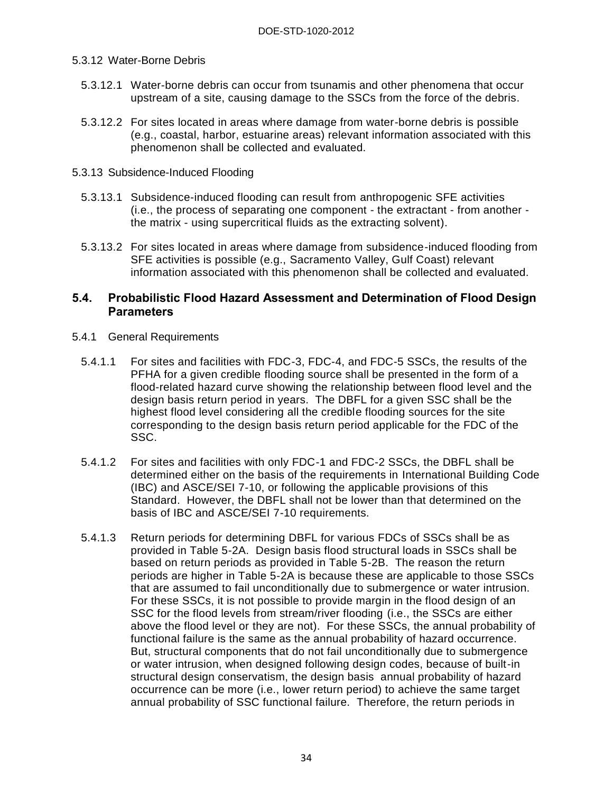#### 5.3.12 Water-Borne Debris

- 5.3.12.1 Water-borne debris can occur from tsunamis and other phenomena that occur upstream of a site, causing damage to the SSCs from the force of the debris.
- 5.3.12.2 For sites located in areas where damage from water-borne debris is possible (e.g., coastal, harbor, estuarine areas) relevant information associated with this phenomenon shall be collected and evaluated.

#### 5.3.13 Subsidence-Induced Flooding

- 5.3.13.1 Subsidence-induced flooding can result from anthropogenic SFE activities (i.e., the process of separating one component - the extractant - from another the matrix - using supercritical fluids as the extracting solvent).
- 5.3.13.2 For sites located in areas where damage from subsidence-induced flooding from SFE activities is possible (e.g., Sacramento Valley, Gulf Coast) relevant information associated with this phenomenon shall be collected and evaluated.

#### **5.4. Probabilistic Flood Hazard Assessment and Determination of Flood Design Parameters**

- 5.4.1 General Requirements
	- 5.4.1.1 For sites and facilities with FDC-3, FDC-4, and FDC-5 SSCs, the results of the PFHA for a given credible flooding source shall be presented in the form of a flood-related hazard curve showing the relationship between flood level and the design basis return period in years. The DBFL for a given SSC shall be the highest flood level considering all the credible flooding sources for the site corresponding to the design basis return period applicable for the FDC of the SSC.
	- 5.4.1.2 For sites and facilities with only FDC-1 and FDC-2 SSCs, the DBFL shall be determined either on the basis of the requirements in International Building Code (IBC) and ASCE/SEI 7-10, or following the applicable provisions of this Standard. However, the DBFL shall not be lower than that determined on the basis of IBC and ASCE/SEI 7-10 requirements.
	- 5.4.1.3 Return periods for determining DBFL for various FDCs of SSCs shall be as provided in Table 5-2A. Design basis flood structural loads in SSCs shall be based on return periods as provided in Table 5-2B. The reason the return periods are higher in Table 5-2A is because these are applicable to those SSCs that are assumed to fail unconditionally due to submergence or water intrusion. For these SSCs, it is not possible to provide margin in the flood design of an SSC for the flood levels from stream/river flooding (i.e., the SSCs are either above the flood level or they are not). For these SSCs, the annual probability of functional failure is the same as the annual probability of hazard occurrence. But, structural components that do not fail unconditionally due to submergence or water intrusion, when designed following design codes, because of built-in structural design conservatism, the design basis annual probability of hazard occurrence can be more (i.e., lower return period) to achieve the same target annual probability of SSC functional failure. Therefore, the return periods in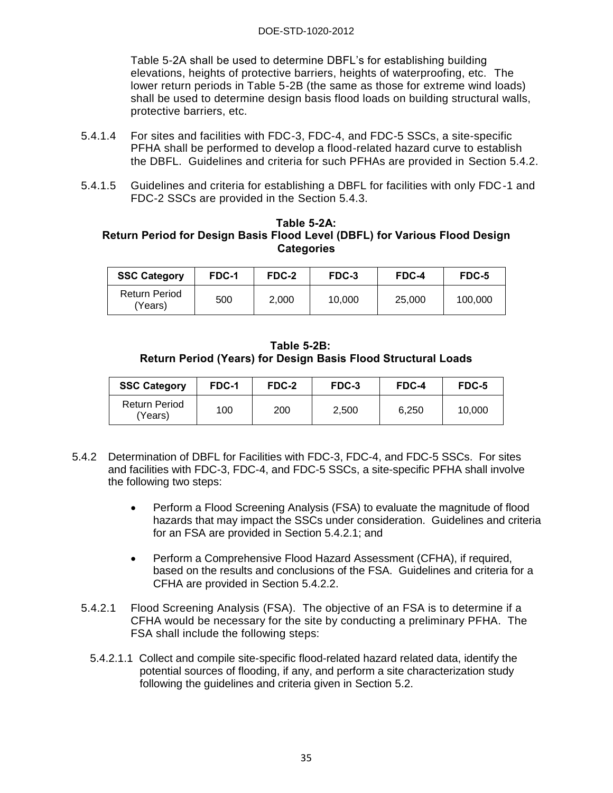Table 5-2A shall be used to determine DBFL's for establishing building elevations, heights of protective barriers, heights of waterproofing, etc. The lower return periods in Table 5-2B (the same as those for extreme wind loads) shall be used to determine design basis flood loads on building structural walls, protective barriers, etc.

- 5.4.1.4 For sites and facilities with FDC-3, FDC-4, and FDC-5 SSCs, a site-specific PFHA shall be performed to develop a flood-related hazard curve to establish the DBFL. Guidelines and criteria for such PFHAs are provided in Section 5.4.2.
- 5.4.1.5 Guidelines and criteria for establishing a DBFL for facilities with only FDC-1 and FDC-2 SSCs are provided in the Section 5.4.3.

#### **Table 5-2A: Return Period for Design Basis Flood Level (DBFL) for Various Flood Design Categories**

| <b>SSC Category</b>             | FDC-1 | FDC-2 | FDC-3  | FDC-4  | FDC-5   |
|---------------------------------|-------|-------|--------|--------|---------|
| <b>Return Period</b><br>(Years) | 500   | 2.000 | 10.000 | 25,000 | 100.000 |

**Table 5-2B: Return Period (Years) for Design Basis Flood Structural Loads** 

| <b>SSC Category</b>             | <b>FDC-1</b> | FDC-2 | FDC-3 | FDC-4 | FDC-5  |
|---------------------------------|--------------|-------|-------|-------|--------|
| <b>Return Period</b><br>(Years) | 100          | 200   | 2,500 | 6.250 | 10,000 |

- 5.4.2 Determination of DBFL for Facilities with FDC-3, FDC-4, and FDC-5 SSCs. For sites and facilities with FDC-3, FDC-4, and FDC-5 SSCs, a site-specific PFHA shall involve the following two steps:
	- Perform a Flood Screening Analysis (FSA) to evaluate the magnitude of flood hazards that may impact the SSCs under consideration. Guidelines and criteria for an FSA are provided in Section 5.4.2.1; and
	- Perform a Comprehensive Flood Hazard Assessment (CFHA), if required, based on the results and conclusions of the FSA. Guidelines and criteria for a CFHA are provided in Section 5.4.2.2.
	- 5.4.2.1 Flood Screening Analysis (FSA). The objective of an FSA is to determine if a CFHA would be necessary for the site by conducting a preliminary PFHA. The FSA shall include the following steps:
		- 5.4.2.1.1 Collect and compile site-specific flood-related hazard related data, identify the potential sources of flooding, if any, and perform a site characterization study following the guidelines and criteria given in Section 5.2.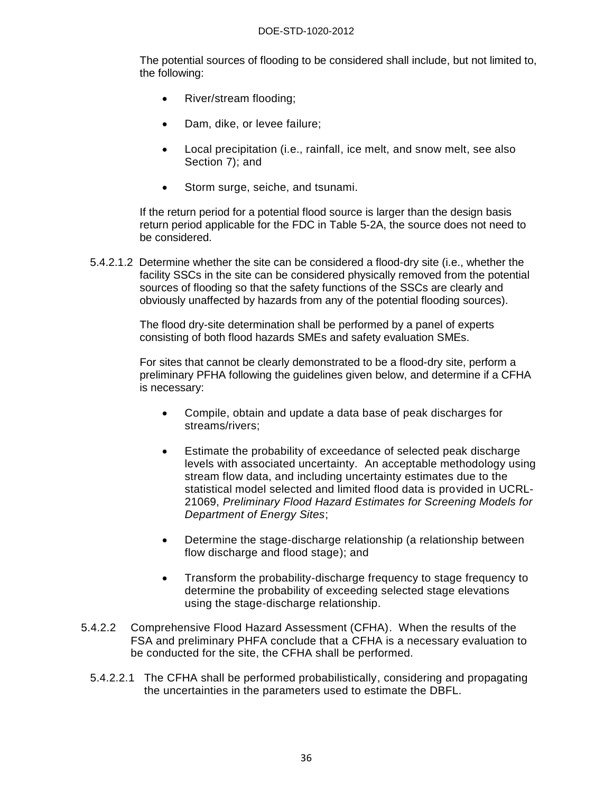The potential sources of flooding to be considered shall include, but not limited to, the following:

- River/stream flooding;
- Dam, dike, or levee failure;
- Local precipitation (i.e., rainfall, ice melt, and snow melt, see also Section 7); and
- Storm surge, seiche, and tsunami.

If the return period for a potential flood source is larger than the design basis return period applicable for the FDC in Table 5-2A, the source does not need to be considered.

5.4.2.1.2 Determine whether the site can be considered a flood-dry site (i.e., whether the facility SSCs in the site can be considered physically removed from the potential sources of flooding so that the safety functions of the SSCs are clearly and obviously unaffected by hazards from any of the potential flooding sources).

> The flood dry-site determination shall be performed by a panel of experts consisting of both flood hazards SMEs and safety evaluation SMEs.

For sites that cannot be clearly demonstrated to be a flood-dry site, perform a preliminary PFHA following the guidelines given below, and determine if a CFHA is necessary:

- Compile, obtain and update a data base of peak discharges for streams/rivers;
- Estimate the probability of exceedance of selected peak discharge levels with associated uncertainty. An acceptable methodology using stream flow data, and including uncertainty estimates due to the statistical model selected and limited flood data is provided in UCRL-21069, *Preliminary Flood Hazard Estimates for Screening Models for Department of Energy Sites*;
- Determine the stage-discharge relationship (a relationship between flow discharge and flood stage); and
- Transform the probability-discharge frequency to stage frequency to determine the probability of exceeding selected stage elevations using the stage-discharge relationship.
- 5.4.2.2 Comprehensive Flood Hazard Assessment (CFHA). When the results of the FSA and preliminary PHFA conclude that a CFHA is a necessary evaluation to be conducted for the site, the CFHA shall be performed.
	- 5.4.2.2.1 The CFHA shall be performed probabilistically, considering and propagating the uncertainties in the parameters used to estimate the DBFL.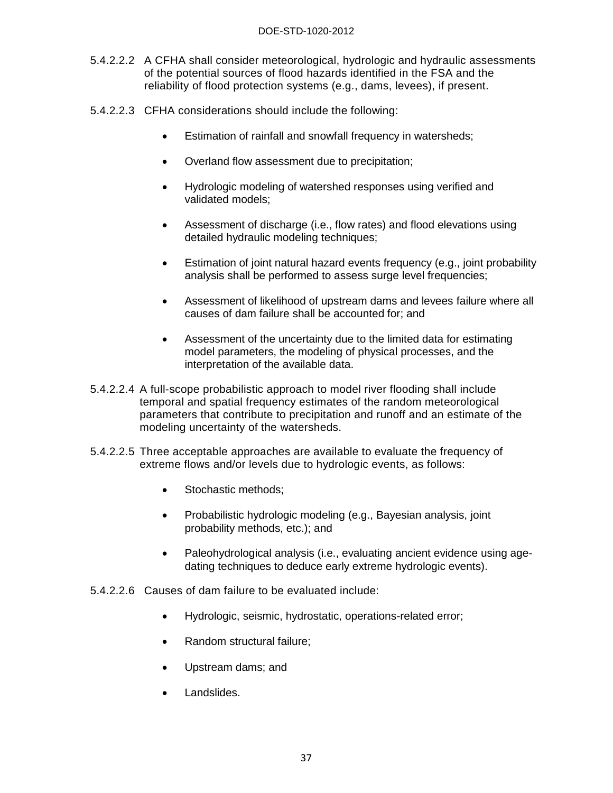#### DOE-STD-1020-2012

- 5.4.2.2.2 A CFHA shall consider meteorological, hydrologic and hydraulic assessments of the potential sources of flood hazards identified in the FSA and the reliability of flood protection systems (e.g., dams, levees), if present.
- 5.4.2.2.3 CFHA considerations should include the following:
	- Estimation of rainfall and snowfall frequency in watersheds;
	- Overland flow assessment due to precipitation;
	- Hydrologic modeling of watershed responses using verified and validated models;
	- Assessment of discharge (i.e., flow rates) and flood elevations using detailed hydraulic modeling techniques;
	- Estimation of joint natural hazard events frequency (e.g., joint probability analysis shall be performed to assess surge level frequencies;
	- Assessment of likelihood of upstream dams and levees failure where all causes of dam failure shall be accounted for; and
	- Assessment of the uncertainty due to the limited data for estimating model parameters, the modeling of physical processes, and the interpretation of the available data.
- 5.4.2.2.4 A full-scope probabilistic approach to model river flooding shall include temporal and spatial frequency estimates of the random meteorological parameters that contribute to precipitation and runoff and an estimate of the modeling uncertainty of the watersheds.
- 5.4.2.2.5 Three acceptable approaches are available to evaluate the frequency of extreme flows and/or levels due to hydrologic events, as follows:
	- Stochastic methods;
	- Probabilistic hydrologic modeling (e.g., Bayesian analysis, joint probability methods, etc.); and
	- Paleohydrological analysis (i.e., evaluating ancient evidence using agedating techniques to deduce early extreme hydrologic events).
- 5.4.2.2.6 Causes of dam failure to be evaluated include:
	- Hydrologic, seismic, hydrostatic, operations-related error;
	- Random structural failure;
	- Upstream dams; and
	- Landslides.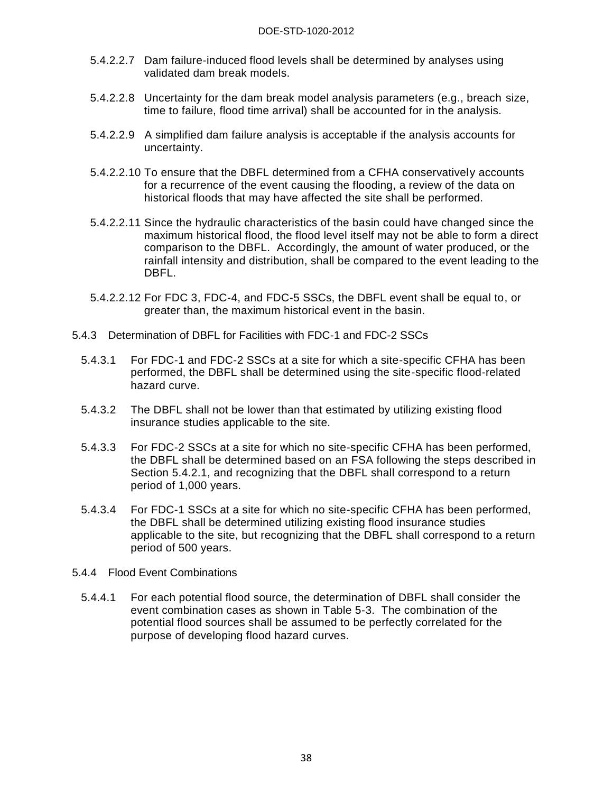- 5.4.2.2.7 Dam failure-induced flood levels shall be determined by analyses using validated dam break models.
- 5.4.2.2.8 Uncertainty for the dam break model analysis parameters (e.g., breach size, time to failure, flood time arrival) shall be accounted for in the analysis.
- 5.4.2.2.9 A simplified dam failure analysis is acceptable if the analysis accounts for uncertainty.
- 5.4.2.2.10 To ensure that the DBFL determined from a CFHA conservatively accounts for a recurrence of the event causing the flooding, a review of the data on historical floods that may have affected the site shall be performed.
- 5.4.2.2.11 Since the hydraulic characteristics of the basin could have changed since the maximum historical flood, the flood level itself may not be able to form a direct comparison to the DBFL. Accordingly, the amount of water produced, or the rainfall intensity and distribution, shall be compared to the event leading to the DBFL.
- 5.4.2.2.12 For FDC 3, FDC-4, and FDC-5 SSCs, the DBFL event shall be equal to, or greater than, the maximum historical event in the basin.
- 5.4.3 Determination of DBFL for Facilities with FDC-1 and FDC-2 SSCs
	- 5.4.3.1 For FDC-1 and FDC-2 SSCs at a site for which a site-specific CFHA has been performed, the DBFL shall be determined using the site-specific flood-related hazard curve.
	- 5.4.3.2 The DBFL shall not be lower than that estimated by utilizing existing flood insurance studies applicable to the site.
	- 5.4.3.3 For FDC-2 SSCs at a site for which no site-specific CFHA has been performed, the DBFL shall be determined based on an FSA following the steps described in Section 5.4.2.1, and recognizing that the DBFL shall correspond to a return period of 1,000 years.
	- 5.4.3.4 For FDC-1 SSCs at a site for which no site-specific CFHA has been performed, the DBFL shall be determined utilizing existing flood insurance studies applicable to the site, but recognizing that the DBFL shall correspond to a return period of 500 years.
- 5.4.4 Flood Event Combinations
	- 5.4.4.1 For each potential flood source, the determination of DBFL shall consider the event combination cases as shown in Table 5-3. The combination of the potential flood sources shall be assumed to be perfectly correlated for the purpose of developing flood hazard curves.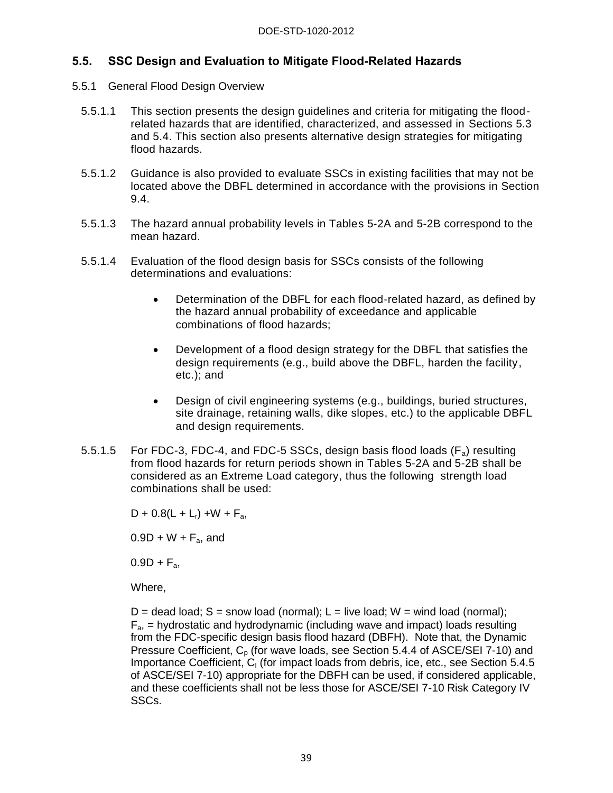## **5.5. SSC Design and Evaluation to Mitigate Flood-Related Hazards**

- 5.5.1 General Flood Design Overview
	- 5.5.1.1 This section presents the design guidelines and criteria for mitigating the floodrelated hazards that are identified, characterized, and assessed in Sections 5.3 and 5.4. This section also presents alternative design strategies for mitigating flood hazards.
	- 5.5.1.2 Guidance is also provided to evaluate SSCs in existing facilities that may not be located above the DBFL determined in accordance with the provisions in Section 9.4.
	- 5.5.1.3 The hazard annual probability levels in Tables 5-2A and 5-2B correspond to the mean hazard.
	- 5.5.1.4 Evaluation of the flood design basis for SSCs consists of the following determinations and evaluations:
		- Determination of the DBFL for each flood-related hazard, as defined by the hazard annual probability of exceedance and applicable combinations of flood hazards;
		- Development of a flood design strategy for the DBFL that satisfies the design requirements (e.g., build above the DBFL, harden the facility, etc.); and
		- Design of civil engineering systems (e.g., buildings, buried structures, site drainage, retaining walls, dike slopes, etc.) to the applicable DBFL and design requirements.
	- 5.5.1.5 For FDC-3, FDC-4, and FDC-5 SSCs, design basis flood loads  $(F_a)$  resulting from flood hazards for return periods shown in Tables 5-2A and 5-2B shall be considered as an Extreme Load category, thus the following strength load combinations shall be used:

 $D + 0.8(L + L_r) + W + F_a$ 

 $0.9D + W + F_a$ , and

 $0.9D + F_a$ 

Where,

 $D =$  dead load; S = snow load (normal); L = live load; W = wind load (normal);  $F_a$  = hydrostatic and hydrodynamic (including wave and impact) loads resulting from the FDC-specific design basis flood hazard (DBFH). Note that, the Dynamic Pressure Coefficient,  $C_p$  (for wave loads, see Section 5.4.4 of ASCE/SEI 7-10) and Importance Coefficient, C<sub>I</sub> (for impact loads from debris, ice, etc., see Section 5.4.5 of ASCE/SEI 7-10) appropriate for the DBFH can be used, if considered applicable, and these coefficients shall not be less those for ASCE/SEI 7-10 Risk Category IV SSCs.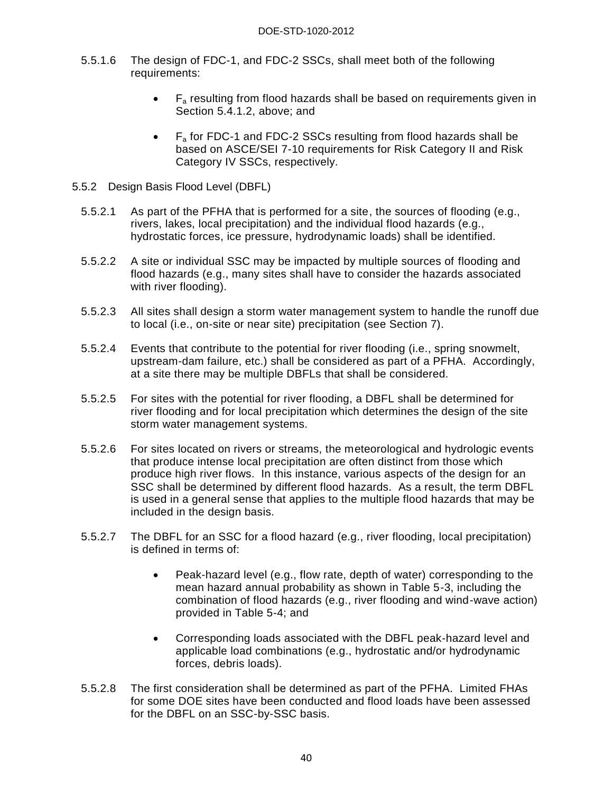- 5.5.1.6 The design of FDC-1, and FDC-2 SSCs, shall meet both of the following requirements:
	- $F_a$  resulting from flood hazards shall be based on requirements given in Section 5.4.1.2, above; and
	- $\bullet$  F<sub>a</sub> for FDC-1 and FDC-2 SSCs resulting from flood hazards shall be based on ASCE/SEI 7-10 requirements for Risk Category II and Risk Category IV SSCs, respectively.
- 5.5.2 Design Basis Flood Level (DBFL)
	- 5.5.2.1 As part of the PFHA that is performed for a site, the sources of flooding (e.g., rivers, lakes, local precipitation) and the individual flood hazards (e.g., hydrostatic forces, ice pressure, hydrodynamic loads) shall be identified.
	- 5.5.2.2 A site or individual SSC may be impacted by multiple sources of flooding and flood hazards (e.g., many sites shall have to consider the hazards associated with river flooding).
	- 5.5.2.3 All sites shall design a storm water management system to handle the runoff due to local (i.e., on-site or near site) precipitation (see Section 7).
	- 5.5.2.4 Events that contribute to the potential for river flooding (i.e., spring snowmelt, upstream-dam failure, etc.) shall be considered as part of a PFHA. Accordingly, at a site there may be multiple DBFLs that shall be considered.
	- 5.5.2.5 For sites with the potential for river flooding, a DBFL shall be determined for river flooding and for local precipitation which determines the design of the site storm water management systems.
	- 5.5.2.6 For sites located on rivers or streams, the meteorological and hydrologic events that produce intense local precipitation are often distinct from those which produce high river flows. In this instance, various aspects of the design for an SSC shall be determined by different flood hazards. As a result, the term DBFL is used in a general sense that applies to the multiple flood hazards that may be included in the design basis.
	- 5.5.2.7 The DBFL for an SSC for a flood hazard (e.g., river flooding, local precipitation) is defined in terms of:
		- Peak-hazard level (e.g., flow rate, depth of water) corresponding to the mean hazard annual probability as shown in Table 5-3, including the combination of flood hazards (e.g., river flooding and wind-wave action) provided in Table 5-4; and
		- Corresponding loads associated with the DBFL peak-hazard level and applicable load combinations (e.g., hydrostatic and/or hydrodynamic forces, debris loads).
	- 5.5.2.8 The first consideration shall be determined as part of the PFHA. Limited FHAs for some DOE sites have been conducted and flood loads have been assessed for the DBFL on an SSC-by-SSC basis.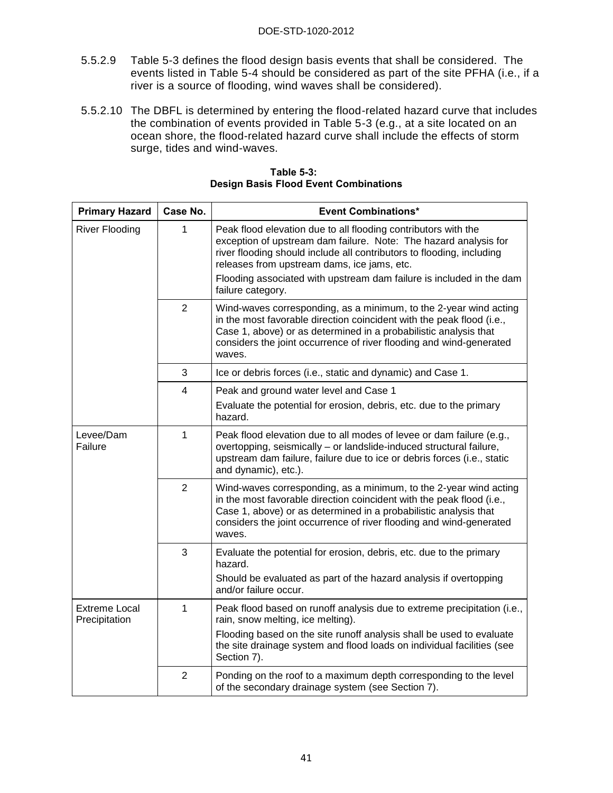- 5.5.2.9 Table 5-3 defines the flood design basis events that shall be considered. The events listed in Table 5-4 should be considered as part of the site PFHA (i.e., if a river is a source of flooding, wind waves shall be considered).
- 5.5.2.10 The DBFL is determined by entering the flood-related hazard curve that includes the combination of events provided in Table 5-3 (e.g., at a site located on an ocean shore, the flood-related hazard curve shall include the effects of storm surge, tides and wind-waves.

| <b>Primary Hazard</b>                 | Case No.       | <b>Event Combinations*</b>                                                                                                                                                                                                                                                                                                                              |  |  |
|---------------------------------------|----------------|---------------------------------------------------------------------------------------------------------------------------------------------------------------------------------------------------------------------------------------------------------------------------------------------------------------------------------------------------------|--|--|
| <b>River Flooding</b>                 | 1              | Peak flood elevation due to all flooding contributors with the<br>exception of upstream dam failure. Note: The hazard analysis for<br>river flooding should include all contributors to flooding, including<br>releases from upstream dams, ice jams, etc.<br>Flooding associated with upstream dam failure is included in the dam<br>failure category. |  |  |
|                                       | $\overline{2}$ | Wind-waves corresponding, as a minimum, to the 2-year wind acting<br>in the most favorable direction coincident with the peak flood (i.e.,<br>Case 1, above) or as determined in a probabilistic analysis that<br>considers the joint occurrence of river flooding and wind-generated<br>waves.                                                         |  |  |
|                                       | 3              | Ice or debris forces (i.e., static and dynamic) and Case 1.                                                                                                                                                                                                                                                                                             |  |  |
|                                       | 4              | Peak and ground water level and Case 1                                                                                                                                                                                                                                                                                                                  |  |  |
|                                       |                | Evaluate the potential for erosion, debris, etc. due to the primary<br>hazard.                                                                                                                                                                                                                                                                          |  |  |
| $\mathbf{1}$<br>Levee/Dam<br>Failure  |                | Peak flood elevation due to all modes of levee or dam failure (e.g.,<br>overtopping, seismically - or landslide-induced structural failure,<br>upstream dam failure, failure due to ice or debris forces (i.e., static<br>and dynamic), etc.).                                                                                                          |  |  |
|                                       | $\overline{2}$ | Wind-waves corresponding, as a minimum, to the 2-year wind acting<br>in the most favorable direction coincident with the peak flood (i.e.,<br>Case 1, above) or as determined in a probabilistic analysis that<br>considers the joint occurrence of river flooding and wind-generated<br>waves.                                                         |  |  |
|                                       | 3              | Evaluate the potential for erosion, debris, etc. due to the primary<br>hazard.<br>Should be evaluated as part of the hazard analysis if overtopping<br>and/or failure occur.                                                                                                                                                                            |  |  |
| <b>Extreme Local</b><br>Precipitation | 1              | Peak flood based on runoff analysis due to extreme precipitation (i.e.,<br>rain, snow melting, ice melting).                                                                                                                                                                                                                                            |  |  |
|                                       |                | Flooding based on the site runoff analysis shall be used to evaluate<br>the site drainage system and flood loads on individual facilities (see<br>Section 7).                                                                                                                                                                                           |  |  |
|                                       | $\overline{2}$ | Ponding on the roof to a maximum depth corresponding to the level<br>of the secondary drainage system (see Section 7).                                                                                                                                                                                                                                  |  |  |

**Table 5-3: Design Basis Flood Event Combinations**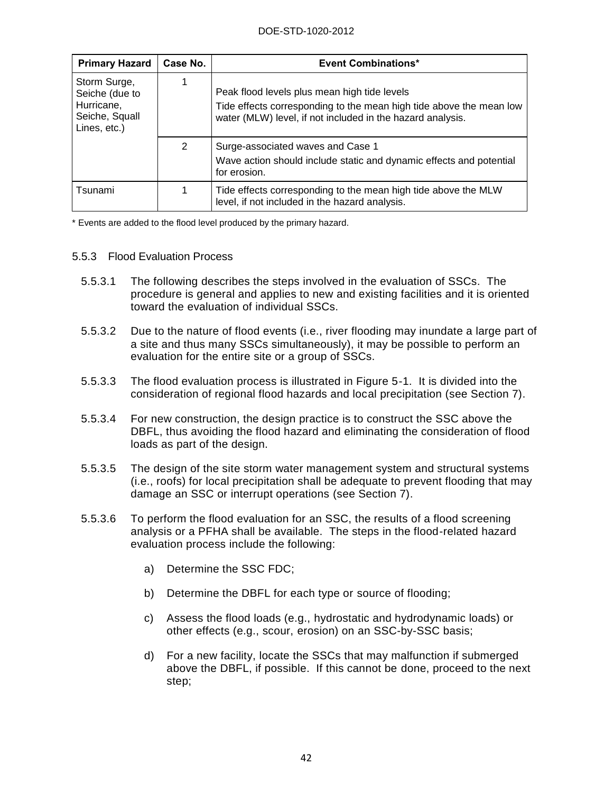| <b>Primary Hazard</b>                                                          | Case No. | <b>Event Combinations*</b>                                                                                                                                                        |
|--------------------------------------------------------------------------------|----------|-----------------------------------------------------------------------------------------------------------------------------------------------------------------------------------|
| Storm Surge,<br>Seiche (due to<br>Hurricane,<br>Seiche, Squall<br>Lines, etc.) |          | Peak flood levels plus mean high tide levels<br>Tide effects corresponding to the mean high tide above the mean low<br>water (MLW) level, if not included in the hazard analysis. |
|                                                                                | 2        | Surge-associated waves and Case 1<br>Wave action should include static and dynamic effects and potential<br>for erosion.                                                          |
| Tsunami                                                                        |          | Tide effects corresponding to the mean high tide above the MLW<br>level, if not included in the hazard analysis.                                                                  |

\* Events are added to the flood level produced by the primary hazard.

#### 5.5.3 Flood Evaluation Process

- 5.5.3.1 The following describes the steps involved in the evaluation of SSCs. The procedure is general and applies to new and existing facilities and it is oriented toward the evaluation of individual SSCs.
- 5.5.3.2 Due to the nature of flood events (i.e., river flooding may inundate a large part of a site and thus many SSCs simultaneously), it may be possible to perform an evaluation for the entire site or a group of SSCs.
- 5.5.3.3 The flood evaluation process is illustrated in Figure 5-1. It is divided into the consideration of regional flood hazards and local precipitation (see Section 7).
- 5.5.3.4 For new construction, the design practice is to construct the SSC above the DBFL, thus avoiding the flood hazard and eliminating the consideration of flood loads as part of the design.
- 5.5.3.5 The design of the site storm water management system and structural systems (i.e., roofs) for local precipitation shall be adequate to prevent flooding that may damage an SSC or interrupt operations (see Section 7).
- 5.5.3.6 To perform the flood evaluation for an SSC, the results of a flood screening analysis or a PFHA shall be available. The steps in the flood-related hazard evaluation process include the following:
	- a) Determine the SSC FDC;
	- b) Determine the DBFL for each type or source of flooding;
	- c) Assess the flood loads (e.g., hydrostatic and hydrodynamic loads) or other effects (e.g., scour, erosion) on an SSC-by-SSC basis;
	- d) For a new facility, locate the SSCs that may malfunction if submerged above the DBFL, if possible. If this cannot be done, proceed to the next step;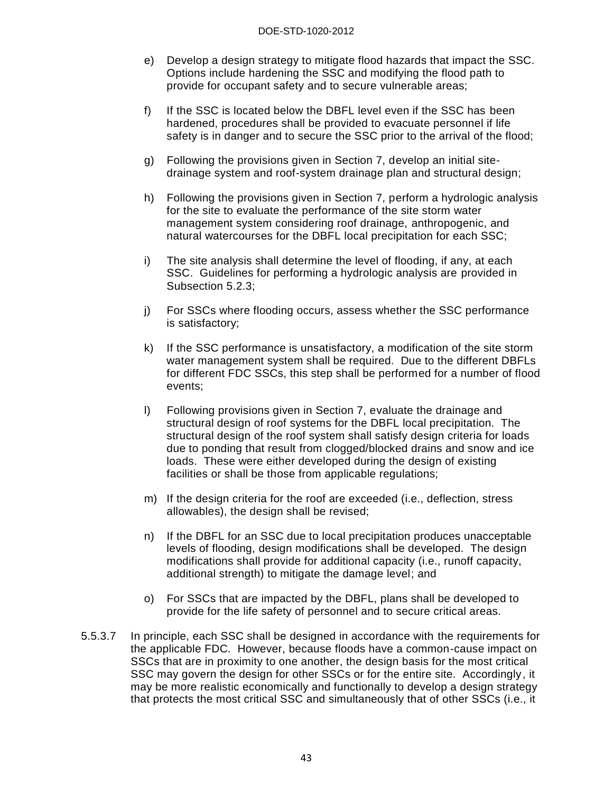- e) Develop a design strategy to mitigate flood hazards that impact the SSC. Options include hardening the SSC and modifying the flood path to provide for occupant safety and to secure vulnerable areas;
- f) If the SSC is located below the DBFL level even if the SSC has been hardened, procedures shall be provided to evacuate personnel if life safety is in danger and to secure the SSC prior to the arrival of the flood;
- g) Following the provisions given in Section 7, develop an initial sitedrainage system and roof-system drainage plan and structural design;
- h) Following the provisions given in Section 7, perform a hydrologic analysis for the site to evaluate the performance of the site storm water management system considering roof drainage, anthropogenic, and natural watercourses for the DBFL local precipitation for each SSC;
- i) The site analysis shall determine the level of flooding, if any, at each SSC. Guidelines for performing a hydrologic analysis are provided in Subsection 5.2.3;
- j) For SSCs where flooding occurs, assess whether the SSC performance is satisfactory;
- k) If the SSC performance is unsatisfactory, a modification of the site storm water management system shall be required. Due to the different DBFLs for different FDC SSCs, this step shall be performed for a number of flood events;
- l) Following provisions given in Section 7, evaluate the drainage and structural design of roof systems for the DBFL local precipitation. The structural design of the roof system shall satisfy design criteria for loads due to ponding that result from clogged/blocked drains and snow and ice loads. These were either developed during the design of existing facilities or shall be those from applicable regulations;
- m) If the design criteria for the roof are exceeded (i.e., deflection, stress allowables), the design shall be revised;
- n) If the DBFL for an SSC due to local precipitation produces unacceptable levels of flooding, design modifications shall be developed. The design modifications shall provide for additional capacity (i.e., runoff capacity, additional strength) to mitigate the damage level; and
- o) For SSCs that are impacted by the DBFL, plans shall be developed to provide for the life safety of personnel and to secure critical areas.
- 5.5.3.7 In principle, each SSC shall be designed in accordance with the requirements for the applicable FDC. However, because floods have a common-cause impact on SSCs that are in proximity to one another, the design basis for the most critical SSC may govern the design for other SSCs or for the entire site. Accordingly, it may be more realistic economically and functionally to develop a design strategy that protects the most critical SSC and simultaneously that of other SSCs (i.e., it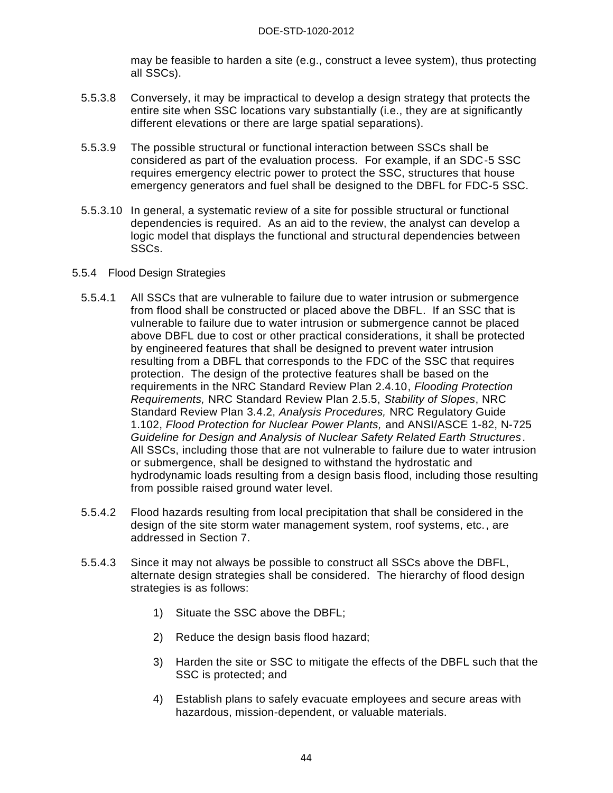may be feasible to harden a site (e.g., construct a levee system), thus protecting all SSCs).

- 5.5.3.8 Conversely, it may be impractical to develop a design strategy that protects the entire site when SSC locations vary substantially (i.e., they are at significantly different elevations or there are large spatial separations).
- 5.5.3.9 The possible structural or functional interaction between SSCs shall be considered as part of the evaluation process. For example, if an SDC-5 SSC requires emergency electric power to protect the SSC, structures that house emergency generators and fuel shall be designed to the DBFL for FDC-5 SSC.
- 5.5.3.10 In general, a systematic review of a site for possible structural or functional dependencies is required. As an aid to the review, the analyst can develop a logic model that displays the functional and structural dependencies between SSCs.

#### 5.5.4 Flood Design Strategies

- 5.5.4.1 All SSCs that are vulnerable to failure due to water intrusion or submergence from flood shall be constructed or placed above the DBFL. If an SSC that is vulnerable to failure due to water intrusion or submergence cannot be placed above DBFL due to cost or other practical considerations, it shall be protected by engineered features that shall be designed to prevent water intrusion resulting from a DBFL that corresponds to the FDC of the SSC that requires protection. The design of the protective features shall be based on the requirements in the NRC Standard Review Plan 2.4.10, *Flooding Protection Requirements,* NRC Standard Review Plan 2.5.5, *Stability of Slopes*, NRC Standard Review Plan 3.4.2, *Analysis Procedures,* NRC Regulatory Guide 1.102, *Flood Protection for Nuclear Power Plants,* and ANSI/ASCE 1-82, N-725 *Guideline for Design and Analysis of Nuclear Safety Related Earth Structures*. All SSCs, including those that are not vulnerable to failure due to water intrusion or submergence, shall be designed to withstand the hydrostatic and hydrodynamic loads resulting from a design basis flood, including those resulting from possible raised ground water level.
- 5.5.4.2 Flood hazards resulting from local precipitation that shall be considered in the design of the site storm water management system, roof systems, etc., are addressed in Section 7.
- 5.5.4.3 Since it may not always be possible to construct all SSCs above the DBFL, alternate design strategies shall be considered. The hierarchy of flood design strategies is as follows:
	- 1) Situate the SSC above the DBFL;
	- 2) Reduce the design basis flood hazard;
	- 3) Harden the site or SSC to mitigate the effects of the DBFL such that the SSC is protected; and
	- 4) Establish plans to safely evacuate employees and secure areas with hazardous, mission-dependent, or valuable materials.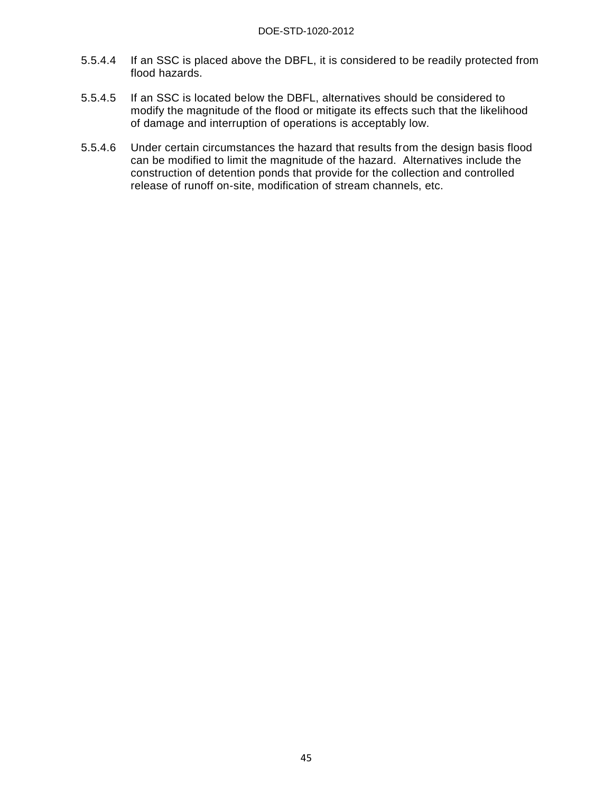- 5.5.4.4 If an SSC is placed above the DBFL, it is considered to be readily protected from flood hazards.
- 5.5.4.5 If an SSC is located below the DBFL, alternatives should be considered to modify the magnitude of the flood or mitigate its effects such that the likelihood of damage and interruption of operations is acceptably low.
- 5.5.4.6 Under certain circumstances the hazard that results from the design basis flood can be modified to limit the magnitude of the hazard. Alternatives include the construction of detention ponds that provide for the collection and controlled release of runoff on-site, modification of stream channels, etc.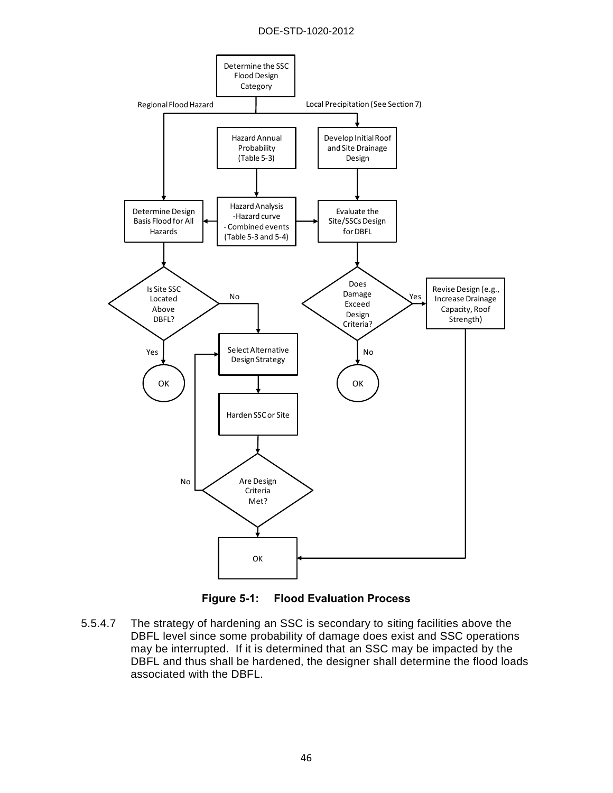#### DOE-STD-1020-2012



**Figure 5-1: Flood Evaluation Process** 

5.5.4.7 The strategy of hardening an SSC is secondary to siting facilities above the DBFL level since some probability of damage does exist and SSC operations may be interrupted. If it is determined that an SSC may be impacted by the DBFL and thus shall be hardened, the designer shall determine the flood loads associated with the DBFL.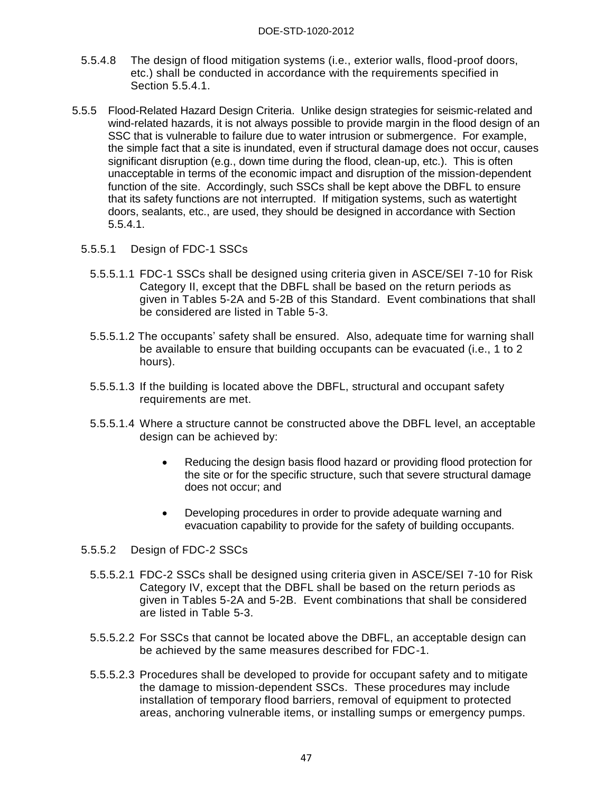- 5.5.4.8 The design of flood mitigation systems (i.e., exterior walls, flood-proof doors, etc.) shall be conducted in accordance with the requirements specified in Section 5.5.4.1.
- 5.5.5 Flood-Related Hazard Design Criteria. Unlike design strategies for seismic-related and wind-related hazards, it is not always possible to provide margin in the flood design of an SSC that is vulnerable to failure due to water intrusion or submergence. For example, the simple fact that a site is inundated, even if structural damage does not occur, causes significant disruption (e.g., down time during the flood, clean-up, etc.). This is often unacceptable in terms of the economic impact and disruption of the mission-dependent function of the site. Accordingly, such SSCs shall be kept above the DBFL to ensure that its safety functions are not interrupted. If mitigation systems, such as watertight doors, sealants, etc., are used, they should be designed in accordance with Section 5.5.4.1.
	- 5.5.5.1 Design of FDC-1 SSCs
		- 5.5.5.1.1 FDC-1 SSCs shall be designed using criteria given in ASCE/SEI 7-10 for Risk Category II, except that the DBFL shall be based on the return periods as given in Tables 5-2A and 5-2B of this Standard. Event combinations that shall be considered are listed in Table 5-3.
		- 5.5.5.1.2 The occupants' safety shall be ensured. Also, adequate time for warning shall be available to ensure that building occupants can be evacuated (i.e., 1 to 2 hours).
		- 5.5.5.1.3 If the building is located above the DBFL, structural and occupant safety requirements are met.
		- 5.5.5.1.4 Where a structure cannot be constructed above the DBFL level, an acceptable design can be achieved by:
			- Reducing the design basis flood hazard or providing flood protection for the site or for the specific structure, such that severe structural damage does not occur; and
			- Developing procedures in order to provide adequate warning and evacuation capability to provide for the safety of building occupants.
	- 5.5.5.2 Design of FDC-2 SSCs
		- 5.5.5.2.1 FDC-2 SSCs shall be designed using criteria given in ASCE/SEI 7-10 for Risk Category IV, except that the DBFL shall be based on the return periods as given in Tables 5-2A and 5-2B. Event combinations that shall be considered are listed in Table 5-3.
		- 5.5.5.2.2 For SSCs that cannot be located above the DBFL, an acceptable design can be achieved by the same measures described for FDC-1.
		- 5.5.5.2.3 Procedures shall be developed to provide for occupant safety and to mitigate the damage to mission-dependent SSCs. These procedures may include installation of temporary flood barriers, removal of equipment to protected areas, anchoring vulnerable items, or installing sumps or emergency pumps.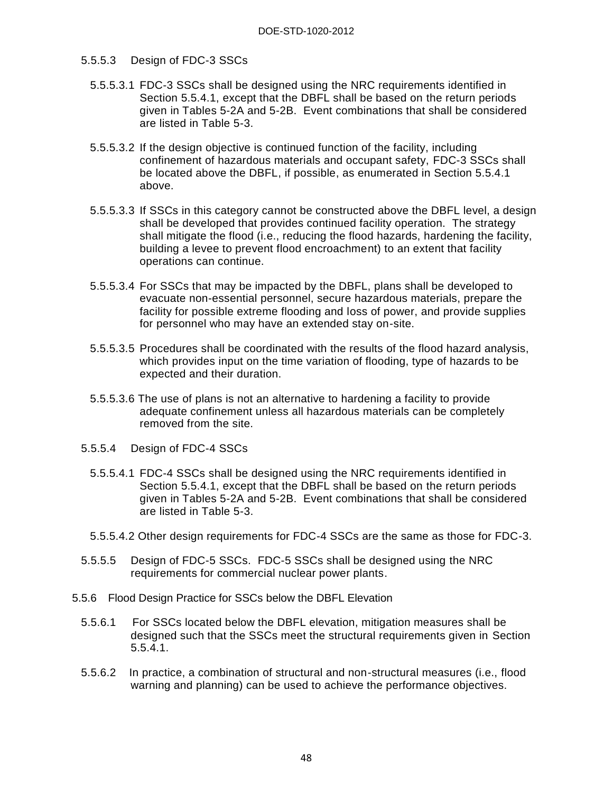#### 5.5.5.3 Design of FDC-3 SSCs

- 5.5.5.3.1 FDC-3 SSCs shall be designed using the NRC requirements identified in Section 5.5.4.1, except that the DBFL shall be based on the return periods given in Tables 5-2A and 5-2B. Event combinations that shall be considered are listed in Table 5-3.
- 5.5.5.3.2 If the design objective is continued function of the facility, including confinement of hazardous materials and occupant safety, FDC-3 SSCs shall be located above the DBFL, if possible, as enumerated in Section 5.5.4.1 above.
- 5.5.5.3.3 If SSCs in this category cannot be constructed above the DBFL level, a design shall be developed that provides continued facility operation. The strategy shall mitigate the flood (i.e., reducing the flood hazards, hardening the facility, building a levee to prevent flood encroachment) to an extent that facility operations can continue.
- 5.5.5.3.4 For SSCs that may be impacted by the DBFL, plans shall be developed to evacuate non-essential personnel, secure hazardous materials, prepare the facility for possible extreme flooding and loss of power, and provide supplies for personnel who may have an extended stay on-site.
- 5.5.5.3.5 Procedures shall be coordinated with the results of the flood hazard analysis, which provides input on the time variation of flooding, type of hazards to be expected and their duration.
- 5.5.5.3.6 The use of plans is not an alternative to hardening a facility to provide adequate confinement unless all hazardous materials can be completely removed from the site.
- 5.5.5.4 Design of FDC-4 SSCs
	- 5.5.5.4.1 FDC-4 SSCs shall be designed using the NRC requirements identified in Section 5.5.4.1, except that the DBFL shall be based on the return periods given in Tables 5-2A and 5-2B. Event combinations that shall be considered are listed in Table 5-3.
	- 5.5.5.4.2 Other design requirements for FDC-4 SSCs are the same as those for FDC-3.
- 5.5.5.5 Design of FDC-5 SSCs. FDC-5 SSCs shall be designed using the NRC requirements for commercial nuclear power plants.
- 5.5.6 Flood Design Practice for SSCs below the DBFL Elevation
	- 5.5.6.1 For SSCs located below the DBFL elevation, mitigation measures shall be designed such that the SSCs meet the structural requirements given in Section 5.5.4.1.
	- 5.5.6.2 In practice, a combination of structural and non-structural measures (i.e., flood warning and planning) can be used to achieve the performance objectives.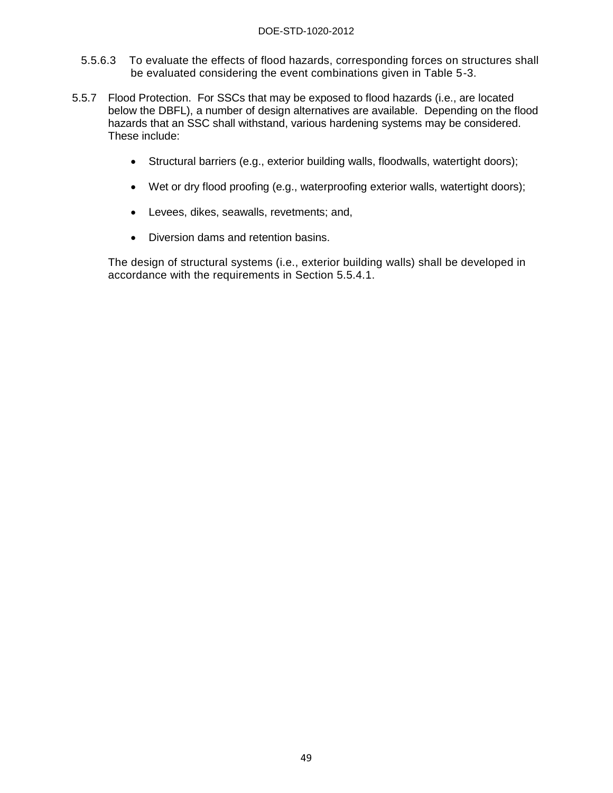- 5.5.6.3 To evaluate the effects of flood hazards, corresponding forces on structures shall be evaluated considering the event combinations given in Table 5-3.
- 5.5.7 Flood Protection. For SSCs that may be exposed to flood hazards (i.e., are located below the DBFL), a number of design alternatives are available. Depending on the flood hazards that an SSC shall withstand, various hardening systems may be considered. These include:
	- Structural barriers (e.g., exterior building walls, floodwalls, watertight doors);
	- Wet or dry flood proofing (e.g., waterproofing exterior walls, watertight doors);
	- Levees, dikes, seawalls, revetments; and,
	- Diversion dams and retention basins.

The design of structural systems (i.e., exterior building walls) shall be developed in accordance with the requirements in Section 5.5.4.1.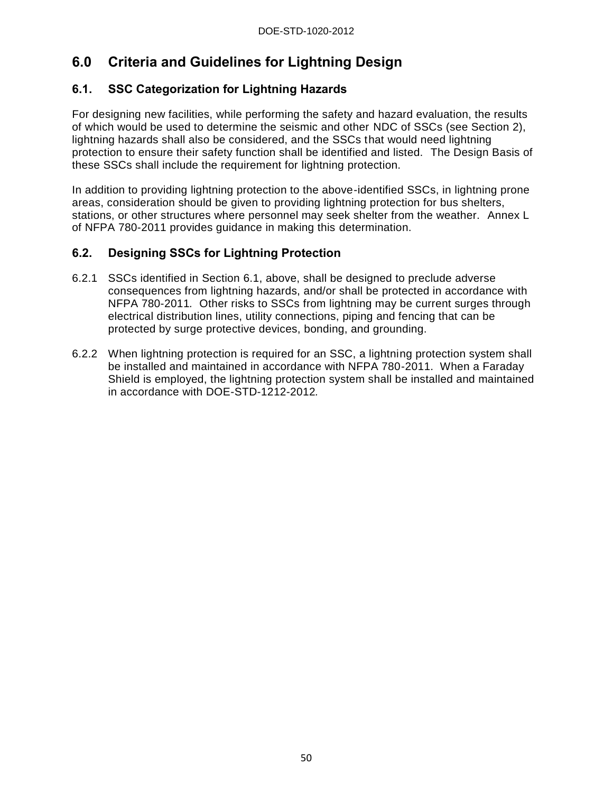# **6.0 Criteria and Guidelines for Lightning Design**

# **6.1. SSC Categorization for Lightning Hazards**

For designing new facilities, while performing the safety and hazard evaluation, the results of which would be used to determine the seismic and other NDC of SSCs (see Section 2), lightning hazards shall also be considered, and the SSCs that would need lightning protection to ensure their safety function shall be identified and listed. The Design Basis of these SSCs shall include the requirement for lightning protection.

In addition to providing lightning protection to the above-identified SSCs, in lightning prone areas, consideration should be given to providing lightning protection for bus shelters, stations, or other structures where personnel may seek shelter from the weather. Annex L of NFPA 780-2011 provides guidance in making this determination.

# **6.2. Designing SSCs for Lightning Protection**

- 6.2.1 SSCs identified in Section 6.1, above, shall be designed to preclude adverse consequences from lightning hazards, and/or shall be protected in accordance with NFPA 780-2011*.* Other risks to SSCs from lightning may be current surges through electrical distribution lines, utility connections, piping and fencing that can be protected by surge protective devices, bonding, and grounding.
- 6.2.2 When lightning protection is required for an SSC, a lightning protection system shall be installed and maintained in accordance with NFPA 780-2011. When a Faraday Shield is employed, the lightning protection system shall be installed and maintained in accordance with DOE-STD-1212-2012*.*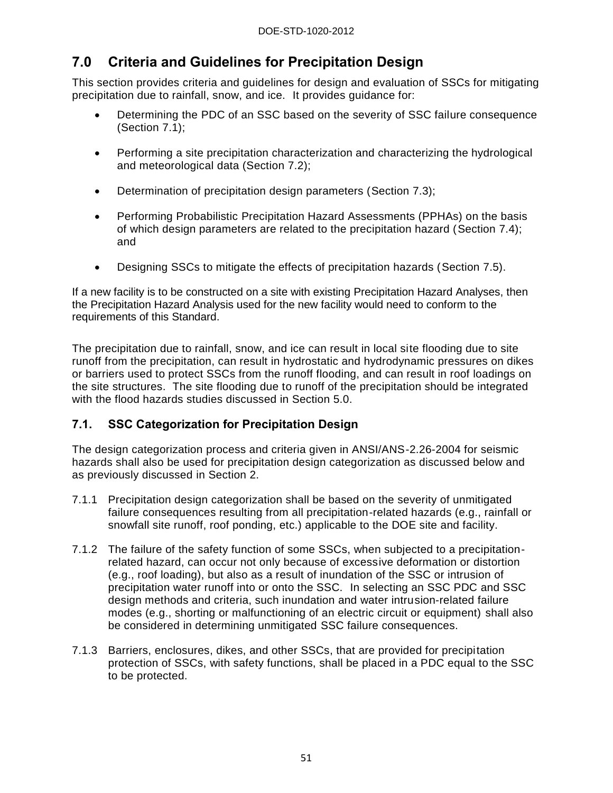# **7.0 Criteria and Guidelines for Precipitation Design**

This section provides criteria and guidelines for design and evaluation of SSCs for mitigating precipitation due to rainfall, snow, and ice. It provides guidance for:

- Determining the PDC of an SSC based on the severity of SSC failure consequence (Section 7.1);
- Performing a site precipitation characterization and characterizing the hydrological and meteorological data (Section 7.2);
- Determination of precipitation design parameters (Section 7.3);
- Performing Probabilistic Precipitation Hazard Assessments (PPHAs) on the basis of which design parameters are related to the precipitation hazard (Section 7.4); and
- Designing SSCs to mitigate the effects of precipitation hazards (Section 7.5).

If a new facility is to be constructed on a site with existing Precipitation Hazard Analyses, then the Precipitation Hazard Analysis used for the new facility would need to conform to the requirements of this Standard.

The precipitation due to rainfall, snow, and ice can result in local site flooding due to site runoff from the precipitation, can result in hydrostatic and hydrodynamic pressures on dikes or barriers used to protect SSCs from the runoff flooding, and can result in roof loadings on the site structures. The site flooding due to runoff of the precipitation should be integrated with the flood hazards studies discussed in Section 5.0.

# **7.1. SSC Categorization for Precipitation Design**

The design categorization process and criteria given in ANSI/ANS-2.26-2004 for seismic hazards shall also be used for precipitation design categorization as discussed below and as previously discussed in Section 2.

- 7.1.1 Precipitation design categorization shall be based on the severity of unmitigated failure consequences resulting from all precipitation-related hazards (e.g., rainfall or snowfall site runoff, roof ponding, etc.) applicable to the DOE site and facility.
- 7.1.2 The failure of the safety function of some SSCs, when subjected to a precipitationrelated hazard, can occur not only because of excessive deformation or distortion (e.g., roof loading), but also as a result of inundation of the SSC or intrusion of precipitation water runoff into or onto the SSC. In selecting an SSC PDC and SSC design methods and criteria, such inundation and water intrusion-related failure modes (e.g., shorting or malfunctioning of an electric circuit or equipment) shall also be considered in determining unmitigated SSC failure consequences.
- 7.1.3 Barriers, enclosures, dikes, and other SSCs, that are provided for precipitation protection of SSCs, with safety functions, shall be placed in a PDC equal to the SSC to be protected.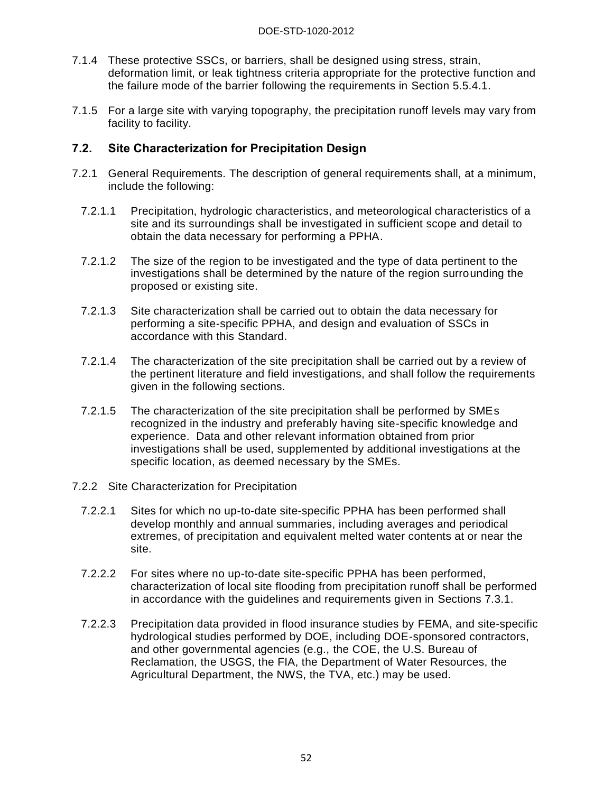- 7.1.4 These protective SSCs, or barriers, shall be designed using stress, strain, deformation limit, or leak tightness criteria appropriate for the protective function and the failure mode of the barrier following the requirements in Section 5.5.4.1.
- 7.1.5 For a large site with varying topography, the precipitation runoff levels may vary from facility to facility.

## **7.2. Site Characterization for Precipitation Design**

- 7.2.1 General Requirements. The description of general requirements shall, at a minimum, include the following:
	- 7.2.1.1 Precipitation, hydrologic characteristics, and meteorological characteristics of a site and its surroundings shall be investigated in sufficient scope and detail to obtain the data necessary for performing a PPHA.
	- 7.2.1.2 The size of the region to be investigated and the type of data pertinent to the investigations shall be determined by the nature of the region surrounding the proposed or existing site.
	- 7.2.1.3 Site characterization shall be carried out to obtain the data necessary for performing a site-specific PPHA, and design and evaluation of SSCs in accordance with this Standard.
	- 7.2.1.4 The characterization of the site precipitation shall be carried out by a review of the pertinent literature and field investigations, and shall follow the requirements given in the following sections.
	- 7.2.1.5 The characterization of the site precipitation shall be performed by SMEs recognized in the industry and preferably having site-specific knowledge and experience. Data and other relevant information obtained from prior investigations shall be used, supplemented by additional investigations at the specific location, as deemed necessary by the SMEs.
- 7.2.2 Site Characterization for Precipitation
	- 7.2.2.1 Sites for which no up-to-date site-specific PPHA has been performed shall develop monthly and annual summaries, including averages and periodical extremes, of precipitation and equivalent melted water contents at or near the site.
	- 7.2.2.2 For sites where no up-to-date site-specific PPHA has been performed, characterization of local site flooding from precipitation runoff shall be performed in accordance with the guidelines and requirements given in Sections 7.3.1.
	- 7.2.2.3 Precipitation data provided in flood insurance studies by FEMA, and site-specific hydrological studies performed by DOE, including DOE-sponsored contractors, and other governmental agencies (e.g., the COE, the U.S. Bureau of Reclamation, the USGS, the FIA, the Department of Water Resources, the Agricultural Department, the NWS, the TVA, etc.) may be used.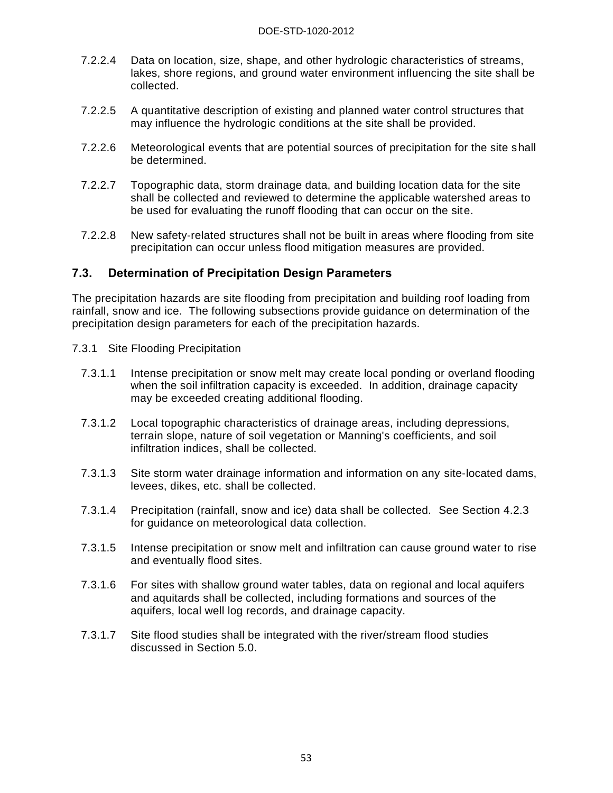- 7.2.2.4 Data on location, size, shape, and other hydrologic characteristics of streams, lakes, shore regions, and ground water environment influencing the site shall be collected.
- 7.2.2.5 A quantitative description of existing and planned water control structures that may influence the hydrologic conditions at the site shall be provided.
- 7.2.2.6 Meteorological events that are potential sources of precipitation for the site shall be determined.
- 7.2.2.7 Topographic data, storm drainage data, and building location data for the site shall be collected and reviewed to determine the applicable watershed areas to be used for evaluating the runoff flooding that can occur on the site.
- 7.2.2.8 New safety-related structures shall not be built in areas where flooding from site precipitation can occur unless flood mitigation measures are provided.

### **7.3. Determination of Precipitation Design Parameters**

The precipitation hazards are site flooding from precipitation and building roof loading from rainfall, snow and ice. The following subsections provide guidance on determination of the precipitation design parameters for each of the precipitation hazards.

- 7.3.1 Site Flooding Precipitation
	- 7.3.1.1 Intense precipitation or snow melt may create local ponding or overland flooding when the soil infiltration capacity is exceeded. In addition, drainage capacity may be exceeded creating additional flooding.
	- 7.3.1.2 Local topographic characteristics of drainage areas, including depressions, terrain slope, nature of soil vegetation or Manning's coefficients, and soil infiltration indices, shall be collected.
	- 7.3.1.3 Site storm water drainage information and information on any site-located dams, levees, dikes, etc. shall be collected.
	- 7.3.1.4 Precipitation (rainfall, snow and ice) data shall be collected. See Section 4.2.3 for guidance on meteorological data collection.
	- 7.3.1.5 Intense precipitation or snow melt and infiltration can cause ground water to rise and eventually flood sites.
	- 7.3.1.6 For sites with shallow ground water tables, data on regional and local aquifers and aquitards shall be collected, including formations and sources of the aquifers, local well log records, and drainage capacity.
	- 7.3.1.7 Site flood studies shall be integrated with the river/stream flood studies discussed in Section 5.0.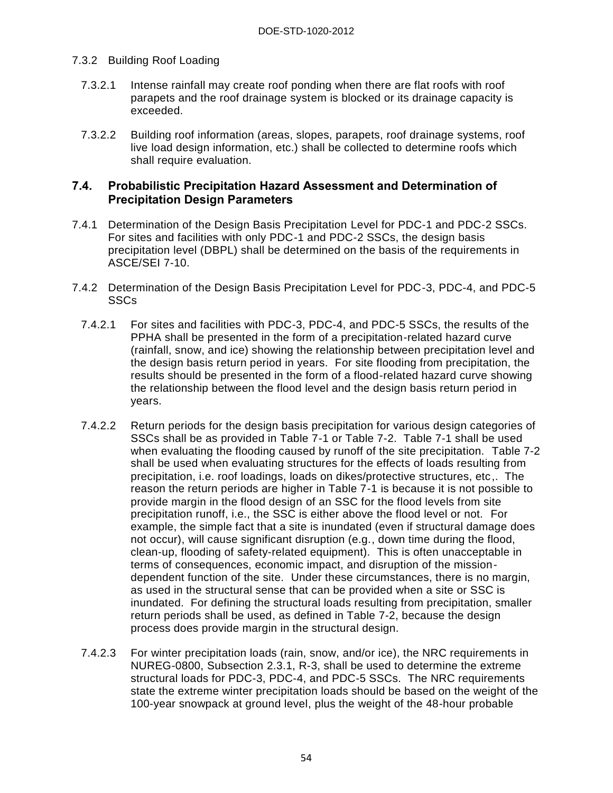### 7.3.2 Building Roof Loading

- 7.3.2.1 Intense rainfall may create roof ponding when there are flat roofs with roof parapets and the roof drainage system is blocked or its drainage capacity is exceeded.
- 7.3.2.2 Building roof information (areas, slopes, parapets, roof drainage systems, roof live load design information, etc.) shall be collected to determine roofs which shall require evaluation.

### **7.4. Probabilistic Precipitation Hazard Assessment and Determination of Precipitation Design Parameters**

- 7.4.1 Determination of the Design Basis Precipitation Level for PDC-1 and PDC-2 SSCs. For sites and facilities with only PDC-1 and PDC-2 SSCs, the design basis precipitation level (DBPL) shall be determined on the basis of the requirements in ASCE/SEI 7-10.
- 7.4.2 Determination of the Design Basis Precipitation Level for PDC-3, PDC-4, and PDC-5 **SSCs** 
	- 7.4.2.1 For sites and facilities with PDC-3, PDC-4, and PDC-5 SSCs, the results of the PPHA shall be presented in the form of a precipitation-related hazard curve (rainfall, snow, and ice) showing the relationship between precipitation level and the design basis return period in years. For site flooding from precipitation, the results should be presented in the form of a flood-related hazard curve showing the relationship between the flood level and the design basis return period in years.
	- 7.4.2.2 Return periods for the design basis precipitation for various design categories of SSCs shall be as provided in Table 7-1 or Table 7-2. Table 7-1 shall be used when evaluating the flooding caused by runoff of the site precipitation. Table 7-2 shall be used when evaluating structures for the effects of loads resulting from precipitation, i.e. roof loadings, loads on dikes/protective structures, etc,. The reason the return periods are higher in Table 7-1 is because it is not possible to provide margin in the flood design of an SSC for the flood levels from site precipitation runoff, i.e., the SSC is either above the flood level or not. For example, the simple fact that a site is inundated (even if structural damage does not occur), will cause significant disruption (e.g., down time during the flood, clean-up, flooding of safety-related equipment). This is often unacceptable in terms of consequences, economic impact, and disruption of the missiondependent function of the site. Under these circumstances, there is no margin, as used in the structural sense that can be provided when a site or SSC is inundated. For defining the structural loads resulting from precipitation, smaller return periods shall be used, as defined in Table 7-2, because the design process does provide margin in the structural design.
	- 7.4.2.3 For winter precipitation loads (rain, snow, and/or ice), the NRC requirements in NUREG-0800, Subsection 2.3.1, R-3, shall be used to determine the extreme structural loads for PDC-3, PDC-4, and PDC-5 SSCs. The NRC requirements state the extreme winter precipitation loads should be based on the weight of the 100-year snowpack at ground level, plus the weight of the 48-hour probable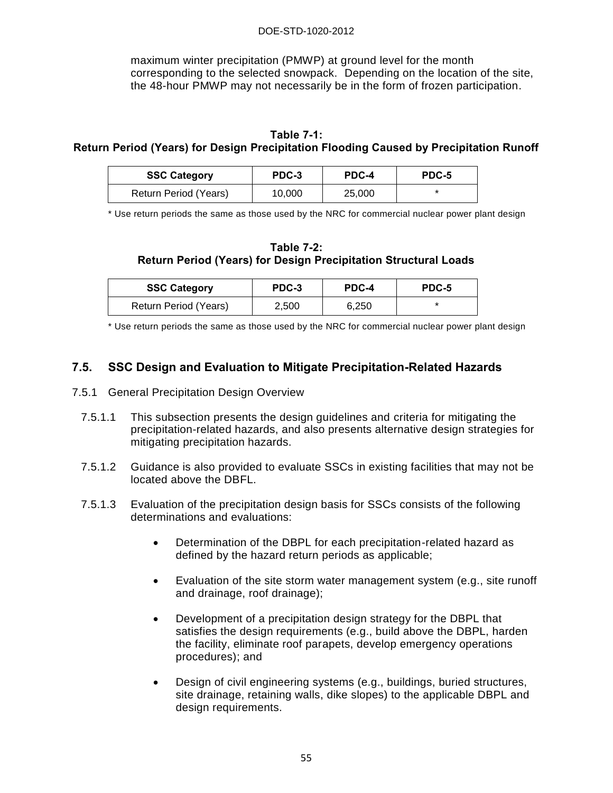#### DOE-STD-1020-2012

maximum winter precipitation (PMWP) at ground level for the month corresponding to the selected snowpack. Depending on the location of the site, the 48-hour PMWP may not necessarily be in the form of frozen participation.

# **Table 7-1:**

## **Return Period (Years) for Design Precipitation Flooding Caused by Precipitation Runoff**

| <b>SSC Category</b>   | PDC-3  | PDC-4  | PDC-5 |
|-----------------------|--------|--------|-------|
| Return Period (Years) | 10,000 | 25,000 |       |

\* Use return periods the same as those used by the NRC for commercial nuclear power plant design

#### **Table 7-2: Return Period (Years) for Design Precipitation Structural Loads**

| <b>SSC Category</b>   | PDC-3 | PDC-4 | PDC-5 |
|-----------------------|-------|-------|-------|
| Return Period (Years) | 2,500 | 6,250 | *     |

\* Use return periods the same as those used by the NRC for commercial nuclear power plant design

## **7.5. SSC Design and Evaluation to Mitigate Precipitation-Related Hazards**

- 7.5.1 General Precipitation Design Overview
	- 7.5.1.1 This subsection presents the design guidelines and criteria for mitigating the precipitation-related hazards, and also presents alternative design strategies for mitigating precipitation hazards.
	- 7.5.1.2 Guidance is also provided to evaluate SSCs in existing facilities that may not be located above the DBFL.
	- 7.5.1.3 Evaluation of the precipitation design basis for SSCs consists of the following determinations and evaluations:
		- Determination of the DBPL for each precipitation-related hazard as defined by the hazard return periods as applicable;
		- Evaluation of the site storm water management system (e.g., site runoff and drainage, roof drainage);
		- Development of a precipitation design strategy for the DBPL that satisfies the design requirements (e.g., build above the DBPL, harden the facility, eliminate roof parapets, develop emergency operations procedures); and
		- Design of civil engineering systems (e.g., buildings, buried structures, site drainage, retaining walls, dike slopes) to the applicable DBPL and design requirements.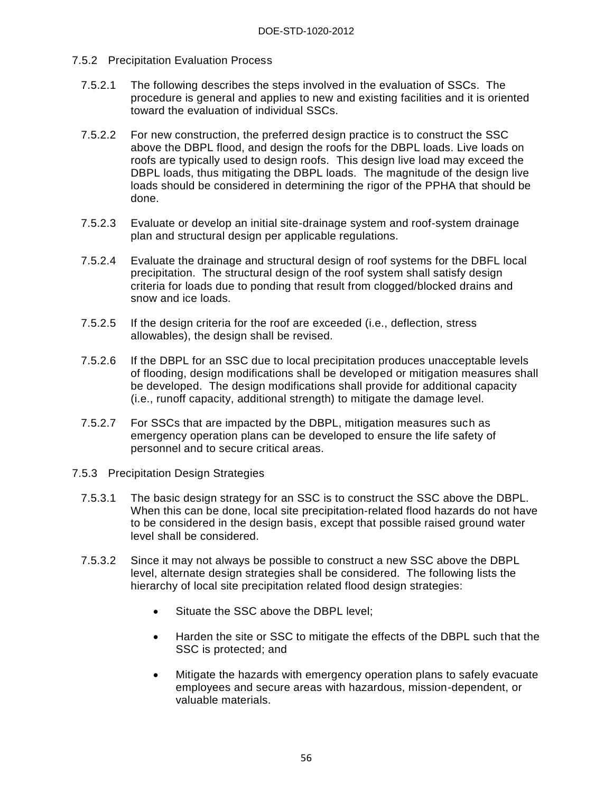- 7.5.2 Precipitation Evaluation Process
	- 7.5.2.1 The following describes the steps involved in the evaluation of SSCs. The procedure is general and applies to new and existing facilities and it is oriented toward the evaluation of individual SSCs.
	- 7.5.2.2 For new construction, the preferred design practice is to construct the SSC above the DBPL flood, and design the roofs for the DBPL loads. Live loads on roofs are typically used to design roofs. This design live load may exceed the DBPL loads, thus mitigating the DBPL loads. The magnitude of the design live loads should be considered in determining the rigor of the PPHA that should be done.
	- 7.5.2.3 Evaluate or develop an initial site-drainage system and roof-system drainage plan and structural design per applicable regulations.
	- 7.5.2.4 Evaluate the drainage and structural design of roof systems for the DBFL local precipitation. The structural design of the roof system shall satisfy design criteria for loads due to ponding that result from clogged/blocked drains and snow and ice loads.
	- 7.5.2.5 If the design criteria for the roof are exceeded (i.e., deflection, stress allowables), the design shall be revised.
	- 7.5.2.6 If the DBPL for an SSC due to local precipitation produces unacceptable levels of flooding, design modifications shall be developed or mitigation measures shall be developed. The design modifications shall provide for additional capacity (i.e., runoff capacity, additional strength) to mitigate the damage level.
	- 7.5.2.7 For SSCs that are impacted by the DBPL, mitigation measures such as emergency operation plans can be developed to ensure the life safety of personnel and to secure critical areas.
- 7.5.3 Precipitation Design Strategies
	- 7.5.3.1 The basic design strategy for an SSC is to construct the SSC above the DBPL. When this can be done, local site precipitation-related flood hazards do not have to be considered in the design basis, except that possible raised ground water level shall be considered.
	- 7.5.3.2 Since it may not always be possible to construct a new SSC above the DBPL level, alternate design strategies shall be considered. The following lists the hierarchy of local site precipitation related flood design strategies:
		- Situate the SSC above the DBPL level;
		- Harden the site or SSC to mitigate the effects of the DBPL such that the SSC is protected; and
		- Mitigate the hazards with emergency operation plans to safely evacuate employees and secure areas with hazardous, mission-dependent, or valuable materials.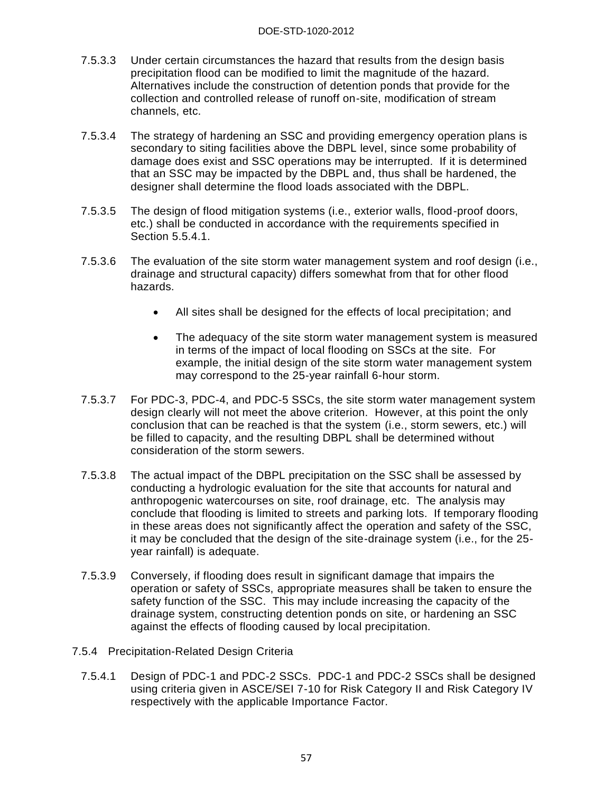- 7.5.3.3 Under certain circumstances the hazard that results from the design basis precipitation flood can be modified to limit the magnitude of the hazard. Alternatives include the construction of detention ponds that provide for the collection and controlled release of runoff on-site, modification of stream channels, etc.
- 7.5.3.4 The strategy of hardening an SSC and providing emergency operation plans is secondary to siting facilities above the DBPL level, since some probability of damage does exist and SSC operations may be interrupted. If it is determined that an SSC may be impacted by the DBPL and, thus shall be hardened, the designer shall determine the flood loads associated with the DBPL.
- 7.5.3.5 The design of flood mitigation systems (i.e., exterior walls, flood-proof doors, etc.) shall be conducted in accordance with the requirements specified in Section 5.5.4.1.
- 7.5.3.6 The evaluation of the site storm water management system and roof design (i.e., drainage and structural capacity) differs somewhat from that for other flood hazards.
	- All sites shall be designed for the effects of local precipitation; and
	- The adequacy of the site storm water management system is measured in terms of the impact of local flooding on SSCs at the site. For example, the initial design of the site storm water management system may correspond to the 25-year rainfall 6-hour storm.
- 7.5.3.7 For PDC-3, PDC-4, and PDC-5 SSCs, the site storm water management system design clearly will not meet the above criterion. However, at this point the only conclusion that can be reached is that the system (i.e., storm sewers, etc.) will be filled to capacity, and the resulting DBPL shall be determined without consideration of the storm sewers.
- 7.5.3.8 The actual impact of the DBPL precipitation on the SSC shall be assessed by conducting a hydrologic evaluation for the site that accounts for natural and anthropogenic watercourses on site, roof drainage, etc. The analysis may conclude that flooding is limited to streets and parking lots. If temporary flooding in these areas does not significantly affect the operation and safety of the SSC, it may be concluded that the design of the site-drainage system (i.e., for the 25 year rainfall) is adequate.
- 7.5.3.9 Conversely, if flooding does result in significant damage that impairs the operation or safety of SSCs, appropriate measures shall be taken to ensure the safety function of the SSC. This may include increasing the capacity of the drainage system, constructing detention ponds on site, or hardening an SSC against the effects of flooding caused by local precipitation.
- 7.5.4 Precipitation-Related Design Criteria
	- 7.5.4.1 Design of PDC-1 and PDC-2 SSCs. PDC-1 and PDC-2 SSCs shall be designed using criteria given in ASCE/SEI 7-10 for Risk Category II and Risk Category IV respectively with the applicable Importance Factor.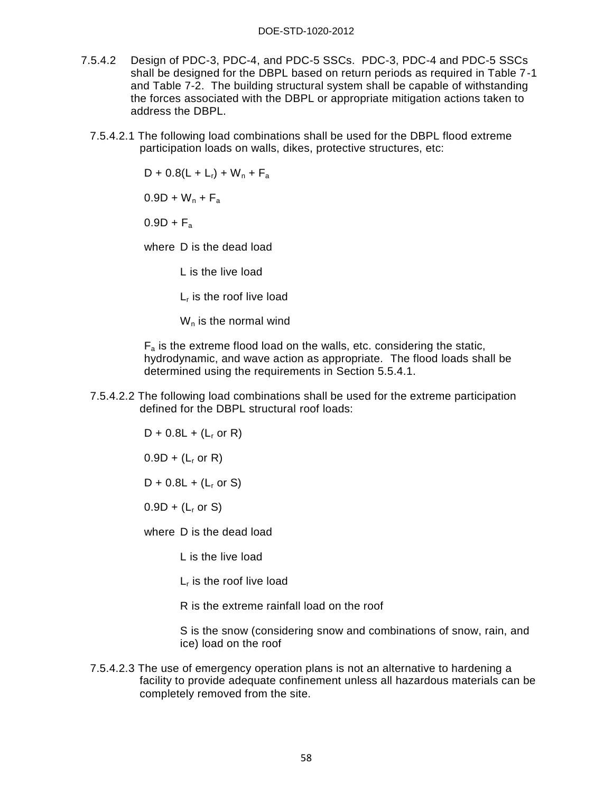- 7.5.4.2 Design of PDC-3, PDC-4, and PDC-5 SSCs. PDC-3, PDC-4 and PDC-5 SSCs shall be designed for the DBPL based on return periods as required in Table 7-1 and Table 7-2. The building structural system shall be capable of withstanding the forces associated with the DBPL or appropriate mitigation actions taken to address the DBPL.
	- 7.5.4.2.1 The following load combinations shall be used for the DBPL flood extreme participation loads on walls, dikes, protective structures, etc:

 $D + 0.8(L + L_r) + W_n + F_a$ 

 $0.9D + W_n + F_a$ 

 $0.9D + F_a$ 

where D is the dead load

L is the live load

L<sub>r</sub> is the roof live load

 $W_n$  is the normal wind

 $F_a$  is the extreme flood load on the walls, etc. considering the static, hydrodynamic, and wave action as appropriate. The flood loads shall be determined using the requirements in Section 5.5.4.1.

7.5.4.2.2 The following load combinations shall be used for the extreme participation defined for the DBPL structural roof loads:

$$
D + 0.8L + (L_r \text{ or } R)
$$

 $0.9D + (L_r \text{ or } R)$ 

 $D + 0.8L + (L_r \text{ or } S)$ 

 $0.9D + (L_r \text{ or } S)$ 

where D is the dead load

L is the live load

L<sub>r</sub> is the roof live load

R is the extreme rainfall load on the roof

S is the snow (considering snow and combinations of snow, rain, and ice) load on the roof

7.5.4.2.3 The use of emergency operation plans is not an alternative to hardening a facility to provide adequate confinement unless all hazardous materials can be completely removed from the site.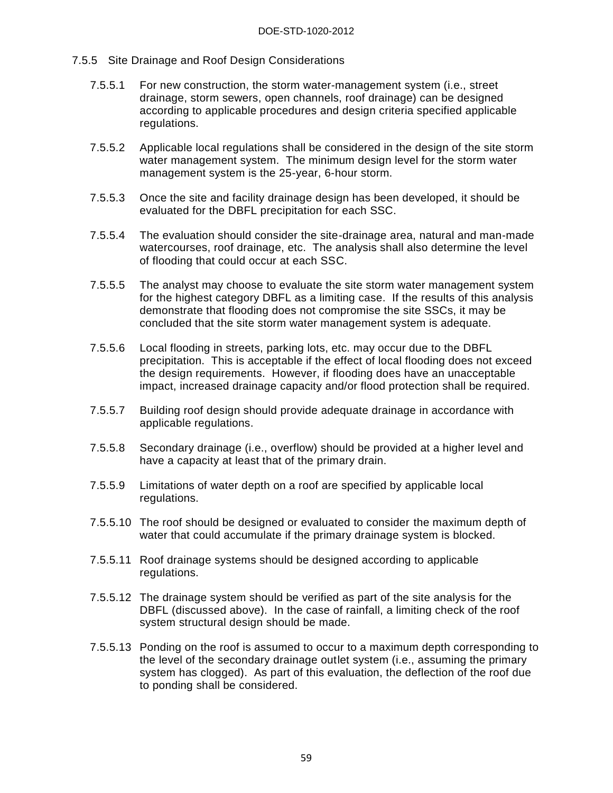- 7.5.5 Site Drainage and Roof Design Considerations
	- 7.5.5.1 For new construction, the storm water-management system (i.e., street drainage, storm sewers, open channels, roof drainage) can be designed according to applicable procedures and design criteria specified applicable regulations.
	- 7.5.5.2 Applicable local regulations shall be considered in the design of the site storm water management system. The minimum design level for the storm water management system is the 25-year, 6-hour storm.
	- 7.5.5.3 Once the site and facility drainage design has been developed, it should be evaluated for the DBFL precipitation for each SSC.
	- 7.5.5.4 The evaluation should consider the site-drainage area, natural and man-made watercourses, roof drainage, etc. The analysis shall also determine the level of flooding that could occur at each SSC.
	- 7.5.5.5 The analyst may choose to evaluate the site storm water management system for the highest category DBFL as a limiting case. If the results of this analysis demonstrate that flooding does not compromise the site SSCs, it may be concluded that the site storm water management system is adequate.
	- 7.5.5.6 Local flooding in streets, parking lots, etc. may occur due to the DBFL precipitation. This is acceptable if the effect of local flooding does not exceed the design requirements. However, if flooding does have an unacceptable impact, increased drainage capacity and/or flood protection shall be required.
	- 7.5.5.7 Building roof design should provide adequate drainage in accordance with applicable regulations.
	- 7.5.5.8 Secondary drainage (i.e., overflow) should be provided at a higher level and have a capacity at least that of the primary drain.
	- 7.5.5.9 Limitations of water depth on a roof are specified by applicable local regulations.
	- 7.5.5.10 The roof should be designed or evaluated to consider the maximum depth of water that could accumulate if the primary drainage system is blocked.
	- 7.5.5.11 Roof drainage systems should be designed according to applicable regulations.
	- 7.5.5.12 The drainage system should be verified as part of the site analysis for the DBFL (discussed above). In the case of rainfall, a limiting check of the roof system structural design should be made.
	- 7.5.5.13 Ponding on the roof is assumed to occur to a maximum depth corresponding to the level of the secondary drainage outlet system (i.e., assuming the primary system has clogged). As part of this evaluation, the deflection of the roof due to ponding shall be considered.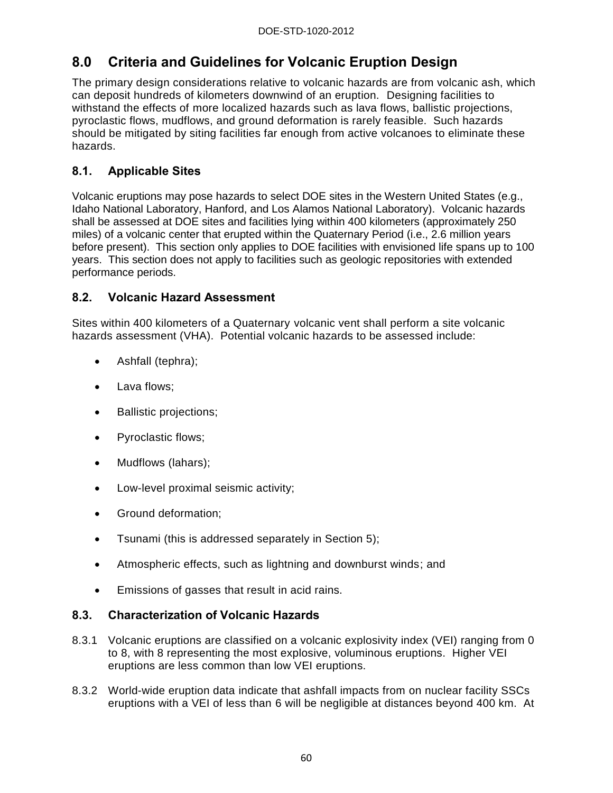# **8.0 Criteria and Guidelines for Volcanic Eruption Design**

The primary design considerations relative to volcanic hazards are from volcanic ash, which can deposit hundreds of kilometers downwind of an eruption. Designing facilities to withstand the effects of more localized hazards such as lava flows, ballistic projections, pyroclastic flows, mudflows, and ground deformation is rarely feasible. Such hazards should be mitigated by siting facilities far enough from active volcanoes to eliminate these hazards.

# **8.1. Applicable Sites**

Volcanic eruptions may pose hazards to select DOE sites in the Western United States (e.g., Idaho National Laboratory, Hanford, and Los Alamos National Laboratory). Volcanic hazards shall be assessed at DOE sites and facilities lying within 400 kilometers (approximately 250 miles) of a volcanic center that erupted within the Quaternary Period (i.e., 2.6 million years before present). This section only applies to DOE facilities with envisioned life spans up to 100 years. This section does not apply to facilities such as geologic repositories with extended performance periods.

# **8.2. Volcanic Hazard Assessment**

Sites within 400 kilometers of a Quaternary volcanic vent shall perform a site volcanic hazards assessment (VHA). Potential volcanic hazards to be assessed include:

- Ashfall (tephra);
- Lava flows;
- Ballistic projections;
- Pyroclastic flows;
- Mudflows (lahars);
- Low-level proximal seismic activity;
- Ground deformation:
- Tsunami (this is addressed separately in Section 5);
- Atmospheric effects, such as lightning and downburst winds; and
- Emissions of gasses that result in acid rains.

# **8.3. Characterization of Volcanic Hazards**

- 8.3.1 Volcanic eruptions are classified on a volcanic explosivity index (VEI) ranging from 0 to 8, with 8 representing the most explosive, voluminous eruptions. Higher VEI eruptions are less common than low VEI eruptions.
- 8.3.2 World-wide eruption data indicate that ashfall impacts from on nuclear facility SSCs eruptions with a VEI of less than 6 will be negligible at distances beyond 400 km. At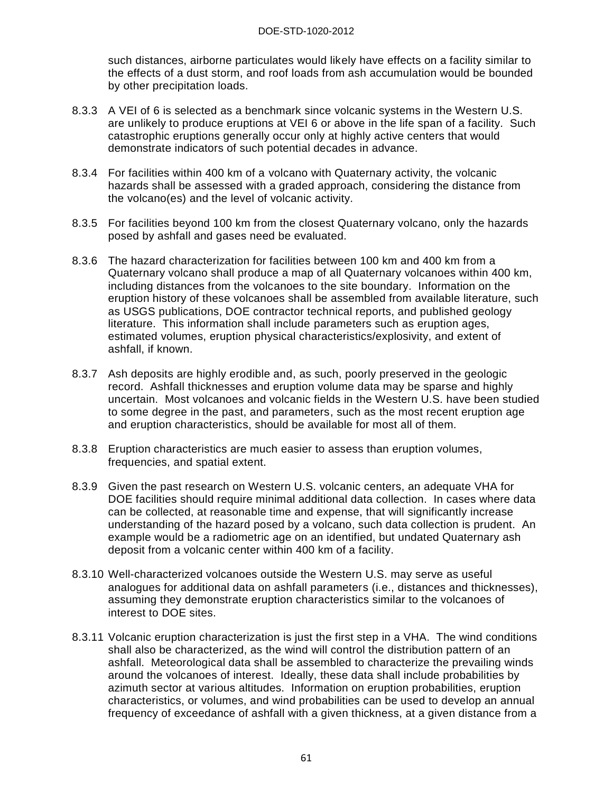such distances, airborne particulates would likely have effects on a facility similar to the effects of a dust storm, and roof loads from ash accumulation would be bounded by other precipitation loads.

- 8.3.3 A VEI of 6 is selected as a benchmark since volcanic systems in the Western U.S. are unlikely to produce eruptions at VEI 6 or above in the life span of a facility. Such catastrophic eruptions generally occur only at highly active centers that would demonstrate indicators of such potential decades in advance.
- 8.3.4 For facilities within 400 km of a volcano with Quaternary activity, the volcanic hazards shall be assessed with a graded approach, considering the distance from the volcano(es) and the level of volcanic activity.
- 8.3.5 For facilities beyond 100 km from the closest Quaternary volcano, only the hazards posed by ashfall and gases need be evaluated.
- 8.3.6 The hazard characterization for facilities between 100 km and 400 km from a Quaternary volcano shall produce a map of all Quaternary volcanoes within 400 km, including distances from the volcanoes to the site boundary. Information on the eruption history of these volcanoes shall be assembled from available literature, such as USGS publications, DOE contractor technical reports, and published geology literature. This information shall include parameters such as eruption ages, estimated volumes, eruption physical characteristics/explosivity, and extent of ashfall, if known.
- 8.3.7 Ash deposits are highly erodible and, as such, poorly preserved in the geologic record. Ashfall thicknesses and eruption volume data may be sparse and highly uncertain. Most volcanoes and volcanic fields in the Western U.S. have been studied to some degree in the past, and parameters, such as the most recent eruption age and eruption characteristics, should be available for most all of them.
- 8.3.8 Eruption characteristics are much easier to assess than eruption volumes, frequencies, and spatial extent.
- 8.3.9 Given the past research on Western U.S. volcanic centers, an adequate VHA for DOE facilities should require minimal additional data collection. In cases where data can be collected, at reasonable time and expense, that will significantly increase understanding of the hazard posed by a volcano, such data collection is prudent. An example would be a radiometric age on an identified, but undated Quaternary ash deposit from a volcanic center within 400 km of a facility.
- 8.3.10 Well-characterized volcanoes outside the Western U.S. may serve as useful analogues for additional data on ashfall parameters (i.e., distances and thicknesses), assuming they demonstrate eruption characteristics similar to the volcanoes of interest to DOE sites.
- 8.3.11 Volcanic eruption characterization is just the first step in a VHA. The wind conditions shall also be characterized, as the wind will control the distribution pattern of an ashfall. Meteorological data shall be assembled to characterize the prevailing winds around the volcanoes of interest. Ideally, these data shall include probabilities by azimuth sector at various altitudes. Information on eruption probabilities, eruption characteristics, or volumes, and wind probabilities can be used to develop an annual frequency of exceedance of ashfall with a given thickness, at a given distance from a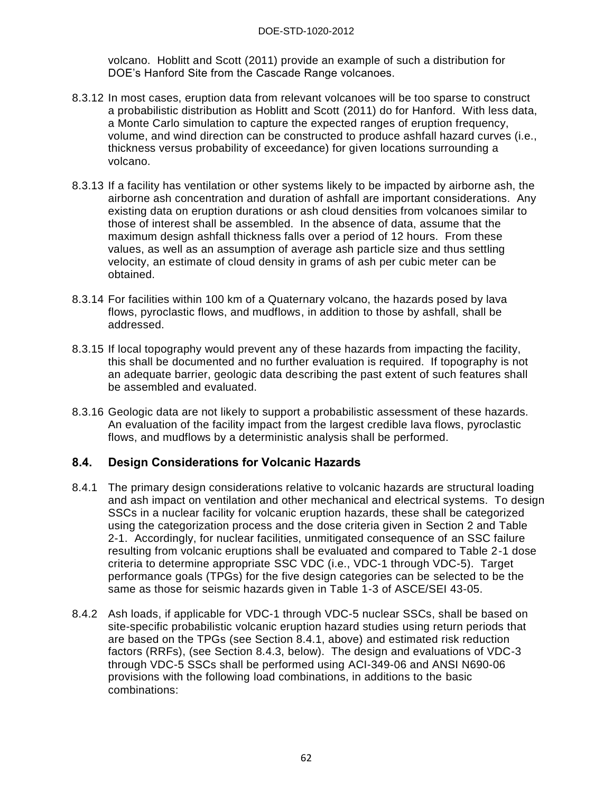volcano. Hoblitt and Scott (2011) provide an example of such a distribution for DOE's Hanford Site from the Cascade Range volcanoes.

- 8.3.12 In most cases, eruption data from relevant volcanoes will be too sparse to construct a probabilistic distribution as Hoblitt and Scott (2011) do for Hanford. With less data, a Monte Carlo simulation to capture the expected ranges of eruption frequency, volume, and wind direction can be constructed to produce ashfall hazard curves (i.e., thickness versus probability of exceedance) for given locations surrounding a volcano.
- 8.3.13 If a facility has ventilation or other systems likely to be impacted by airborne ash, the airborne ash concentration and duration of ashfall are important considerations. Any existing data on eruption durations or ash cloud densities from volcanoes similar to those of interest shall be assembled. In the absence of data, assume that the maximum design ashfall thickness falls over a period of 12 hours. From these values, as well as an assumption of average ash particle size and thus settling velocity, an estimate of cloud density in grams of ash per cubic meter can be obtained.
- 8.3.14 For facilities within 100 km of a Quaternary volcano, the hazards posed by lava flows, pyroclastic flows, and mudflows, in addition to those by ashfall, shall be addressed.
- 8.3.15 If local topography would prevent any of these hazards from impacting the facility, this shall be documented and no further evaluation is required. If topography is not an adequate barrier, geologic data describing the past extent of such features shall be assembled and evaluated.
- 8.3.16 Geologic data are not likely to support a probabilistic assessment of these hazards. An evaluation of the facility impact from the largest credible lava flows, pyroclastic flows, and mudflows by a deterministic analysis shall be performed.

## **8.4. Design Considerations for Volcanic Hazards**

- 8.4.1 The primary design considerations relative to volcanic hazards are structural loading and ash impact on ventilation and other mechanical and electrical systems. To design SSCs in a nuclear facility for volcanic eruption hazards, these shall be categorized using the categorization process and the dose criteria given in Section 2 and Table 2-1. Accordingly, for nuclear facilities, unmitigated consequence of an SSC failure resulting from volcanic eruptions shall be evaluated and compared to Table 2-1 dose criteria to determine appropriate SSC VDC (i.e., VDC-1 through VDC-5). Target performance goals (TPGs) for the five design categories can be selected to be the same as those for seismic hazards given in Table 1-3 of ASCE/SEI 43-05.
- 8.4.2 Ash loads, if applicable for VDC-1 through VDC-5 nuclear SSCs, shall be based on site-specific probabilistic volcanic eruption hazard studies using return periods that are based on the TPGs (see Section 8.4.1, above) and estimated risk reduction factors (RRFs), (see Section 8.4.3, below). The design and evaluations of VDC-3 through VDC-5 SSCs shall be performed using ACI-349-06 and ANSI N690-06 provisions with the following load combinations, in additions to the basic combinations: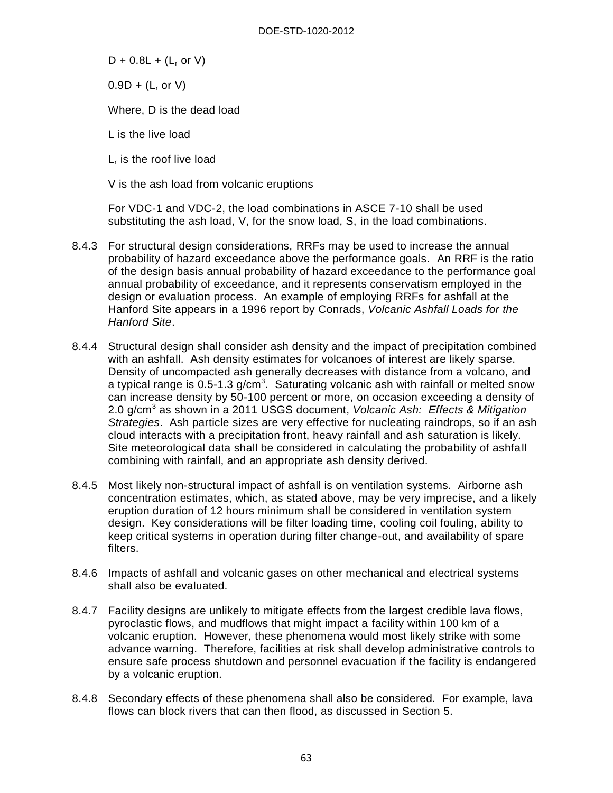$D + 0.8L + (L_r or V)$ 

 $0.9D + (L_r \text{ or } V)$ 

Where, D is the dead load

L is the live load

L<sub>r</sub> is the roof live load

V is the ash load from volcanic eruptions

For VDC-1 and VDC-2, the load combinations in ASCE 7-10 shall be used substituting the ash load, V, for the snow load, S, in the load combinations.

- 8.4.3 For structural design considerations, RRFs may be used to increase the annual probability of hazard exceedance above the performance goals. An RRF is the ratio of the design basis annual probability of hazard exceedance to the performance goal annual probability of exceedance, and it represents conservatism employed in the design or evaluation process. An example of employing RRFs for ashfall at the Hanford Site appears in a 1996 report by Conrads, *Volcanic Ashfall Loads for the Hanford Site*.
- 8.4.4 Structural design shall consider ash density and the impact of precipitation combined with an ashfall. Ash density estimates for volcanoes of interest are likely sparse. Density of uncompacted ash generally decreases with distance from a volcano, and a typical range is 0.5-1.3 g/cm<sup>3</sup>. Saturating volcanic ash with rainfall or melted snow can increase density by 50-100 percent or more, on occasion exceeding a density of 2.0 g/cm<sup>3</sup> as shown in a 2011 USGS document, *Volcanic Ash: Effects & Mitigation Strategies*. Ash particle sizes are very effective for nucleating raindrops, so if an ash cloud interacts with a precipitation front, heavy rainfall and ash saturation is likely. Site meteorological data shall be considered in calculating the probability of ashfall combining with rainfall, and an appropriate ash density derived.
- 8.4.5 Most likely non-structural impact of ashfall is on ventilation systems. Airborne ash concentration estimates, which, as stated above, may be very imprecise, and a likely eruption duration of 12 hours minimum shall be considered in ventilation system design. Key considerations will be filter loading time, cooling coil fouling, ability to keep critical systems in operation during filter change-out, and availability of spare filters.
- 8.4.6 Impacts of ashfall and volcanic gases on other mechanical and electrical systems shall also be evaluated.
- 8.4.7 Facility designs are unlikely to mitigate effects from the largest credible lava flows, pyroclastic flows, and mudflows that might impact a facility within 100 km of a volcanic eruption. However, these phenomena would most likely strike with some advance warning. Therefore, facilities at risk shall develop administrative controls to ensure safe process shutdown and personnel evacuation if the facility is endangered by a volcanic eruption.
- 8.4.8 Secondary effects of these phenomena shall also be considered. For example, lava flows can block rivers that can then flood, as discussed in Section 5.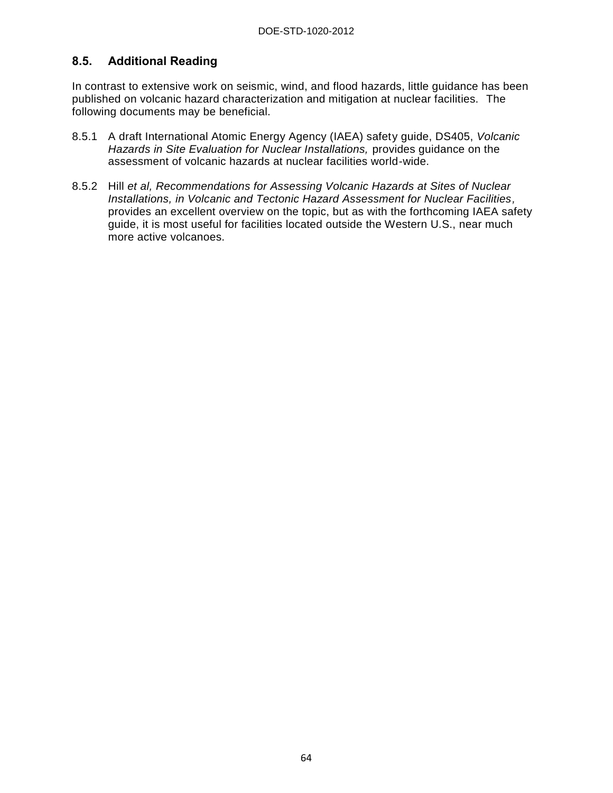# **8.5. Additional Reading**

In contrast to extensive work on seismic, wind, and flood hazards, little guidance has been published on volcanic hazard characterization and mitigation at nuclear facilities. The following documents may be beneficial.

- 8.5.1 A draft International Atomic Energy Agency (IAEA) safety guide, DS405, *Volcanic Hazards in Site Evaluation for Nuclear Installations,* provides guidance on the assessment of volcanic hazards at nuclear facilities world-wide.
- 8.5.2 Hill *et al, Recommendations for Assessing Volcanic Hazards at Sites of Nuclear Installations, in Volcanic and Tectonic Hazard Assessment for Nuclear Facilities,* provides an excellent overview on the topic, but as with the forthcoming IAEA safety guide, it is most useful for facilities located outside the Western U.S., near much more active volcanoes.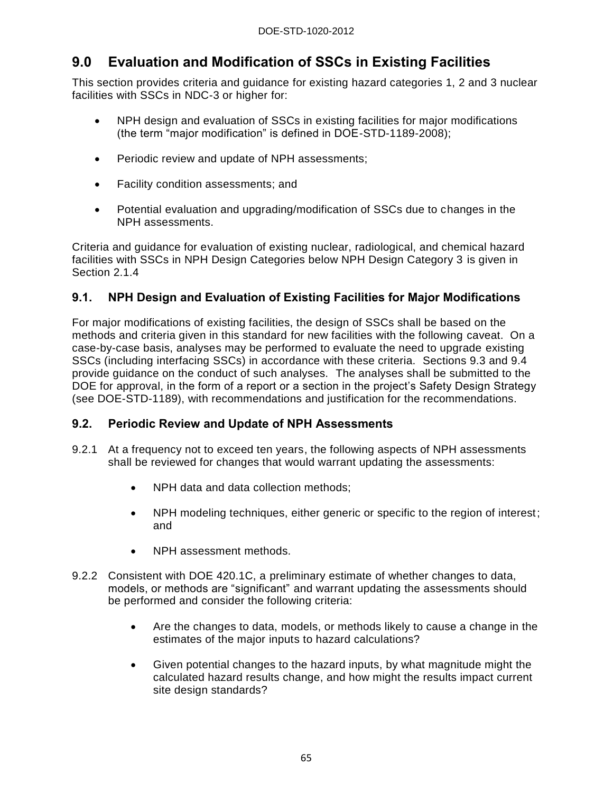# **9.0 Evaluation and Modification of SSCs in Existing Facilities**

This section provides criteria and guidance for existing hazard categories 1, 2 and 3 nuclear facilities with SSCs in NDC-3 or higher for:

- NPH design and evaluation of SSCs in existing facilities for major modifications (the term "major modification" is defined in DOE-STD-1189-2008);
- Periodic review and update of NPH assessments;
- Facility condition assessments; and
- Potential evaluation and upgrading/modification of SSCs due to changes in the NPH assessments.

Criteria and guidance for evaluation of existing nuclear, radiological, and chemical hazard facilities with SSCs in NPH Design Categories below NPH Design Category 3 is given in Section 2.1.4

# **9.1. NPH Design and Evaluation of Existing Facilities for Major Modifications**

For major modifications of existing facilities, the design of SSCs shall be based on the methods and criteria given in this standard for new facilities with the following caveat. On a case-by-case basis, analyses may be performed to evaluate the need to upgrade existing SSCs (including interfacing SSCs) in accordance with these criteria. Sections 9.3 and 9.4 provide guidance on the conduct of such analyses. The analyses shall be submitted to the DOE for approval, in the form of a report or a section in the project's Safety Design Strategy (see DOE-STD-1189), with recommendations and justification for the recommendations.

## **9.2. Periodic Review and Update of NPH Assessments**

- 9.2.1 At a frequency not to exceed ten years, the following aspects of NPH assessments shall be reviewed for changes that would warrant updating the assessments:
	- NPH data and data collection methods;
	- NPH modeling techniques, either generic or specific to the region of interest; and
	- NPH assessment methods.
- 9.2.2 Consistent with DOE 420.1C, a preliminary estimate of whether changes to data, models, or methods are "significant" and warrant updating the assessments should be performed and consider the following criteria:
	- Are the changes to data, models, or methods likely to cause a change in the estimates of the major inputs to hazard calculations?
	- Given potential changes to the hazard inputs, by what magnitude might the calculated hazard results change, and how might the results impact current site design standards?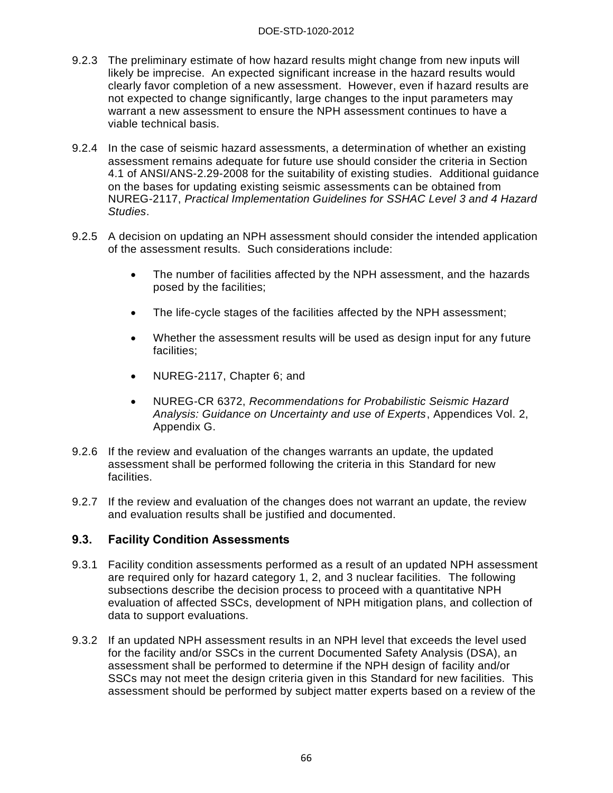- 9.2.3 The preliminary estimate of how hazard results might change from new inputs will likely be imprecise. An expected significant increase in the hazard results would clearly favor completion of a new assessment. However, even if hazard results are not expected to change significantly, large changes to the input parameters may warrant a new assessment to ensure the NPH assessment continues to have a viable technical basis.
- 9.2.4 In the case of seismic hazard assessments, a determination of whether an existing assessment remains adequate for future use should consider the criteria in Section 4.1 of ANSI/ANS-2.29-2008 for the suitability of existing studies. Additional guidance on the bases for updating existing seismic assessments can be obtained from NUREG-2117, *Practical Implementation Guidelines for SSHAC Level 3 and 4 Hazard Studies*.
- 9.2.5 A decision on updating an NPH assessment should consider the intended application of the assessment results. Such considerations include:
	- The number of facilities affected by the NPH assessment, and the hazards posed by the facilities;
	- The life-cycle stages of the facilities affected by the NPH assessment;
	- Whether the assessment results will be used as design input for any future facilities;
	- NUREG-2117, Chapter 6; and
	- NUREG-CR 6372, *Recommendations for Probabilistic Seismic Hazard Analysis: Guidance on Uncertainty and use of Experts*, Appendices Vol. 2, Appendix G.
- 9.2.6 If the review and evaluation of the changes warrants an update, the updated assessment shall be performed following the criteria in this Standard for new facilities.
- 9.2.7 If the review and evaluation of the changes does not warrant an update, the review and evaluation results shall be justified and documented.

## **9.3. Facility Condition Assessments**

- 9.3.1 Facility condition assessments performed as a result of an updated NPH assessment are required only for hazard category 1, 2, and 3 nuclear facilities. The following subsections describe the decision process to proceed with a quantitative NPH evaluation of affected SSCs, development of NPH mitigation plans, and collection of data to support evaluations.
- 9.3.2 If an updated NPH assessment results in an NPH level that exceeds the level used for the facility and/or SSCs in the current Documented Safety Analysis (DSA), an assessment shall be performed to determine if the NPH design of facility and/or SSCs may not meet the design criteria given in this Standard for new facilities. This assessment should be performed by subject matter experts based on a review of the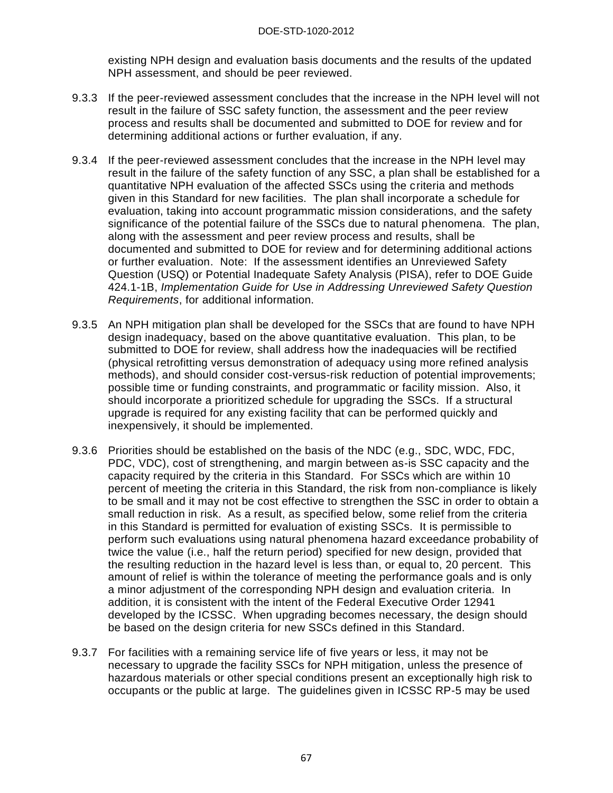existing NPH design and evaluation basis documents and the results of the updated NPH assessment, and should be peer reviewed.

- 9.3.3 If the peer-reviewed assessment concludes that the increase in the NPH level will not result in the failure of SSC safety function, the assessment and the peer review process and results shall be documented and submitted to DOE for review and for determining additional actions or further evaluation, if any.
- 9.3.4 If the peer-reviewed assessment concludes that the increase in the NPH level may result in the failure of the safety function of any SSC, a plan shall be established for a quantitative NPH evaluation of the affected SSCs using the criteria and methods given in this Standard for new facilities. The plan shall incorporate a schedule for evaluation, taking into account programmatic mission considerations, and the safety significance of the potential failure of the SSCs due to natural phenomena. The plan, along with the assessment and peer review process and results, shall be documented and submitted to DOE for review and for determining additional actions or further evaluation. Note: If the assessment identifies an Unreviewed Safety Question (USQ) or Potential Inadequate Safety Analysis (PISA), refer to DOE Guide 424.1-1B, *Implementation Guide for Use in Addressing Unreviewed Safety Question Requirements*, for additional information.
- 9.3.5 An NPH mitigation plan shall be developed for the SSCs that are found to have NPH design inadequacy, based on the above quantitative evaluation. This plan, to be submitted to DOE for review, shall address how the inadequacies will be rectified (physical retrofitting versus demonstration of adequacy using more refined analysis methods), and should consider cost-versus-risk reduction of potential improvements; possible time or funding constraints, and programmatic or facility mission. Also, it should incorporate a prioritized schedule for upgrading the SSCs. If a structural upgrade is required for any existing facility that can be performed quickly and inexpensively, it should be implemented.
- 9.3.6 Priorities should be established on the basis of the NDC (e.g., SDC, WDC, FDC, PDC, VDC), cost of strengthening, and margin between as-is SSC capacity and the capacity required by the criteria in this Standard. For SSCs which are within 10 percent of meeting the criteria in this Standard, the risk from non-compliance is likely to be small and it may not be cost effective to strengthen the SSC in order to obtain a small reduction in risk. As a result, as specified below, some relief from the criteria in this Standard is permitted for evaluation of existing SSCs. It is permissible to perform such evaluations using natural phenomena hazard exceedance probability of twice the value (i.e., half the return period) specified for new design, provided that the resulting reduction in the hazard level is less than, or equal to, 20 percent. This amount of relief is within the tolerance of meeting the performance goals and is only a minor adjustment of the corresponding NPH design and evaluation criteria. In addition, it is consistent with the intent of the Federal Executive Order 12941 developed by the ICSSC. When upgrading becomes necessary, the design should be based on the design criteria for new SSCs defined in this Standard.
- 9.3.7 For facilities with a remaining service life of five years or less, it may not be necessary to upgrade the facility SSCs for NPH mitigation, unless the presence of hazardous materials or other special conditions present an exceptionally high risk to occupants or the public at large. The guidelines given in ICSSC RP-5 may be used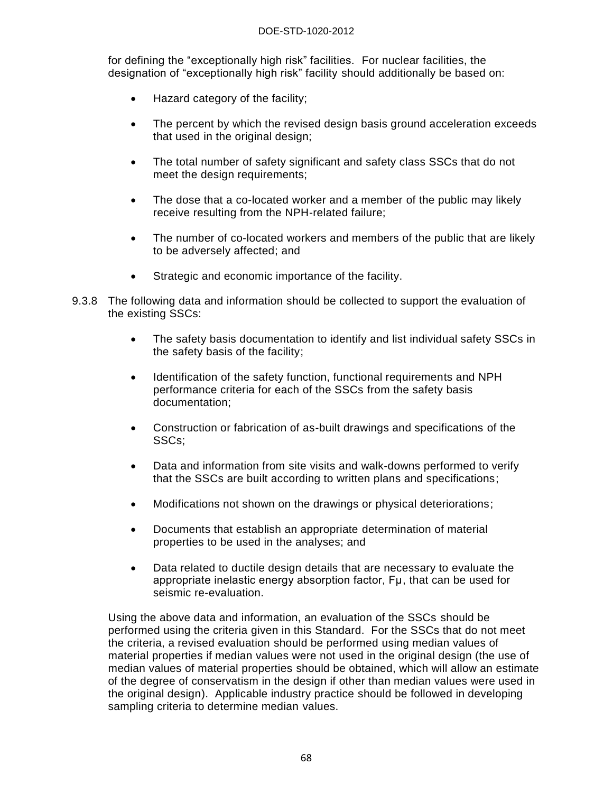for defining the "exceptionally high risk" facilities. For nuclear facilities, the designation of "exceptionally high risk" facility should additionally be based on:

- Hazard category of the facility;
- The percent by which the revised design basis ground acceleration exceeds that used in the original design;
- The total number of safety significant and safety class SSCs that do not meet the design requirements;
- The dose that a co-located worker and a member of the public may likely receive resulting from the NPH-related failure;
- The number of co-located workers and members of the public that are likely to be adversely affected; and
- Strategic and economic importance of the facility.
- 9.3.8 The following data and information should be collected to support the evaluation of the existing SSCs:
	- The safety basis documentation to identify and list individual safety SSCs in the safety basis of the facility;
	- Identification of the safety function, functional requirements and NPH performance criteria for each of the SSCs from the safety basis documentation;
	- Construction or fabrication of as-built drawings and specifications of the SSCs;
	- Data and information from site visits and walk-downs performed to verify that the SSCs are built according to written plans and specifications;
	- Modifications not shown on the drawings or physical deteriorations;
	- Documents that establish an appropriate determination of material properties to be used in the analyses; and
	- Data related to ductile design details that are necessary to evaluate the appropriate inelastic energy absorption factor, Fμ, that can be used for seismic re-evaluation.

Using the above data and information, an evaluation of the SSCs should be performed using the criteria given in this Standard. For the SSCs that do not meet the criteria, a revised evaluation should be performed using median values of material properties if median values were not used in the original design (the use of median values of material properties should be obtained, which will allow an estimate of the degree of conservatism in the design if other than median values were used in the original design). Applicable industry practice should be followed in developing sampling criteria to determine median values.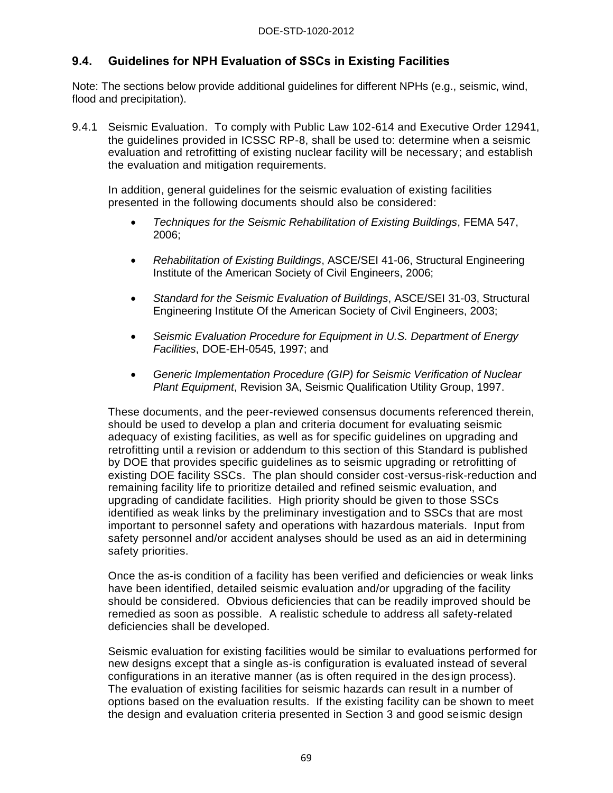# **9.4. Guidelines for NPH Evaluation of SSCs in Existing Facilities**

Note: The sections below provide additional guidelines for different NPHs (e.g., seismic, wind, flood and precipitation).

9.4.1 Seismic Evaluation. To comply with Public Law 102-614 and Executive Order 12941, the guidelines provided in ICSSC RP-8, shall be used to: determine when a seismic evaluation and retrofitting of existing nuclear facility will be necessary; and establish the evaluation and mitigation requirements.

In addition, general guidelines for the seismic evaluation of existing facilities presented in the following documents should also be considered:

- *Techniques for the Seismic Rehabilitation of Existing Buildings*, FEMA 547, 2006;
- *Rehabilitation of Existing Buildings*, ASCE/SEI 41-06, Structural Engineering Institute of the American Society of Civil Engineers, 2006;
- *Standard for the Seismic Evaluation of Buildings*, ASCE/SEI 31-03, Structural Engineering Institute Of the American Society of Civil Engineers, 2003;
- *Seismic Evaluation Procedure for Equipment in U.S. Department of Energy Facilities*, DOE-EH-0545, 1997; and
- *Generic Implementation Procedure (GIP) for Seismic Verification of Nuclear Plant Equipment*, Revision 3A, Seismic Qualification Utility Group, 1997.

These documents, and the peer-reviewed consensus documents referenced therein, should be used to develop a plan and criteria document for evaluating seismic adequacy of existing facilities, as well as for specific guidelines on upgrading and retrofitting until a revision or addendum to this section of this Standard is published by DOE that provides specific guidelines as to seismic upgrading or retrofitting of existing DOE facility SSCs. The plan should consider cost-versus-risk-reduction and remaining facility life to prioritize detailed and refined seismic evaluation, and upgrading of candidate facilities. High priority should be given to those SSCs identified as weak links by the preliminary investigation and to SSCs that are most important to personnel safety and operations with hazardous materials. Input from safety personnel and/or accident analyses should be used as an aid in determining safety priorities.

Once the as-is condition of a facility has been verified and deficiencies or weak links have been identified, detailed seismic evaluation and/or upgrading of the facility should be considered. Obvious deficiencies that can be readily improved should be remedied as soon as possible. A realistic schedule to address all safety-related deficiencies shall be developed.

Seismic evaluation for existing facilities would be similar to evaluations performed for new designs except that a single as-is configuration is evaluated instead of several configurations in an iterative manner (as is often required in the design process). The evaluation of existing facilities for seismic hazards can result in a number of options based on the evaluation results. If the existing facility can be shown to meet the design and evaluation criteria presented in Section 3 and good seismic design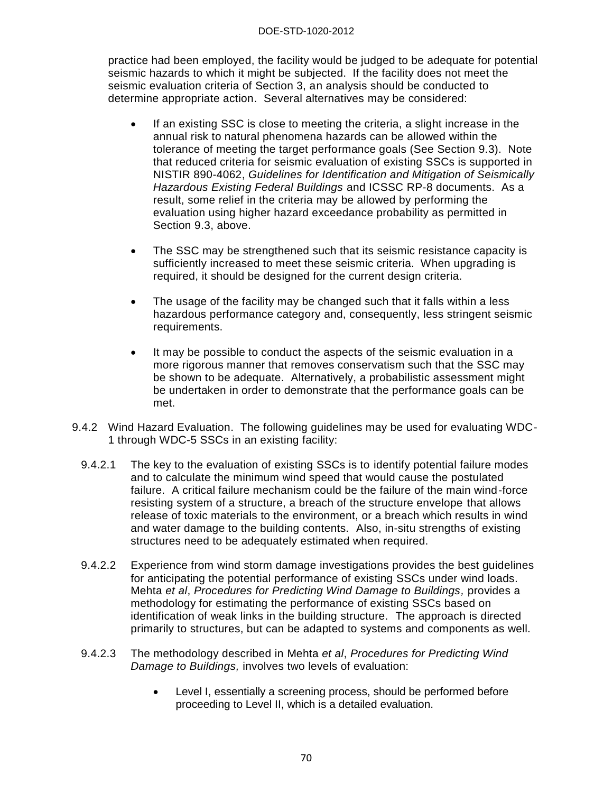practice had been employed, the facility would be judged to be adequate for potential seismic hazards to which it might be subjected. If the facility does not meet the seismic evaluation criteria of Section 3, an analysis should be conducted to determine appropriate action. Several alternatives may be considered:

- If an existing SSC is close to meeting the criteria, a slight increase in the annual risk to natural phenomena hazards can be allowed within the tolerance of meeting the target performance goals (See Section 9.3). Note that reduced criteria for seismic evaluation of existing SSCs is supported in NISTIR 890-4062, *Guidelines for Identification and Mitigation of Seismically Hazardous Existing Federal Buildings* and ICSSC RP-8 documents. As a result, some relief in the criteria may be allowed by performing the evaluation using higher hazard exceedance probability as permitted in Section 9.3, above.
- The SSC may be strengthened such that its seismic resistance capacity is sufficiently increased to meet these seismic criteria. When upgrading is required, it should be designed for the current design criteria.
- The usage of the facility may be changed such that it falls within a less hazardous performance category and, consequently, less stringent seismic requirements.
- It may be possible to conduct the aspects of the seismic evaluation in a more rigorous manner that removes conservatism such that the SSC may be shown to be adequate. Alternatively, a probabilistic assessment might be undertaken in order to demonstrate that the performance goals can be met.
- 9.4.2 Wind Hazard Evaluation. The following guidelines may be used for evaluating WDC-1 through WDC-5 SSCs in an existing facility:
	- 9.4.2.1 The key to the evaluation of existing SSCs is to identify potential failure modes and to calculate the minimum wind speed that would cause the postulated failure. A critical failure mechanism could be the failure of the main wind-force resisting system of a structure, a breach of the structure envelope that allows release of toxic materials to the environment, or a breach which results in wind and water damage to the building contents. Also, in-situ strengths of existing structures need to be adequately estimated when required.
	- 9.4.2.2 Experience from wind storm damage investigations provides the best guidelines for anticipating the potential performance of existing SSCs under wind loads. Mehta *et al*, *Procedures for Predicting Wind Damage to Buildings,* provides a methodology for estimating the performance of existing SSCs based on identification of weak links in the building structure. The approach is directed primarily to structures, but can be adapted to systems and components as well.
	- 9.4.2.3 The methodology described in Mehta *et al*, *Procedures for Predicting Wind Damage to Buildings,* involves two levels of evaluation:
		- Level I, essentially a screening process, should be performed before proceeding to Level II, which is a detailed evaluation.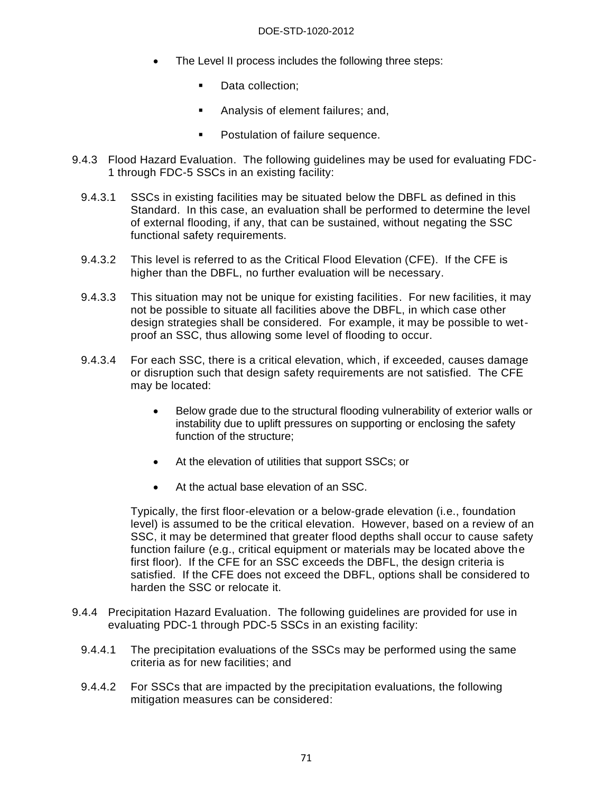- The Level II process includes the following three steps:
	- Data collection;
	- **Analysis of element failures; and,**
	- **•** Postulation of failure sequence.
- 9.4.3 Flood Hazard Evaluation. The following guidelines may be used for evaluating FDC-1 through FDC-5 SSCs in an existing facility:
	- 9.4.3.1 SSCs in existing facilities may be situated below the DBFL as defined in this Standard. In this case, an evaluation shall be performed to determine the level of external flooding, if any, that can be sustained, without negating the SSC functional safety requirements.
	- 9.4.3.2 This level is referred to as the Critical Flood Elevation (CFE). If the CFE is higher than the DBFL, no further evaluation will be necessary.
	- 9.4.3.3 This situation may not be unique for existing facilities. For new facilities, it may not be possible to situate all facilities above the DBFL, in which case other design strategies shall be considered. For example, it may be possible to wetproof an SSC, thus allowing some level of flooding to occur.
	- 9.4.3.4 For each SSC, there is a critical elevation, which, if exceeded, causes damage or disruption such that design safety requirements are not satisfied. The CFE may be located:
		- Below grade due to the structural flooding vulnerability of exterior walls or instability due to uplift pressures on supporting or enclosing the safety function of the structure;
		- At the elevation of utilities that support SSCs; or
		- At the actual base elevation of an SSC.

Typically, the first floor-elevation or a below-grade elevation (i.e., foundation level) is assumed to be the critical elevation. However, based on a review of an SSC, it may be determined that greater flood depths shall occur to cause safety function failure (e.g., critical equipment or materials may be located above the first floor). If the CFE for an SSC exceeds the DBFL, the design criteria is satisfied. If the CFE does not exceed the DBFL, options shall be considered to harden the SSC or relocate it.

- 9.4.4 Precipitation Hazard Evaluation. The following guidelines are provided for use in evaluating PDC-1 through PDC-5 SSCs in an existing facility:
	- 9.4.4.1 The precipitation evaluations of the SSCs may be performed using the same criteria as for new facilities; and
	- 9.4.4.2 For SSCs that are impacted by the precipitation evaluations, the following mitigation measures can be considered: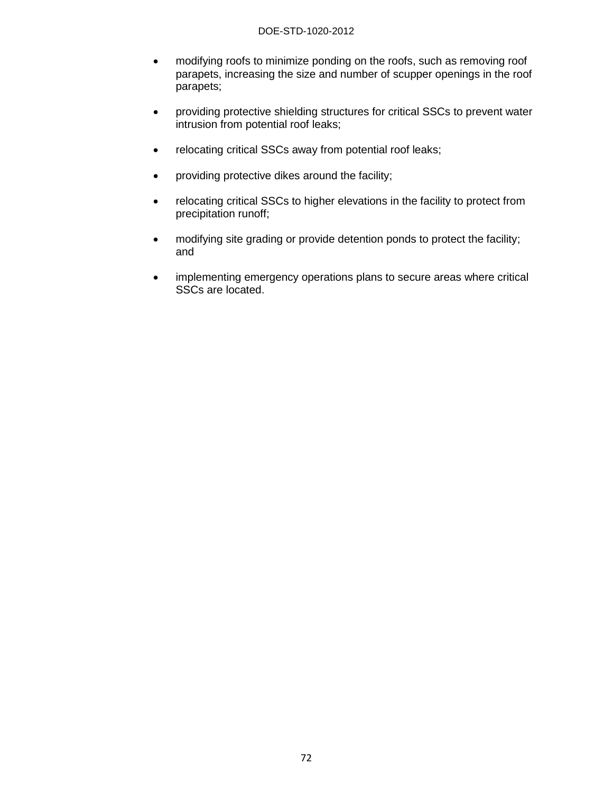#### DOE-STD-1020-2012

- modifying roofs to minimize ponding on the roofs, such as removing roof parapets, increasing the size and number of scupper openings in the roof parapets;
- providing protective shielding structures for critical SSCs to prevent water intrusion from potential roof leaks;
- relocating critical SSCs away from potential roof leaks;
- providing protective dikes around the facility;
- relocating critical SSCs to higher elevations in the facility to protect from precipitation runoff;
- modifying site grading or provide detention ponds to protect the facility; and
- implementing emergency operations plans to secure areas where critical SSCs are located.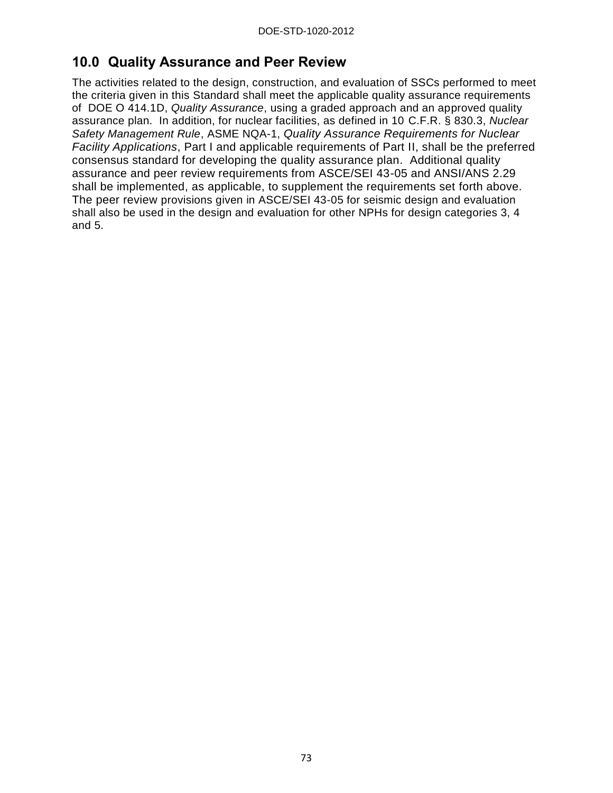# **10.0 Quality Assurance and Peer Review**

The activities related to the design, construction, and evaluation of SSCs performed to meet the criteria given in this Standard shall meet the applicable quality assurance requirements of DOE O 414.1D, *Quality Assurance*, using a graded approach and an approved quality assurance plan. In addition, for nuclear facilities, as defined in 10 C.F.R. § 830.3, *Nuclear Safety Management Rule*, ASME NQA-1, *Quality Assurance Requirements for Nuclear Facility Applications*, Part I and applicable requirements of Part II, shall be the preferred consensus standard for developing the quality assurance plan. Additional quality assurance and peer review requirements from ASCE/SEI 43-05 and ANSI/ANS 2.29 shall be implemented, as applicable, to supplement the requirements set forth above. The peer review provisions given in ASCE/SEI 43-05 for seismic design and evaluation shall also be used in the design and evaluation for other NPHs for design categories 3, 4 and 5.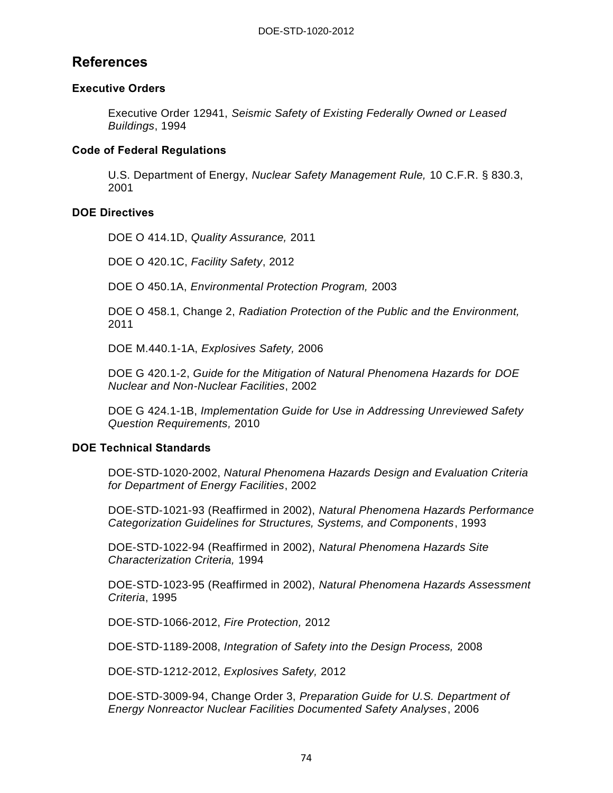# **References**

# **Executive Orders**

Executive Order 12941, *Seismic Safety of Existing Federally Owned or Leased Buildings*, 1994

## **Code of Federal Regulations**

U.S. Department of Energy, *Nuclear Safety Management Rule,* 10 C.F.R. § 830.3, 2001

# **DOE Directives**

DOE O 414.1D, *Quality Assurance,* 2011

DOE O 420.1C, *Facility Safety*, 2012

DOE O 450.1A, *Environmental Protection Program,* 2003

DOE O 458.1, Change 2, *Radiation Protection of the Public and the Environment,*  2011

DOE M.440.1-1A, *Explosives Safety,* 2006

DOE G 420.1-2, *Guide for the Mitigation of Natural Phenomena Hazards for DOE Nuclear and Non-Nuclear Facilities*, 2002

DOE G 424.1-1B, *Implementation Guide for Use in Addressing Unreviewed Safety Question Requirements,* 2010

## **DOE Technical Standards**

DOE-STD-1020-2002, *Natural Phenomena Hazards Design and Evaluation Criteria for Department of Energy Facilities*, 2002

DOE-STD-1021-93 (Reaffirmed in 2002), *Natural Phenomena Hazards Performance Categorization Guidelines for Structures, Systems, and Components*, 1993

DOE-STD-1022-94 (Reaffirmed in 2002), *Natural Phenomena Hazards Site Characterization Criteria,* 1994

DOE-STD-1023-95 (Reaffirmed in 2002), *Natural Phenomena Hazards Assessment Criteria*, 1995

DOE-STD-1066-2012, *Fire Protection,* 2012

DOE-STD-1189-2008, *Integration of Safety into the Design Process,* 2008

DOE-STD-1212-2012, *Explosives Safety,* 2012

DOE-STD-3009-94, Change Order 3, *Preparation Guide for U.S. Department of Energy Nonreactor Nuclear Facilities Documented Safety Analyses*, 2006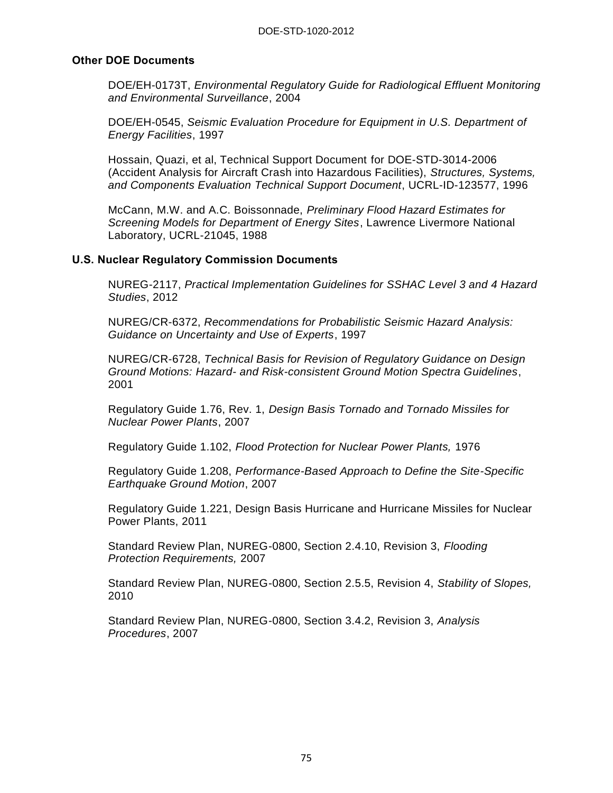#### **Other DOE Documents**

DOE/EH-0173T, *Environmental Regulatory Guide for Radiological Effluent Monitoring and Environmental Surveillance*, 2004

DOE/EH-0545, *Seismic Evaluation Procedure for Equipment in U.S. Department of Energy Facilities*, 1997

Hossain, Quazi, et al, Technical Support Document for DOE-STD-3014-2006 (Accident Analysis for Aircraft Crash into Hazardous Facilities), *Structures, Systems, and Components Evaluation Technical Support Document*, UCRL-ID-123577, 1996

McCann, M.W. and A.C. Boissonnade, *Preliminary Flood Hazard Estimates for Screening Models for Department of Energy Sites*, Lawrence Livermore National Laboratory, UCRL-21045, 1988

#### **U.S. Nuclear Regulatory Commission Documents**

NUREG-2117, *Practical Implementation Guidelines for SSHAC Level 3 and 4 Hazard Studies*, 2012

NUREG/CR-6372, *Recommendations for Probabilistic Seismic Hazard Analysis: Guidance on Uncertainty and Use of Experts*, 1997

NUREG/CR-6728, *Technical Basis for Revision of Regulatory Guidance on Design Ground Motions: Hazard- and Risk-consistent Ground Motion Spectra Guidelines*, 2001

Regulatory Guide 1.76, Rev. 1, *Design Basis Tornado and Tornado Missiles for Nuclear Power Plants*, 2007

Regulatory Guide 1.102, *Flood Protection for Nuclear Power Plants,* 1976

Regulatory Guide 1.208, *Performance-Based Approach to Define the Site-Specific Earthquake Ground Motion*, 2007

Regulatory Guide 1.221, Design Basis Hurricane and Hurricane Missiles for Nuclear Power Plants, 2011

Standard Review Plan, NUREG-0800, Section 2.4.10, Revision 3, *Flooding Protection Requirements,* 2007

Standard Review Plan, NUREG-0800, Section 2.5.5, Revision 4, *Stability of Slopes,*  2010

Standard Review Plan, NUREG-0800, Section 3.4.2, Revision 3, *Analysis Procedures*, 2007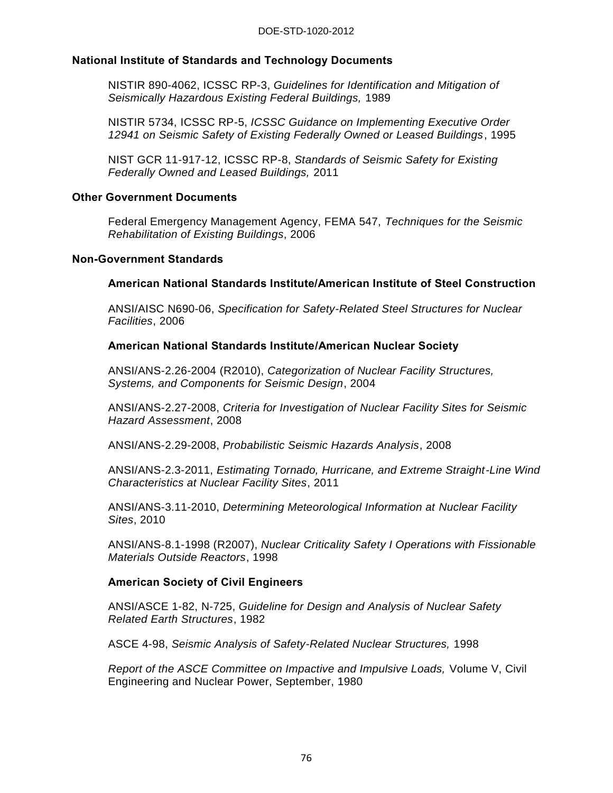#### **National Institute of Standards and Technology Documents**

NISTIR 890-4062, ICSSC RP-3, *Guidelines for Identification and Mitigation of Seismically Hazardous Existing Federal Buildings,* 1989

NISTIR 5734, ICSSC RP-5, *ICSSC Guidance on Implementing Executive Order 12941 on Seismic Safety of Existing Federally Owned or Leased Buildings*, 1995

NIST GCR 11-917-12, ICSSC RP-8, *Standards of Seismic Safety for Existing Federally Owned and Leased Buildings,* 2011

#### **Other Government Documents**

Federal Emergency Management Agency, FEMA 547, *Techniques for the Seismic Rehabilitation of Existing Buildings*, 2006

#### **Non-Government Standards**

#### **American National Standards Institute/American Institute of Steel Construction**

ANSI/AISC N690-06, *Specification for Safety-Related Steel Structures for Nuclear Facilities*, 2006

#### **American National Standards Institute/American Nuclear Society**

ANSI/ANS-2.26-2004 (R2010), *Categorization of Nuclear Facility Structures, Systems, and Components for Seismic Design*, 2004

ANSI/ANS-2.27-2008, *Criteria for Investigation of Nuclear Facility Sites for Seismic Hazard Assessment*, 2008

ANSI/ANS-2.29-2008, *Probabilistic Seismic Hazards Analysis*, 2008

ANSI/ANS-2.3-2011, *Estimating Tornado, Hurricane, and Extreme Straight-Line Wind Characteristics at Nuclear Facility Sites*, 2011

ANSI/ANS-3.11-2010, *Determining Meteorological Information at Nuclear Facility Sites*, 2010

ANSI/ANS-8.1-1998 (R2007), *Nuclear Criticality Safety I Operations with Fissionable Materials Outside Reactors*, 1998

#### **American Society of Civil Engineers**

ANSI/ASCE 1-82, N-725, *Guideline for Design and Analysis of Nuclear Safety Related Earth Structures*, 1982

ASCE 4-98, *Seismic Analysis of Safety-Related Nuclear Structures,* 1998

*Report of the ASCE Committee on Impactive and Impulsive Loads,* Volume V, Civil Engineering and Nuclear Power, September, 1980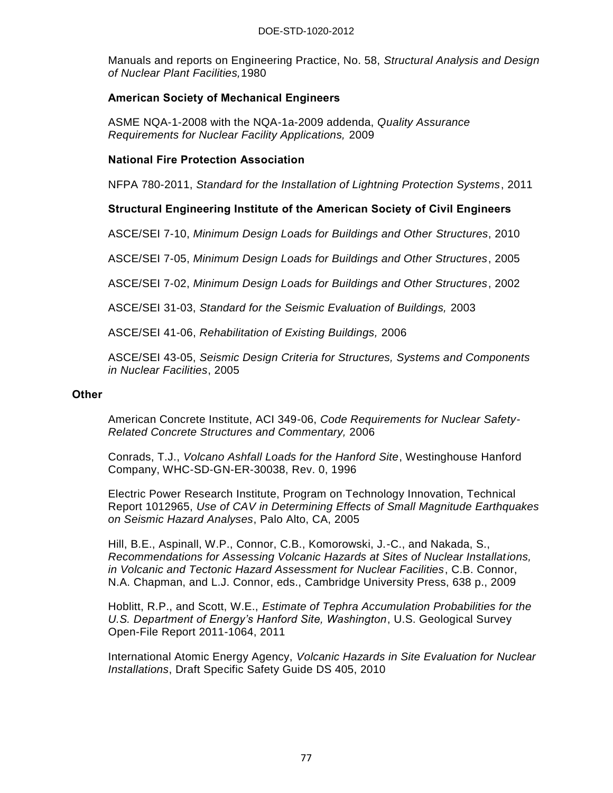Manuals and reports on Engineering Practice, No. 58, *Structural Analysis and Design of Nuclear Plant Facilities,*1980

# **American Society of Mechanical Engineers**

ASME NQA-1-2008 with the NQA-1a-2009 addenda, *Quality Assurance Requirements for Nuclear Facility Applications,* 2009

# **National Fire Protection Association**

NFPA 780-2011, *Standard for the Installation of Lightning Protection Systems*, 2011

# **Structural Engineering Institute of the American Society of Civil Engineers**

ASCE/SEI 7-10, *Minimum Design Loads for Buildings and Other Structures*, 2010

ASCE/SEI 7-05, *Minimum Design Loads for Buildings and Other Structures*, 2005

ASCE/SEI 7-02, *Minimum Design Loads for Buildings and Other Structures*, 2002

ASCE/SEI 31-03, *Standard for the Seismic Evaluation of Buildings,* 2003

ASCE/SEI 41-06, *Rehabilitation of Existing Buildings,* 2006

ASCE/SEI 43-05, *Seismic Design Criteria for Structures, Systems and Components in Nuclear Facilities*, 2005

#### **Other**

American Concrete Institute, ACI 349-06, *Code Requirements for Nuclear Safety-Related Concrete Structures and Commentary,* 2006

Conrads, T.J., *Volcano Ashfall Loads for the Hanford Site*, Westinghouse Hanford Company, WHC-SD-GN-ER-30038, Rev. 0, 1996

Electric Power Research Institute, Program on Technology Innovation, Technical Report 1012965, *Use of CAV in Determining Effects of Small Magnitude Earthquakes on Seismic Hazard Analyses*, Palo Alto, CA, 2005

Hill, B.E., Aspinall, W.P., Connor, C.B., Komorowski, J.-C., and Nakada, S., *Recommendations for Assessing Volcanic Hazards at Sites of Nuclear Installations, in Volcanic and Tectonic Hazard Assessment for Nuclear Facilities*, C.B. Connor, N.A. Chapman, and L.J. Connor, eds., Cambridge University Press, 638 p., 2009

Hoblitt, R.P., and Scott, W.E., *Estimate of Tephra Accumulation Probabilities for the U.S. Department of Energy's Hanford Site, Washington*, U.S. Geological Survey Open-File Report 2011-1064, 2011

International Atomic Energy Agency, *Volcanic Hazards in Site Evaluation for Nuclear Installations*, Draft Specific Safety Guide DS 405, 2010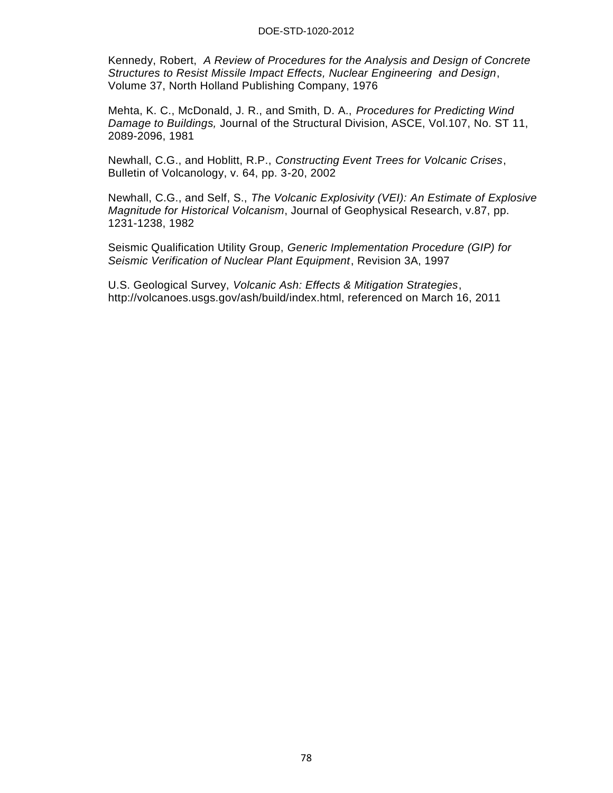#### DOE-STD-1020-2012

Kennedy, Robert, *A Review of Procedures for the Analysis and Design of Concrete Structures to Resist Missile Impact Effects, Nuclear Engineering and Design*, Volume 37, North Holland Publishing Company, 1976

Mehta, K. C., McDonald, J. R., and Smith, D. A., *Procedures for Predicting Wind Damage to Buildings,* Journal of the Structural Division, ASCE, Vol.107, No. ST 11, 2089-2096, 1981

Newhall, C.G., and Hoblitt, R.P., *Constructing Event Trees for Volcanic Crises*, Bulletin of Volcanology, v. 64, pp. 3-20, 2002

Newhall, C.G., and Self, S., *The Volcanic Explosivity (VEI): An Estimate of Explosive Magnitude for Historical Volcanism*, Journal of Geophysical Research, v.87, pp. 1231-1238, 1982

Seismic Qualification Utility Group, *Generic Implementation Procedure (GIP) for Seismic Verification of Nuclear Plant Equipment*, Revision 3A, 1997

U.S. Geological Survey, *Volcanic Ash: Effects & Mitigation Strategies*, http://volcanoes.usgs.gov/ash/build/index.html, referenced on March 16, 2011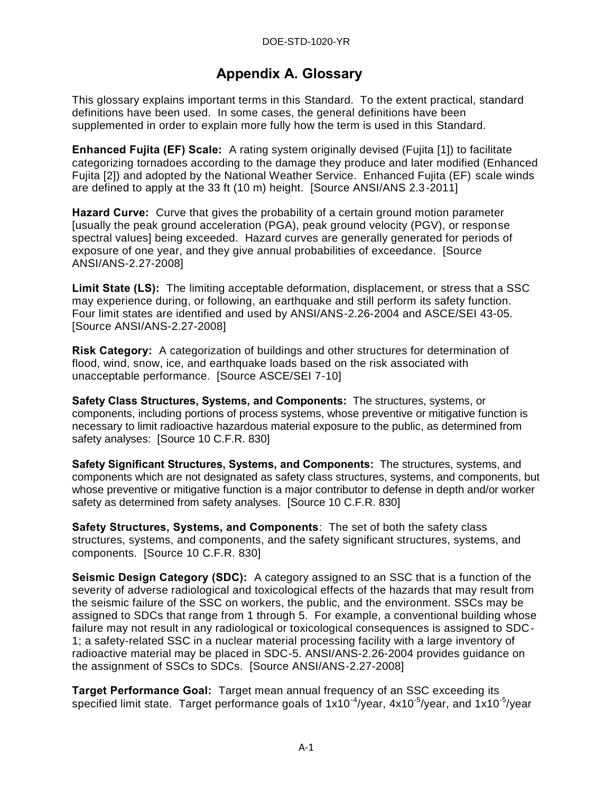# **Appendix A. Glossary**

This glossary explains important terms in this Standard. To the extent practical, standard definitions have been used. In some cases, the general definitions have been supplemented in order to explain more fully how the term is used in this Standard.

**Enhanced Fujita (EF) Scale:** A rating system originally devised (Fujita [1]) to facilitate categorizing tornadoes according to the damage they produce and later modified (Enhanced Fujita [2]) and adopted by the National Weather Service. Enhanced Fujita (EF) scale winds are defined to apply at the 33 ft (10 m) height. [Source ANSI/ANS 2.3-2011]

**Hazard Curve:** Curve that gives the probability of a certain ground motion parameter [usually the peak ground acceleration (PGA), peak ground velocity (PGV), or response spectral values] being exceeded. Hazard curves are generally generated for periods of exposure of one year, and they give annual probabilities of exceedance. [Source ANSI/ANS-2.27-2008]

**Limit State (LS):** The limiting acceptable deformation, displacement, or stress that a SSC may experience during, or following, an earthquake and still perform its safety function. Four limit states are identified and used by ANSI/ANS-2.26-2004 and ASCE/SEI 43-05. [Source ANSI/ANS-2.27-2008]

**Risk Category:** A categorization of buildings and other structures for determination of flood, wind, snow, ice, and earthquake loads based on the risk associated with unacceptable performance. [Source ASCE/SEI 7-10]

**Safety Class Structures, Systems, and Components:** The structures, systems, or components, including portions of process systems, whose preventive or mitigative function is necessary to limit radioactive hazardous material exposure to the public, as determined from safety analyses: [Source 10 C.F.R. 830]

**Safety Significant Structures, Systems, and Components:** The structures, systems, and components which are not designated as safety class structures, systems, and components, but whose preventive or mitigative function is a major contributor to defense in depth and/or worker safety as determined from safety analyses. [Source 10 C.F.R. 830]

**Safety Structures, Systems, and Components**: The set of both the safety class structures, systems, and components, and the safety significant structures, systems, and components. [Source 10 C.F.R. 830]

**Seismic Design Category (SDC):** A category assigned to an SSC that is a function of the severity of adverse radiological and toxicological effects of the hazards that may result from the seismic failure of the SSC on workers, the public, and the environment. SSCs may be assigned to SDCs that range from 1 through 5. For example, a conventional building whose failure may not result in any radiological or toxicological consequences is assigned to SDC-1; a safety-related SSC in a nuclear material processing facility with a large inventory of radioactive material may be placed in SDC-5. ANSI/ANS-2.26-2004 provides guidance on the assignment of SSCs to SDCs. [Source ANSI/ANS-2.27-2008]

**Target Performance Goal:** Target mean annual frequency of an SSC exceeding its specified limit state. Target performance goals of 1x10<sup>-4</sup>/year, 4x10<sup>-5</sup>/year, and 1x10<sup>-5</sup>/year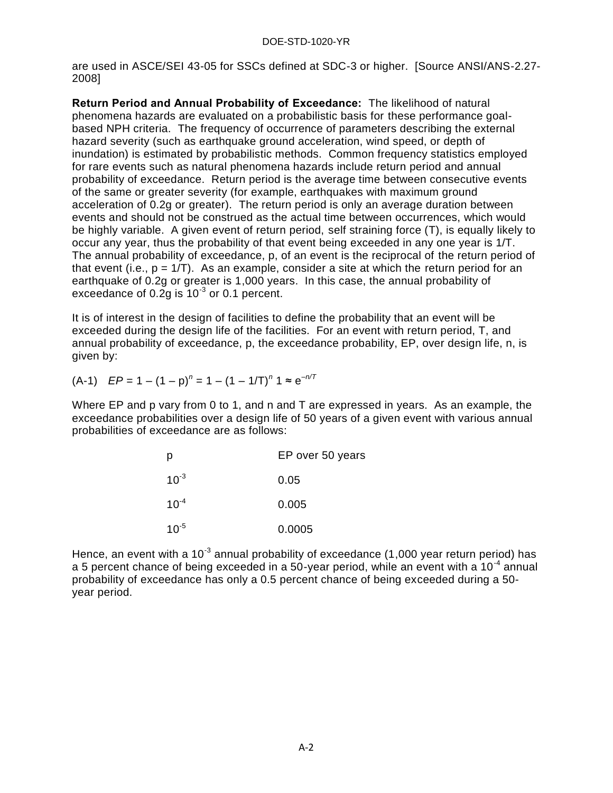are used in ASCE/SEI 43-05 for SSCs defined at SDC-3 or higher. [Source ANSI/ANS-2.27- 2008]

**Return Period and Annual Probability of Exceedance:** The likelihood of natural phenomena hazards are evaluated on a probabilistic basis for these performance goalbased NPH criteria. The frequency of occurrence of parameters describing the external hazard severity (such as earthquake ground acceleration, wind speed, or depth of inundation) is estimated by probabilistic methods. Common frequency statistics employed for rare events such as natural phenomena hazards include return period and annual probability of exceedance. Return period is the average time between consecutive events of the same or greater severity (for example, earthquakes with maximum ground acceleration of 0.2g or greater). The return period is only an average duration between events and should not be construed as the actual time between occurrences, which would be highly variable. A given event of return period, self straining force (T), is equally likely to occur any year, thus the probability of that event being exceeded in any one year is 1/T. The annual probability of exceedance, p, of an event is the reciprocal of the return period of that event (i.e.,  $p = 1/T$ ). As an example, consider a site at which the return period for an earthquake of 0.2g or greater is 1,000 years. In this case, the annual probability of exceedance of 0.2g is  $10^{-3}$  or 0.1 percent.

It is of interest in the design of facilities to define the probability that an event will be exceeded during the design life of the facilities. For an event with return period, T, and annual probability of exceedance, p, the exceedance probability, EP, over design life, n, is given by:

$$
(A-1) \quad EP = 1 - (1-p)^n = 1 - (1-1/T)^n 1 \approx e^{-n/T}
$$

Where EP and p vary from 0 to 1, and n and T are expressed in years. As an example, the exceedance probabilities over a design life of 50 years of a given event with various annual probabilities of exceedance are as follows:

| р         | EP over 50 years |
|-----------|------------------|
| $10^{-3}$ | 0.05             |
| $10^{-4}$ | 0.005            |
| $10^{-5}$ | 0.0005           |

Hence, an event with a 10<sup>-3</sup> annual probability of exceedance (1,000 year return period) has a 5 percent chance of being exceeded in a 50-year period, while an event with a 10<sup>-4</sup> annual probability of exceedance has only a 0.5 percent chance of being exceeded during a 50 year period.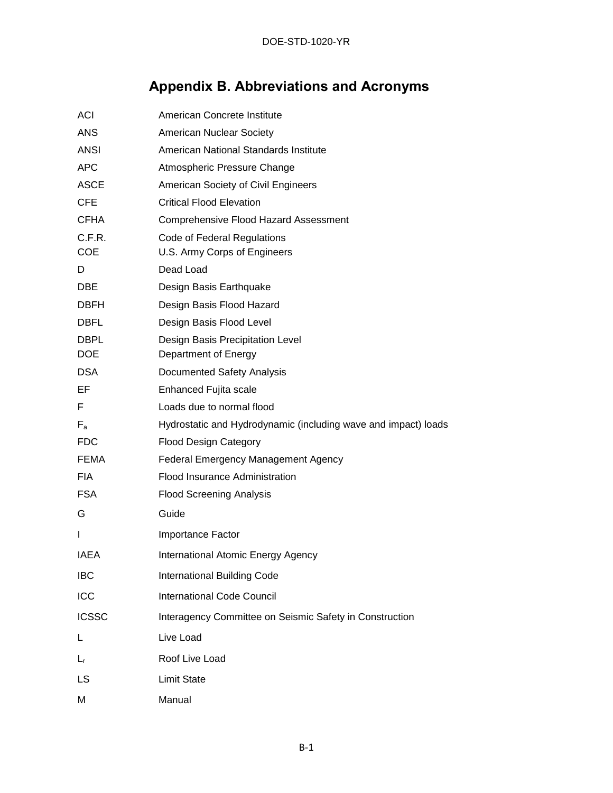# **Appendix B. Abbreviations and Acronyms**

| <b>ACI</b>   | American Concrete Institute                                    |
|--------------|----------------------------------------------------------------|
| <b>ANS</b>   | American Nuclear Society                                       |
| <b>ANSI</b>  | American National Standards Institute                          |
| <b>APC</b>   | Atmospheric Pressure Change                                    |
| <b>ASCE</b>  | American Society of Civil Engineers                            |
| <b>CFE</b>   | <b>Critical Flood Elevation</b>                                |
| <b>CFHA</b>  | <b>Comprehensive Flood Hazard Assessment</b>                   |
| C.F.R.       | Code of Federal Regulations                                    |
| <b>COE</b>   | U.S. Army Corps of Engineers                                   |
| D            | Dead Load                                                      |
| DBE          | Design Basis Earthquake                                        |
| <b>DBFH</b>  | Design Basis Flood Hazard                                      |
| <b>DBFL</b>  | Design Basis Flood Level                                       |
| <b>DBPL</b>  | Design Basis Precipitation Level                               |
| <b>DOE</b>   | Department of Energy                                           |
| <b>DSA</b>   | Documented Safety Analysis                                     |
| EF           | Enhanced Fujita scale                                          |
| F            | Loads due to normal flood                                      |
| $F_a$        | Hydrostatic and Hydrodynamic (including wave and impact) loads |
| <b>FDC</b>   | <b>Flood Design Category</b>                                   |
| FEMA         | <b>Federal Emergency Management Agency</b>                     |
| <b>FIA</b>   | Flood Insurance Administration                                 |
| <b>FSA</b>   | <b>Flood Screening Analysis</b>                                |
| G            | Guide                                                          |
| L            | Importance Factor                                              |
| IAEA         | International Atomic Energy Agency                             |
| <b>IBC</b>   | <b>International Building Code</b>                             |
| ICC          | <b>International Code Council</b>                              |
| <b>ICSSC</b> | Interagency Committee on Seismic Safety in Construction        |
| L            | Live Load                                                      |
| $L_{\rm r}$  | Roof Live Load                                                 |
| LS           | <b>Limit State</b>                                             |
| M            | Manual                                                         |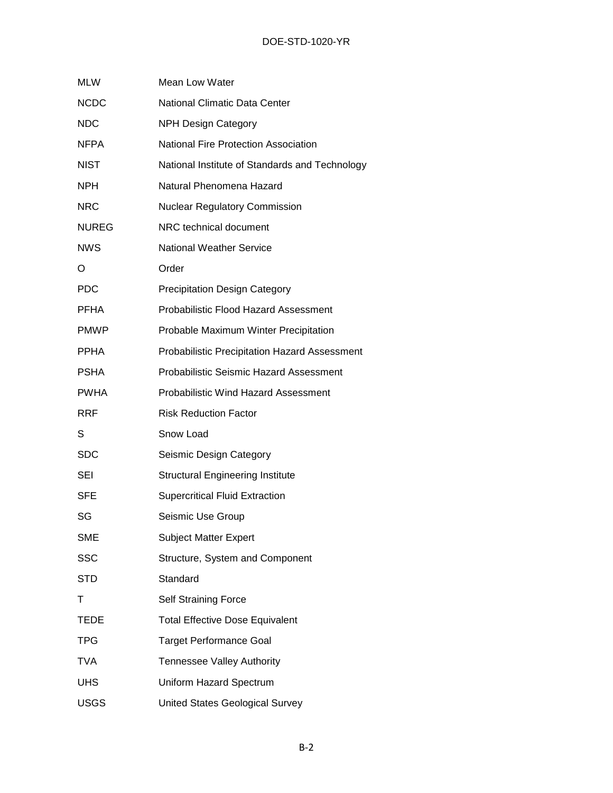| <b>MLW</b>   | <b>Mean Low Water</b>                          |
|--------------|------------------------------------------------|
| <b>NCDC</b>  | <b>National Climatic Data Center</b>           |
| <b>NDC</b>   | <b>NPH Design Category</b>                     |
| <b>NFPA</b>  | <b>National Fire Protection Association</b>    |
| <b>NIST</b>  | National Institute of Standards and Technology |
| <b>NPH</b>   | Natural Phenomena Hazard                       |
| <b>NRC</b>   | <b>Nuclear Regulatory Commission</b>           |
| <b>NUREG</b> | NRC technical document                         |
| <b>NWS</b>   | <b>National Weather Service</b>                |
| O            | Order                                          |
| <b>PDC</b>   | <b>Precipitation Design Category</b>           |
| <b>PFHA</b>  | Probabilistic Flood Hazard Assessment          |
| <b>PMWP</b>  | Probable Maximum Winter Precipitation          |
| <b>PPHA</b>  | Probabilistic Precipitation Hazard Assessment  |
| <b>PSHA</b>  | <b>Probabilistic Seismic Hazard Assessment</b> |
| <b>PWHA</b>  | <b>Probabilistic Wind Hazard Assessment</b>    |
| <b>RRF</b>   | <b>Risk Reduction Factor</b>                   |
| S            | Snow Load                                      |
| <b>SDC</b>   | Seismic Design Category                        |
| SEI          | <b>Structural Engineering Institute</b>        |
| <b>SFE</b>   | <b>Supercritical Fluid Extraction</b>          |
| SG           | Seismic Use Group                              |
| <b>SME</b>   | <b>Subject Matter Expert</b>                   |
| <b>SSC</b>   | Structure, System and Component                |
| <b>STD</b>   | Standard                                       |
| т            | <b>Self Straining Force</b>                    |
| TEDE         | <b>Total Effective Dose Equivalent</b>         |
| <b>TPG</b>   | <b>Target Performance Goal</b>                 |
| <b>TVA</b>   | <b>Tennessee Valley Authority</b>              |
| <b>UHS</b>   | Uniform Hazard Spectrum                        |
| <b>USGS</b>  | <b>United States Geological Survey</b>         |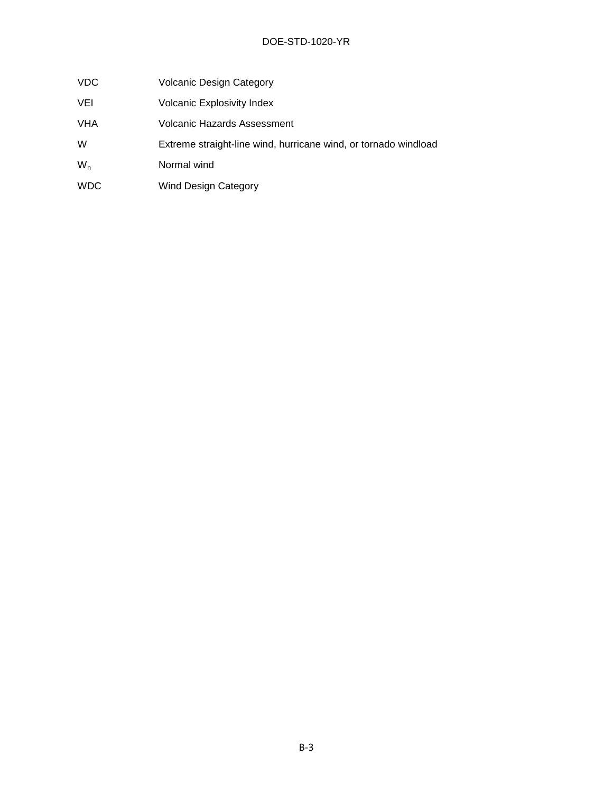- VDC Volcanic Design Category
- VEI Volcanic Explosivity Index
- VHA Volcanic Hazards Assessment
- W Extreme straight-line wind, hurricane wind, or tornado windload
- W<sub>n</sub> Normal wind
- WDC Wind Design Category